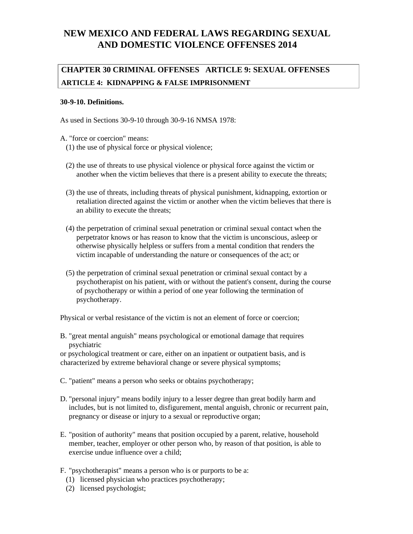# **NEW MEXICO AND FEDERAL LAWS REGARDING SEXUAL AND DOMESTIC VIOLENCE OFFENSES 2014**

# **CHAPTER 30 CRIMINAL OFFENSES ARTICLE 9: SEXUAL OFFENSES ARTICLE 4: KIDNAPPING & FALSE IMPRISONMENT**

#### **30-9-10. Definitions.**

As used in Sections 30-9-10 through 30-9-16 NMSA 1978:

A. "force or coercion" means:

(1) the use of physical force or physical violence;

- (2) the use of threats to use physical violence or physical force against the victim or another when the victim believes that there is a present ability to execute the threats;
- (3) the use of threats, including threats of physical punishment, kidnapping, extortion or retaliation directed against the victim or another when the victim believes that there is an ability to execute the threats;
- (4) the perpetration of criminal sexual penetration or criminal sexual contact when the perpetrator knows or has reason to know that the victim is unconscious, asleep or otherwise physically helpless or suffers from a mental condition that renders the victim incapable of understanding the nature or consequences of the act; or
- (5) the perpetration of criminal sexual penetration or criminal sexual contact by a psychotherapist on his patient, with or without the patient's consent, during the course of psychotherapy or within a period of one year following the termination of psychotherapy.

Physical or verbal resistance of the victim is not an element of force or coercion;

B. "great mental anguish" means psychological or emotional damage that requires psychiatric

or psychological treatment or care, either on an inpatient or outpatient basis, and is characterized by extreme behavioral change or severe physical symptoms;

C. "patient" means a person who seeks or obtains psychotherapy;

- D. "personal injury" means bodily injury to a lesser degree than great bodily harm and includes, but is not limited to, disfigurement, mental anguish, chronic or recurrent pain, pregnancy or disease or injury to a sexual or reproductive organ;
- E. "position of authority" means that position occupied by a parent, relative, household member, teacher, employer or other person who, by reason of that position, is able to exercise undue influence over a child;
- F. "psychotherapist" means a person who is or purports to be a:
	- (1) licensed physician who practices psychotherapy;
	- (2) licensed psychologist;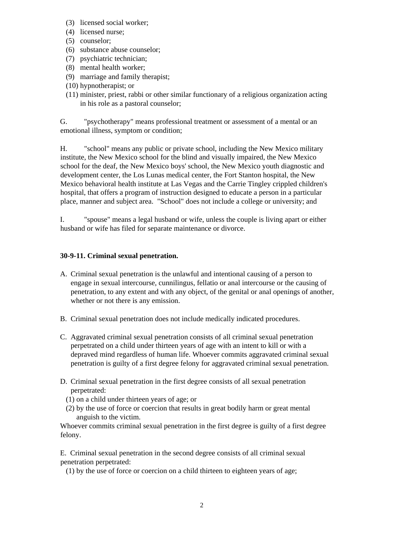- (3) licensed social worker;
- (4) licensed nurse;
- (5) counselor;
- (6) substance abuse counselor;
- (7) psychiatric technician;
- (8) mental health worker;
- (9) marriage and family therapist;
- (10) hypnotherapist; or
- (11) minister, priest, rabbi or other similar functionary of a religious organization acting in his role as a pastoral counselor;

G. "psychotherapy" means professional treatment or assessment of a mental or an emotional illness, symptom or condition;

H. "school" means any public or private school, including the New Mexico military institute, the New Mexico school for the blind and visually impaired, the New Mexico school for the deaf, the New Mexico boys' school, the New Mexico youth diagnostic and development center, the Los Lunas medical center, the Fort Stanton hospital, the New Mexico behavioral health institute at Las Vegas and the Carrie Tingley crippled children's hospital, that offers a program of instruction designed to educate a person in a particular place, manner and subject area. "School" does not include a college or university; and

I. "spouse" means a legal husband or wife, unless the couple is living apart or either husband or wife has filed for separate maintenance or divorce.

# **30-9-11. Criminal sexual penetration.**

- A. Criminal sexual penetration is the unlawful and intentional causing of a person to engage in sexual intercourse, cunnilingus, fellatio or anal intercourse or the causing of penetration, to any extent and with any object, of the genital or anal openings of another, whether or not there is any emission.
- B. Criminal sexual penetration does not include medically indicated procedures.
- C. Aggravated criminal sexual penetration consists of all criminal sexual penetration perpetrated on a child under thirteen years of age with an intent to kill or with a depraved mind regardless of human life. Whoever commits aggravated criminal sexual penetration is guilty of a first degree felony for aggravated criminal sexual penetration.
- D. Criminal sexual penetration in the first degree consists of all sexual penetration perpetrated:
	- (1) on a child under thirteen years of age; or
	- (2) by the use of force or coercion that results in great bodily harm or great mental anguish to the victim.

Whoever commits criminal sexual penetration in the first degree is guilty of a first degree felony.

E. Criminal sexual penetration in the second degree consists of all criminal sexual penetration perpetrated:

(1) by the use of force or coercion on a child thirteen to eighteen years of age;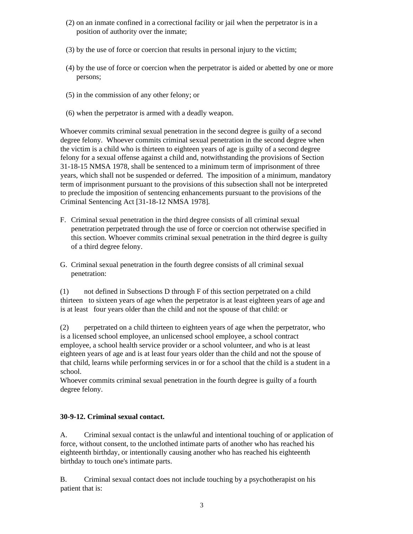- (2) on an inmate confined in a correctional facility or jail when the perpetrator is in a position of authority over the inmate;
- (3) by the use of force or coercion that results in personal injury to the victim;
- (4) by the use of force or coercion when the perpetrator is aided or abetted by one or more persons;
- (5) in the commission of any other felony; or
- (6) when the perpetrator is armed with a deadly weapon.

Whoever commits criminal sexual penetration in the second degree is guilty of a second degree felony. Whoever commits criminal sexual penetration in the second degree when the victim is a child who is thirteen to eighteen years of age is guilty of a second degree felony for a sexual offense against a child and, notwithstanding the provisions of Section 31-18-15 NMSA 1978, shall be sentenced to a minimum term of imprisonment of three years, which shall not be suspended or deferred. The imposition of a minimum, mandatory term of imprisonment pursuant to the provisions of this subsection shall not be interpreted to preclude the imposition of sentencing enhancements pursuant to the provisions of the Criminal Sentencing Act [31-18-12 NMSA 1978].

- F. Criminal sexual penetration in the third degree consists of all criminal sexual penetration perpetrated through the use of force or coercion not otherwise specified in this section. Whoever commits criminal sexual penetration in the third degree is guilty of a third degree felony.
- G. Criminal sexual penetration in the fourth degree consists of all criminal sexual penetration:

(1) not defined in Subsections D through F of this section perpetrated on a child thirteen to sixteen years of age when the perpetrator is at least eighteen years of age and is at least four years older than the child and not the spouse of that child: or

(2) perpetrated on a child thirteen to eighteen years of age when the perpetrator, who is a licensed school employee, an unlicensed school employee, a school contract employee, a school health service provider or a school volunteer, and who is at least eighteen years of age and is at least four years older than the child and not the spouse of that child, learns while performing services in or for a school that the child is a student in a school.

Whoever commits criminal sexual penetration in the fourth degree is guilty of a fourth degree felony.

# **30-9-12. Criminal sexual contact.**

A. Criminal sexual contact is the unlawful and intentional touching of or application of force, without consent, to the unclothed intimate parts of another who has reached his eighteenth birthday, or intentionally causing another who has reached his eighteenth birthday to touch one's intimate parts.

B. Criminal sexual contact does not include touching by a psychotherapist on his patient that is: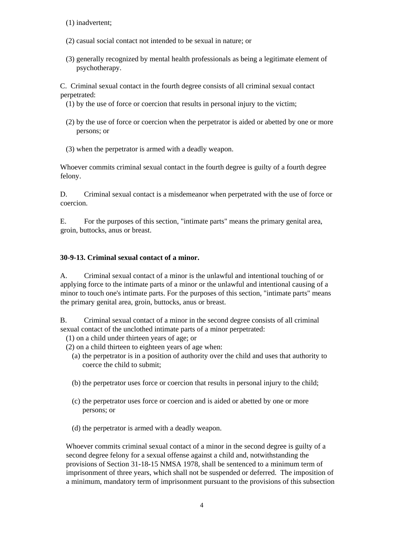- (1) inadvertent;
- (2) casual social contact not intended to be sexual in nature; or
- (3) generally recognized by mental health professionals as being a legitimate element of psychotherapy.

C. Criminal sexual contact in the fourth degree consists of all criminal sexual contact perpetrated:

- (1) by the use of force or coercion that results in personal injury to the victim;
- (2) by the use of force or coercion when the perpetrator is aided or abetted by one or more persons; or
- (3) when the perpetrator is armed with a deadly weapon.

Whoever commits criminal sexual contact in the fourth degree is guilty of a fourth degree felony.

D. Criminal sexual contact is a misdemeanor when perpetrated with the use of force or coercion.

E. For the purposes of this section, "intimate parts" means the primary genital area, groin, buttocks, anus or breast.

#### **30-9-13. Criminal sexual contact of a minor.**

A. Criminal sexual contact of a minor is the unlawful and intentional touching of or applying force to the intimate parts of a minor or the unlawful and intentional causing of a minor to touch one's intimate parts. For the purposes of this section, "intimate parts" means the primary genital area, groin, buttocks, anus or breast.

B. Criminal sexual contact of a minor in the second degree consists of all criminal sexual contact of the unclothed intimate parts of a minor perpetrated:

(1) on a child under thirteen years of age; or

(2) on a child thirteen to eighteen years of age when:

- (a) the perpetrator is in a position of authority over the child and uses that authority to coerce the child to submit;
- (b) the perpetrator uses force or coercion that results in personal injury to the child;
- (c) the perpetrator uses force or coercion and is aided or abetted by one or more persons; or
- (d) the perpetrator is armed with a deadly weapon.

Whoever commits criminal sexual contact of a minor in the second degree is guilty of a second degree felony for a sexual offense against a child and, notwithstanding the provisions of Section 31-18-15 NMSA 1978, shall be sentenced to a minimum term of imprisonment of three years, which shall not be suspended or deferred. The imposition of a minimum, mandatory term of imprisonment pursuant to the provisions of this subsection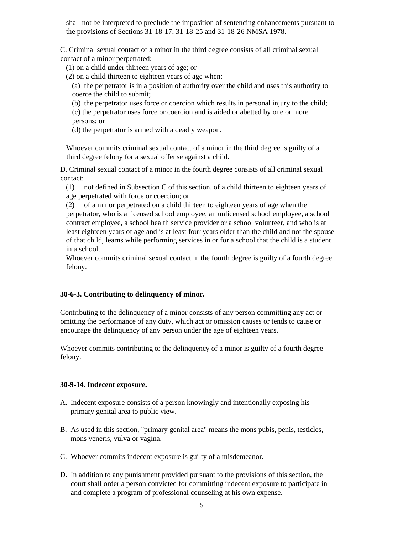shall not be interpreted to preclude the imposition of sentencing enhancements pursuant to the provisions of Sections 31-18-17, 31-18-25 and 31-18-26 NMSA 1978.

C. Criminal sexual contact of a minor in the third degree consists of all criminal sexual contact of a minor perpetrated:

(1) on a child under thirteen years of age; or

(2) on a child thirteen to eighteen years of age when:

- (a) the perpetrator is in a position of authority over the child and uses this authority to coerce the child to submit;
- (b) the perpetrator uses force or coercion which results in personal injury to the child;

(c) the perpetrator uses force or coercion and is aided or abetted by one or more persons; or

(d) the perpetrator is armed with a deadly weapon.

Whoever commits criminal sexual contact of a minor in the third degree is guilty of a third degree felony for a sexual offense against a child.

D. Criminal sexual contact of a minor in the fourth degree consists of all criminal sexual contact:

(1) not defined in Subsection C of this section, of a child thirteen to eighteen years of age perpetrated with force or coercion; or

(2) of a minor perpetrated on a child thirteen to eighteen years of age when the perpetrator, who is a licensed school employee, an unlicensed school employee, a school contract employee, a school health service provider or a school volunteer, and who is at least eighteen years of age and is at least four years older than the child and not the spouse of that child, learns while performing services in or for a school that the child is a student in a school.

Whoever commits criminal sexual contact in the fourth degree is guilty of a fourth degree felony.

#### **30-6-3. Contributing to delinquency of minor.**

Contributing to the delinquency of a minor consists of any person committing any act or omitting the performance of any duty, which act or omission causes or tends to cause or encourage the delinquency of any person under the age of eighteen years.

Whoever commits contributing to the delinquency of a minor is guilty of a fourth degree felony.

#### **30-9-14. Indecent exposure.**

- A. Indecent exposure consists of a person knowingly and intentionally exposing his primary genital area to public view.
- B. As used in this section, "primary genital area" means the mons pubis, penis, testicles, mons veneris, vulva or vagina.
- C. Whoever commits indecent exposure is guilty of a misdemeanor.
- D. In addition to any punishment provided pursuant to the provisions of this section, the court shall order a person convicted for committing indecent exposure to participate in and complete a program of professional counseling at his own expense.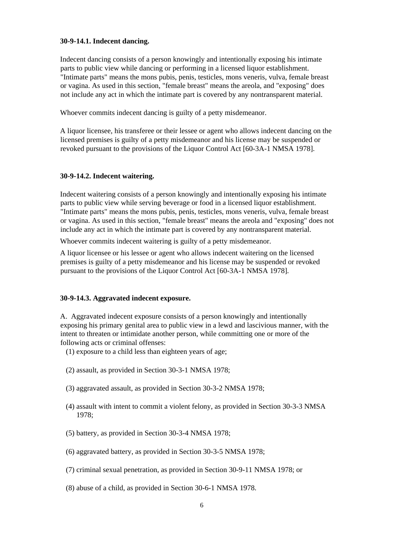#### **30-9-14.1. Indecent dancing.**

Indecent dancing consists of a person knowingly and intentionally exposing his intimate parts to public view while dancing or performing in a licensed liquor establishment. "Intimate parts" means the mons pubis, penis, testicles, mons veneris, vulva, female breast or vagina. As used in this section, "female breast" means the areola, and "exposing" does not include any act in which the intimate part is covered by any nontransparent material.

Whoever commits indecent dancing is guilty of a petty misdemeanor.

A liquor licensee, his transferee or their lessee or agent who allows indecent dancing on the licensed premises is guilty of a petty misdemeanor and his license may be suspended or revoked pursuant to the provisions of the Liquor Control Act [60-3A-1 NMSA 1978].

#### **30-9-14.2. Indecent waitering.**

Indecent waitering consists of a person knowingly and intentionally exposing his intimate parts to public view while serving beverage or food in a licensed liquor establishment. "Intimate parts" means the mons pubis, penis, testicles, mons veneris, vulva, female breast or vagina. As used in this section, "female breast" means the areola and "exposing" does not include any act in which the intimate part is covered by any nontransparent material.

Whoever commits indecent waitering is guilty of a petty misdemeanor.

A liquor licensee or his lessee or agent who allows indecent waitering on the licensed premises is guilty of a petty misdemeanor and his license may be suspended or revoked pursuant to the provisions of the Liquor Control Act [60-3A-1 NMSA 1978].

#### **30-9-14.3. Aggravated indecent exposure.**

A. Aggravated indecent exposure consists of a person knowingly and intentionally exposing his primary genital area to public view in a lewd and lascivious manner, with the intent to threaten or intimidate another person, while committing one or more of the following acts or criminal offenses:

- (1) exposure to a child less than eighteen years of age;
- (2) assault, as provided in Section 30-3-1 NMSA 1978;
- (3) aggravated assault, as provided in Section 30-3-2 NMSA 1978;
- (4) assault with intent to commit a violent felony, as provided in Section 30-3-3 NMSA 1978;
- (5) battery, as provided in Section 30-3-4 NMSA 1978;
- (6) aggravated battery, as provided in Section 30-3-5 NMSA 1978;
- (7) criminal sexual penetration, as provided in Section 30-9-11 NMSA 1978; or
- (8) abuse of a child, as provided in Section 30-6-1 NMSA 1978.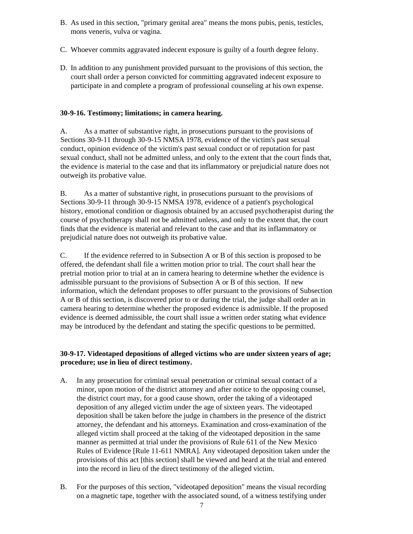- B. As used in this section, "primary genital area" means the mons pubis, penis, testicles, mons veneris, vulva or vagina.
- C. Whoever commits aggravated indecent exposure is guilty of a fourth degree felony.
- D. In addition to any punishment provided pursuant to the provisions of this section, the court shall order a person convicted for committing aggravated indecent exposure to participate in and complete a program of professional counseling at his own expense.

#### **30-9-16. Testimony; limitations; in camera hearing.**

A. As a matter of substantive right, in prosecutions pursuant to the provisions of Sections 30-9-11 through 30-9-15 NMSA 1978, evidence of the victim's past sexual conduct, opinion evidence of the victim's past sexual conduct or of reputation for past sexual conduct, shall not be admitted unless, and only to the extent that the court finds that, the evidence is material to the case and that its inflammatory or prejudicial nature does not outweigh its probative value.

B. As a matter of substantive right, in prosecutions pursuant to the provisions of Sections 30-9-11 through 30-9-15 NMSA 1978, evidence of a patient's psychological history, emotional condition or diagnosis obtained by an accused psychotherapist during the course of psychotherapy shall not be admitted unless, and only to the extent that, the court finds that the evidence is material and relevant to the case and that its inflammatory or prejudicial nature does not outweigh its probative value.

C. If the evidence referred to in Subsection A or B of this section is proposed to be offered, the defendant shall file a written motion prior to trial. The court shall hear the pretrial motion prior to trial at an in camera hearing to determine whether the evidence is admissible pursuant to the provisions of Subsection A or B of this section. If new information, which the defendant proposes to offer pursuant to the provisions of Subsection A or B of this section, is discovered prior to or during the trial, the judge shall order an in camera hearing to determine whether the proposed evidence is admissible. If the proposed evidence is deemed admissible, the court shall issue a written order stating what evidence may be introduced by the defendant and stating the specific questions to be permitted.

### **30-9-17. Videotaped depositions of alleged victims who are under sixteen years of age; procedure; use in lieu of direct testimony.**

- A. In any prosecution for criminal sexual penetration or criminal sexual contact of a minor, upon motion of the district attorney and after notice to the opposing counsel, the district court may, for a good cause shown, order the taking of a videotaped deposition of any alleged victim under the age of sixteen years. The videotaped deposition shall be taken before the judge in chambers in the presence of the district attorney, the defendant and his attorneys. Examination and cross-examination of the alleged victim shall proceed at the taking of the videotaped deposition in the same manner as permitted at trial under the provisions of Rule 611 of the New Mexico Rules of Evidence [Rule 11-611 NMRA]. Any videotaped deposition taken under the provisions of this act [this section] shall be viewed and heard at the trial and entered into the record in lieu of the direct testimony of the alleged victim.
- B. For the purposes of this section, "videotaped deposition" means the visual recording on a magnetic tape, together with the associated sound, of a witness testifying under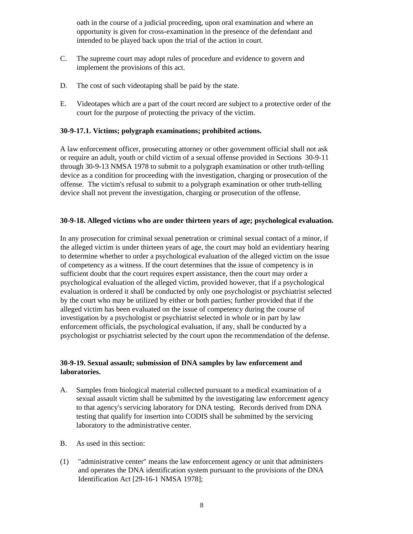oath in the course of a judicial proceeding, upon oral examination and where an opportunity is given for cross-examination in the presence of the defendant and intended to be played back upon the trial of the action in court.

- C. The supreme court may adopt rules of procedure and evidence to govern and implement the provisions of this act.
- D. The cost of such videotaping shall be paid by the state.
- E. Videotapes which are a part of the court record are subject to a protective order of the court for the purpose of protecting the privacy of the victim.

#### **30-9-17.1. Victims; polygraph examinations; prohibited actions.**

A law enforcement officer, prosecuting attorney or other government official shall not ask or require an adult, youth or child victim of a sexual offense provided in Sections 30-9-11 through 30-9-13 NMSA 1978 to submit to a polygraph examination or other truth-telling device as a condition for proceeding with the investigation, charging or prosecution of the offense. The victim's refusal to submit to a polygraph examination or other truth-telling device shall not prevent the investigation, charging or prosecution of the offense.

#### **30-9-18. Alleged victims who are under thirteen years of age; psychological evaluation.**

In any prosecution for criminal sexual penetration or criminal sexual contact of a minor, if the alleged victim is under thirteen years of age, the court may hold an evidentiary hearing to determine whether to order a psychological evaluation of the alleged victim on the issue of competency as a witness. If the court determines that the issue of competency is in sufficient doubt that the court requires expert assistance, then the court may order a psychological evaluation of the alleged victim, provided however, that if a psychological evaluation is ordered it shall be conducted by only one psychologist or psychiatrist selected by the court who may be utilized by either or both parties; further provided that if the alleged victim has been evaluated on the issue of competency during the course of investigation by a psychologist or psychiatrist selected in whole or in part by law enforcement officials, the psychological evaluation, if any, shall be conducted by a psychologist or psychiatrist selected by the court upon the recommendation of the defense.

#### **30-9-19. Sexual assault; submission of DNA samples by law enforcement and laboratories.**

- A. Samples from biological material collected pursuant to a medical examination of a sexual assault victim shall be submitted by the investigating law enforcement agency to that agency's servicing laboratory for DNA testing. Records derived from DNA testing that qualify for insertion into CODIS shall be submitted by the servicing laboratory to the administrative center.
- B. As used in this section:
- (1) "administrative center" means the law enforcement agency or unit that administers and operates the DNA identification system pursuant to the provisions of the DNA Identification Act [29-16-1 NMSA 1978];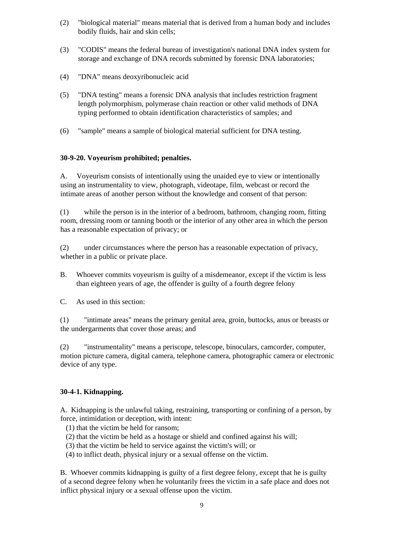- (2) "biological material" means material that is derived from a human body and includes bodily fluids, hair and skin cells;
- (3) "CODIS" means the federal bureau of investigation's national DNA index system for storage and exchange of DNA records submitted by forensic DNA laboratories;
- (4) "DNA" means deoxyribonucleic acid
- (5) "DNA testing" means a forensic DNA analysis that includes restriction fragment length polymorphism, polymerase chain reaction or other valid methods of DNA typing performed to obtain identification characteristics of samples; and
- (6) "sample" means a sample of biological material sufficient for DNA testing.

# **30-9-20. Voyeurism prohibited; penalties.**

A. Voyeurism consists of intentionally using the unaided eye to view or intentionally using an instrumentality to view, photograph, videotape, film, webcast or record the intimate areas of another person without the knowledge and consent of that person:

(1) while the person is in the interior of a bedroom, bathroom, changing room, fitting room, dressing room or tanning booth or the interior of any other area in which the person has a reasonable expectation of privacy; or

(2) under circumstances where the person has a reasonable expectation of privacy, whether in a public or private place.

- B. Whoever commits voyeurism is guilty of a misdemeanor, except if the victim is less than eighteen years of age, the offender is guilty of a fourth degree felony
- C. As used in this section:

(1) "intimate areas" means the primary genital area, groin, buttocks, anus or breasts or the undergarments that cover those areas; and

(2) "instrumentality" means a periscope, telescope, binoculars, camcorder, computer, motion picture camera, digital camera, telephone camera, photographic camera or electronic device of any type.

#### **30-4-1. Kidnapping.**

A. Kidnapping is the unlawful taking, restraining, transporting or confining of a person, by force, intimidation or deception, with intent:

- (1) that the victim be held for ransom;
- (2) that the victim be held as a hostage or shield and confined against his will;
- (3) that the victim be held to service against the victim's will; or
- (4) to inflict death, physical injury or a sexual offense on the victim.

B. Whoever commits kidnapping is guilty of a first degree felony, except that he is guilty of a second degree felony when he voluntarily frees the victim in a safe place and does not inflict physical injury or a sexual offense upon the victim.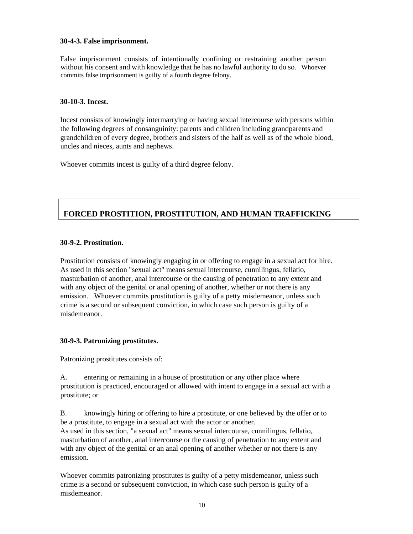#### **30-4-3. False imprisonment.**

False imprisonment consists of intentionally confining or restraining another person without his consent and with knowledge that he has no lawful authority to do so. Whoever commits false imprisonment is guilty of a fourth degree felony.

#### **30-10-3. Incest.**

Incest consists of knowingly intermarrying or having sexual intercourse with persons within the following degrees of consanguinity: parents and children including grandparents and grandchildren of every degree, brothers and sisters of the half as well as of the whole blood, uncles and nieces, aunts and nephews.

Whoever commits incest is guilty of a third degree felony.

# **FORCED PROSTITION, PROSTITUTION, AND HUMAN TRAFFICKING**

### **30-9-2. Prostitution.**

Prostitution consists of knowingly engaging in or offering to engage in a sexual act for hire. As used in this section "sexual act" means sexual intercourse, cunnilingus, fellatio, masturbation of another, anal intercourse or the causing of penetration to any extent and with any object of the genital or anal opening of another, whether or not there is any emission. Whoever commits prostitution is guilty of a petty misdemeanor, unless such crime is a second or subsequent conviction, in which case such person is guilty of a misdemeanor.

# **30-9-3. Patronizing prostitutes.**

Patronizing prostitutes consists of:

A. entering or remaining in a house of prostitution or any other place where prostitution is practiced, encouraged or allowed with intent to engage in a sexual act with a prostitute; or

B. knowingly hiring or offering to hire a prostitute, or one believed by the offer or to be a prostitute, to engage in a sexual act with the actor or another.

As used in this section, "a sexual act" means sexual intercourse, cunnilingus, fellatio, masturbation of another, anal intercourse or the causing of penetration to any extent and with any object of the genital or an anal opening of another whether or not there is any emission.

Whoever commits patronizing prostitutes is guilty of a petty misdemeanor, unless such crime is a second or subsequent conviction, in which case such person is guilty of a misdemeanor.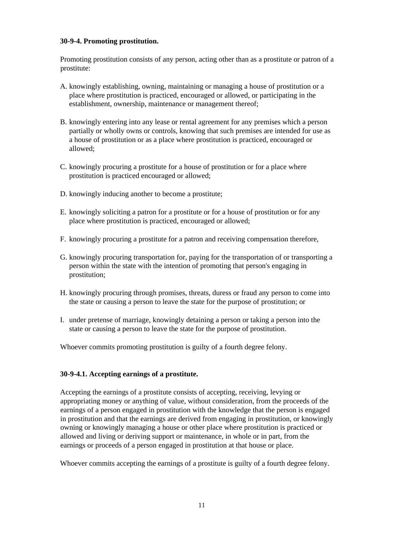### **30-9-4. Promoting prostitution.**

Promoting prostitution consists of any person, acting other than as a prostitute or patron of a prostitute:

- A. knowingly establishing, owning, maintaining or managing a house of prostitution or a place where prostitution is practiced, encouraged or allowed, or participating in the establishment, ownership, maintenance or management thereof;
- B. knowingly entering into any lease or rental agreement for any premises which a person partially or wholly owns or controls, knowing that such premises are intended for use as a house of prostitution or as a place where prostitution is practiced, encouraged or allowed;
- C. knowingly procuring a prostitute for a house of prostitution or for a place where prostitution is practiced encouraged or allowed;
- D. knowingly inducing another to become a prostitute;
- E. knowingly soliciting a patron for a prostitute or for a house of prostitution or for any place where prostitution is practiced, encouraged or allowed;
- F. knowingly procuring a prostitute for a patron and receiving compensation therefore,
- G. knowingly procuring transportation for, paying for the transportation of or transporting a person within the state with the intention of promoting that person's engaging in prostitution;
- H. knowingly procuring through promises, threats, duress or fraud any person to come into the state or causing a person to leave the state for the purpose of prostitution; or
- I. under pretense of marriage, knowingly detaining a person or taking a person into the state or causing a person to leave the state for the purpose of prostitution.

Whoever commits promoting prostitution is guilty of a fourth degree felony.

# **30-9-4.1. Accepting earnings of a prostitute.**

Accepting the earnings of a prostitute consists of accepting, receiving, levying or appropriating money or anything of value, without consideration, from the proceeds of the earnings of a person engaged in prostitution with the knowledge that the person is engaged in prostitution and that the earnings are derived from engaging in prostitution, or knowingly owning or knowingly managing a house or other place where prostitution is practiced or allowed and living or deriving support or maintenance, in whole or in part, from the earnings or proceeds of a person engaged in prostitution at that house or place.

Whoever commits accepting the earnings of a prostitute is guilty of a fourth degree felony.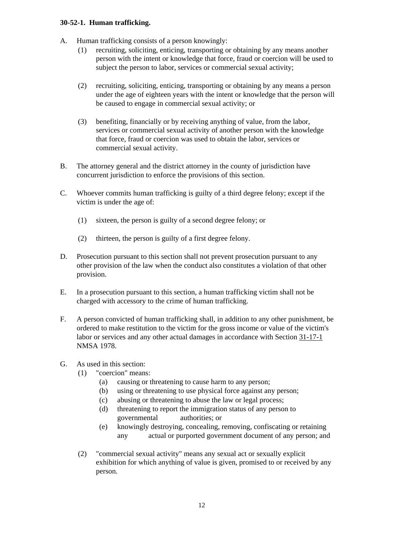#### **30-52-1. Human trafficking.**

- A. Human trafficking consists of a person knowingly:
	- (1) recruiting, soliciting, enticing, transporting or obtaining by any means another person with the intent or knowledge that force, fraud or coercion will be used to subject the person to labor, services or commercial sexual activity;
	- (2) recruiting, soliciting, enticing, transporting or obtaining by any means a person under the age of eighteen years with the intent or knowledge that the person will be caused to engage in commercial sexual activity; or
	- (3) benefiting, financially or by receiving anything of value, from the labor, services or commercial sexual activity of another person with the knowledge that force, fraud or coercion was used to obtain the labor, services or commercial sexual activity.
- B. The attorney general and the district attorney in the county of jurisdiction have concurrent jurisdiction to enforce the provisions of this section.
- C. Whoever commits human trafficking is guilty of a third degree felony; except if the victim is under the age of:
	- (1) sixteen, the person is guilty of a second degree felony; or
	- (2) thirteen, the person is guilty of a first degree felony.
- D. Prosecution pursuant to this section shall not prevent prosecution pursuant to any other provision of the law when the conduct also constitutes a violation of that other provision.
- E. In a prosecution pursuant to this section, a human trafficking victim shall not be charged with accessory to the crime of human trafficking.
- F. A person convicted of human trafficking shall, in addition to any other punishment, be ordered to make restitution to the victim for the gross income or value of the victim's labor or services and any other actual damages in accordance with Section 31-17-1 NMSA 1978.
- G. As used in this section:
	- (1) "coercion" means:
		- (a) causing or threatening to cause harm to any person;
		- (b) using or threatening to use physical force against any person;
		- (c) abusing or threatening to abuse the law or legal process;
		- (d) threatening to report the immigration status of any person to governmental authorities; or
		- (e) knowingly destroying, concealing, removing, confiscating or retaining any actual or purported government document of any person; and
	- (2) "commercial sexual activity" means any sexual act or sexually explicit exhibition for which anything of value is given, promised to or received by any person.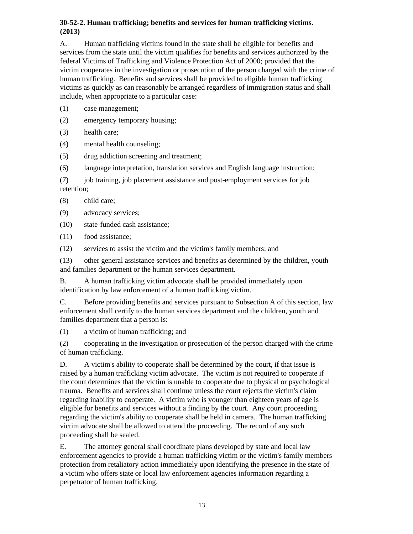# **30-52-2. Human trafficking; benefits and services for human trafficking victims. (2013)**

A. Human trafficking victims found in the state shall be eligible for benefits and services from the state until the victim qualifies for benefits and services authorized by the federal Victims of Trafficking and Violence Protection Act of 2000; provided that the victim cooperates in the investigation or prosecution of the person charged with the crime of human trafficking. Benefits and services shall be provided to eligible human trafficking victims as quickly as can reasonably be arranged regardless of immigration status and shall include, when appropriate to a particular case:

- (1) case management;
- (2) emergency temporary housing;
- (3) health care;
- (4) mental health counseling;
- (5) drug addiction screening and treatment;
- (6) language interpretation, translation services and English language instruction;

(7) job training, job placement assistance and post-employment services for job retention;

- (8) child care;
- (9) advocacy services;
- (10) state-funded cash assistance;
- (11) food assistance;

(12) services to assist the victim and the victim's family members; and

(13) other general assistance services and benefits as determined by the children, youth and families department or the human services department.

B. A human trafficking victim advocate shall be provided immediately upon identification by law enforcement of a human trafficking victim.

C. Before providing benefits and services pursuant to Subsection A of this section, law enforcement shall certify to the human services department and the children, youth and families department that a person is:

(1) a victim of human trafficking; and

(2) cooperating in the investigation or prosecution of the person charged with the crime of human trafficking.

D. A victim's ability to cooperate shall be determined by the court, if that issue is raised by a human trafficking victim advocate. The victim is not required to cooperate if the court determines that the victim is unable to cooperate due to physical or psychological trauma. Benefits and services shall continue unless the court rejects the victim's claim regarding inability to cooperate. A victim who is younger than eighteen years of age is eligible for benefits and services without a finding by the court. Any court proceeding regarding the victim's ability to cooperate shall be held in camera. The human trafficking victim advocate shall be allowed to attend the proceeding. The record of any such proceeding shall be sealed.

E. The attorney general shall coordinate plans developed by state and local law enforcement agencies to provide a human trafficking victim or the victim's family members protection from retaliatory action immediately upon identifying the presence in the state of a victim who offers state or local law enforcement agencies information regarding a perpetrator of human trafficking.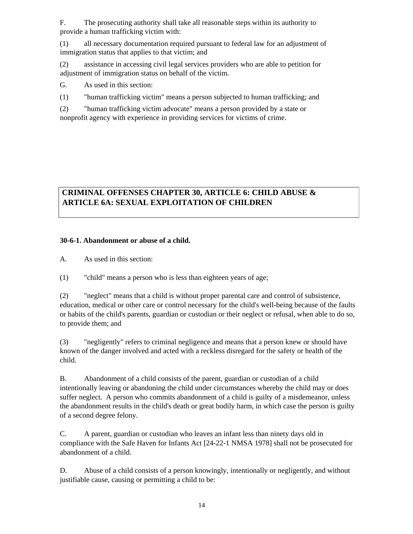F. The prosecuting authority shall take all reasonable steps within its authority to provide a human trafficking victim with:

(1) all necessary documentation required pursuant to federal law for an adjustment of immigration status that applies to that victim; and

(2) assistance in accessing civil legal services providers who are able to petition for adjustment of immigration status on behalf of the victim.

G. As used in this section:

(1) "human trafficking victim" means a person subjected to human trafficking; and

(2) "human trafficking victim advocate" means a person provided by a state or nonprofit agency with experience in providing services for victims of crime.

# **CRIMINAL OFFENSES CHAPTER 30, ARTICLE 6: CHILD ABUSE & ARTICLE 6A: SEXUAL EXPLOITATION OF CHILDREN**

# **30-6-1. Abandonment or abuse of a child.**

A. As used in this section:

(1) "child" means a person who is less than eighteen years of age;

(2) "neglect" means that a child is without proper parental care and control of subsistence, education, medical or other care or control necessary for the child's well-being because of the faults or habits of the child's parents, guardian or custodian or their neglect or refusal, when able to do so, to provide them; and

(3) "negligently" refers to criminal negligence and means that a person knew or should have known of the danger involved and acted with a reckless disregard for the safety or health of the child.

B. Abandonment of a child consists of the parent, guardian or custodian of a child intentionally leaving or abandoning the child under circumstances whereby the child may or does suffer neglect. A person who commits abandonment of a child is guilty of a misdemeanor, unless the abandonment results in the child's death or great bodily harm, in which case the person is guilty of a second degree felony.

C. A parent, guardian or custodian who leaves an infant less than ninety days old in compliance with the Safe Haven for Infants Act [24-22-1 NMSA 1978] shall not be prosecuted for abandonment of a child.

D. Abuse of a child consists of a person knowingly, intentionally or negligently, and without justifiable cause, causing or permitting a child to be: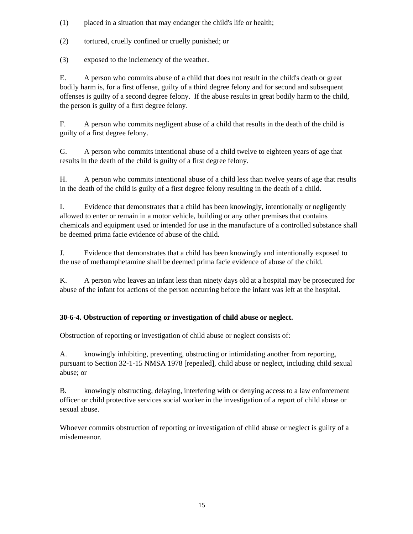(1) placed in a situation that may endanger the child's life or health;

(2) tortured, cruelly confined or cruelly punished; or

(3) exposed to the inclemency of the weather.

E. A person who commits abuse of a child that does not result in the child's death or great bodily harm is, for a first offense, guilty of a third degree felony and for second and subsequent offenses is guilty of a second degree felony. If the abuse results in great bodily harm to the child, the person is guilty of a first degree felony.

F. A person who commits negligent abuse of a child that results in the death of the child is guilty of a first degree felony.

G. A person who commits intentional abuse of a child twelve to eighteen years of age that results in the death of the child is guilty of a first degree felony.

H. A person who commits intentional abuse of a child less than twelve years of age that results in the death of the child is guilty of a first degree felony resulting in the death of a child.

I. Evidence that demonstrates that a child has been knowingly, intentionally or negligently allowed to enter or remain in a motor vehicle, building or any other premises that contains chemicals and equipment used or intended for use in the manufacture of a controlled substance shall be deemed prima facie evidence of abuse of the child.

J. Evidence that demonstrates that a child has been knowingly and intentionally exposed to the use of methamphetamine shall be deemed prima facie evidence of abuse of the child.

K. A person who leaves an infant less than ninety days old at a hospital may be prosecuted for abuse of the infant for actions of the person occurring before the infant was left at the hospital.

# **30-6-4. Obstruction of reporting or investigation of child abuse or neglect.**

Obstruction of reporting or investigation of child abuse or neglect consists of:

A. knowingly inhibiting, preventing, obstructing or intimidating another from reporting, pursuant to Section 32-1-15 NMSA 1978 [repealed], child abuse or neglect, including child sexual abuse; or

B. knowingly obstructing, delaying, interfering with or denying access to a law enforcement officer or child protective services social worker in the investigation of a report of child abuse or sexual abuse.

Whoever commits obstruction of reporting or investigation of child abuse or neglect is guilty of a misdemeanor.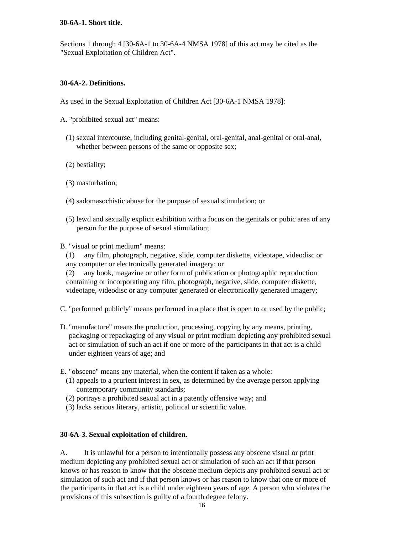#### **30-6A-1. Short title.**

Sections 1 through 4 [30-6A-1 to 30-6A-4 NMSA 1978] of this act may be cited as the "Sexual Exploitation of Children Act".

#### **30-6A-2. Definitions.**

As used in the Sexual Exploitation of Children Act [30-6A-1 NMSA 1978]:

A. "prohibited sexual act" means:

- (1) sexual intercourse, including genital-genital, oral-genital, anal-genital or oral-anal, whether between persons of the same or opposite sex;
- (2) bestiality;
- (3) masturbation;
- (4) sadomasochistic abuse for the purpose of sexual stimulation; or
- (5) lewd and sexually explicit exhibition with a focus on the genitals or pubic area of any person for the purpose of sexual stimulation;

B. "visual or print medium" means:

(1) any film, photograph, negative, slide, computer diskette, videotape, videodisc or any computer or electronically generated imagery; or

(2) any book, magazine or other form of publication or photographic reproduction containing or incorporating any film, photograph, negative, slide, computer diskette, videotape, videodisc or any computer generated or electronically generated imagery;

- C. "performed publicly" means performed in a place that is open to or used by the public;
- D. "manufacture" means the production, processing, copying by any means, printing, packaging or repackaging of any visual or print medium depicting any prohibited sexual act or simulation of such an act if one or more of the participants in that act is a child under eighteen years of age; and
- E. "obscene" means any material, when the content if taken as a whole:
	- (1) appeals to a prurient interest in sex, as determined by the average person applying contemporary community standards;
	- (2) portrays a prohibited sexual act in a patently offensive way; and
	- (3) lacks serious literary, artistic, political or scientific value.

#### **30-6A-3. Sexual exploitation of children.**

A. It is unlawful for a person to intentionally possess any obscene visual or print medium depicting any prohibited sexual act or simulation of such an act if that person knows or has reason to know that the obscene medium depicts any prohibited sexual act or simulation of such act and if that person knows or has reason to know that one or more of the participants in that act is a child under eighteen years of age. A person who violates the provisions of this subsection is guilty of a fourth degree felony.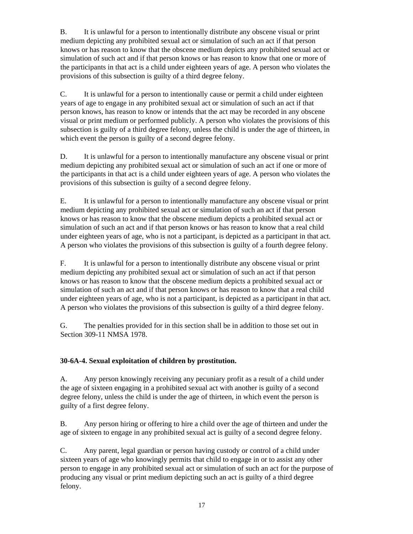B. It is unlawful for a person to intentionally distribute any obscene visual or print medium depicting any prohibited sexual act or simulation of such an act if that person knows or has reason to know that the obscene medium depicts any prohibited sexual act or simulation of such act and if that person knows or has reason to know that one or more of the participants in that act is a child under eighteen years of age. A person who violates the provisions of this subsection is guilty of a third degree felony.

C. It is unlawful for a person to intentionally cause or permit a child under eighteen years of age to engage in any prohibited sexual act or simulation of such an act if that person knows, has reason to know or intends that the act may be recorded in any obscene visual or print medium or performed publicly. A person who violates the provisions of this subsection is guilty of a third degree felony, unless the child is under the age of thirteen, in which event the person is guilty of a second degree felony.

D. It is unlawful for a person to intentionally manufacture any obscene visual or print medium depicting any prohibited sexual act or simulation of such an act if one or more of the participants in that act is a child under eighteen years of age. A person who violates the provisions of this subsection is guilty of a second degree felony.

E. It is unlawful for a person to intentionally manufacture any obscene visual or print medium depicting any prohibited sexual act or simulation of such an act if that person knows or has reason to know that the obscene medium depicts a prohibited sexual act or simulation of such an act and if that person knows or has reason to know that a real child under eighteen years of age, who is not a participant, is depicted as a participant in that act. A person who violates the provisions of this subsection is guilty of a fourth degree felony.

F. It is unlawful for a person to intentionally distribute any obscene visual or print medium depicting any prohibited sexual act or simulation of such an act if that person knows or has reason to know that the obscene medium depicts a prohibited sexual act or simulation of such an act and if that person knows or has reason to know that a real child under eighteen years of age, who is not a participant, is depicted as a participant in that act. A person who violates the provisions of this subsection is guilty of a third degree felony.

G. The penalties provided for in this section shall be in addition to those set out in Section 309-11 NMSA 1978.

# **30-6A-4. Sexual exploitation of children by prostitution.**

A. Any person knowingly receiving any pecuniary profit as a result of a child under the age of sixteen engaging in a prohibited sexual act with another is guilty of a second degree felony, unless the child is under the age of thirteen, in which event the person is guilty of a first degree felony.

B. Any person hiring or offering to hire a child over the age of thirteen and under the age of sixteen to engage in any prohibited sexual act is guilty of a second degree felony.

C. Any parent, legal guardian or person having custody or control of a child under sixteen years of age who knowingly permits that child to engage in or to assist any other person to engage in any prohibited sexual act or simulation of such an act for the purpose of producing any visual or print medium depicting such an act is guilty of a third degree felony.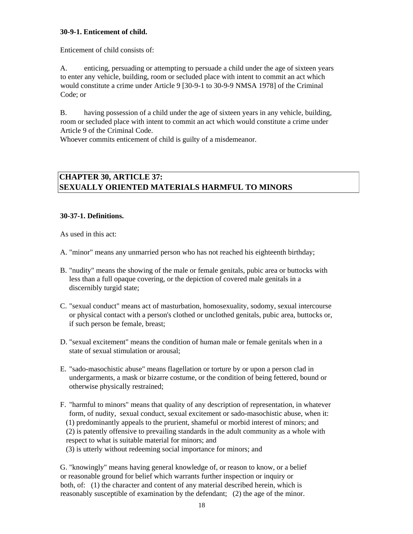### **30-9-1. Enticement of child.**

Enticement of child consists of:

A. enticing, persuading or attempting to persuade a child under the age of sixteen years to enter any vehicle, building, room or secluded place with intent to commit an act which would constitute a crime under Article 9 [30-9-1 to 30-9-9 NMSA 1978] of the Criminal Code; or

B. having possession of a child under the age of sixteen years in any vehicle, building, room or secluded place with intent to commit an act which would constitute a crime under Article 9 of the Criminal Code.

Whoever commits enticement of child is guilty of a misdemeanor.

# **CHAPTER 30, ARTICLE 37: SEXUALLY ORIENTED MATERIALS HARMFUL TO MINORS**

### **30-37-1. Definitions.**

As used in this act:

- A. "minor" means any unmarried person who has not reached his eighteenth birthday;
- B. "nudity" means the showing of the male or female genitals, pubic area or buttocks with less than a full opaque covering, or the depiction of covered male genitals in a discernibly turgid state;
- C. "sexual conduct" means act of masturbation, homosexuality, sodomy, sexual intercourse or physical contact with a person's clothed or unclothed genitals, pubic area, buttocks or, if such person be female, breast;
- D. "sexual excitement" means the condition of human male or female genitals when in a state of sexual stimulation or arousal;
- E. "sado-masochistic abuse" means flagellation or torture by or upon a person clad in undergarments, a mask or bizarre costume, or the condition of being fettered, bound or otherwise physically restrained;
- F. "harmful to minors" means that quality of any description of representation, in whatever form, of nudity, sexual conduct, sexual excitement or sado-masochistic abuse, when it: (1) predominantly appeals to the prurient, shameful or morbid interest of minors; and (2) is patently offensive to prevailing standards in the adult community as a whole with respect to what is suitable material for minors; and

(3) is utterly without redeeming social importance for minors; and

G. "knowingly" means having general knowledge of, or reason to know, or a belief or reasonable ground for belief which warrants further inspection or inquiry or both, of: (1) the character and content of any material described herein, which is reasonably susceptible of examination by the defendant; (2) the age of the minor.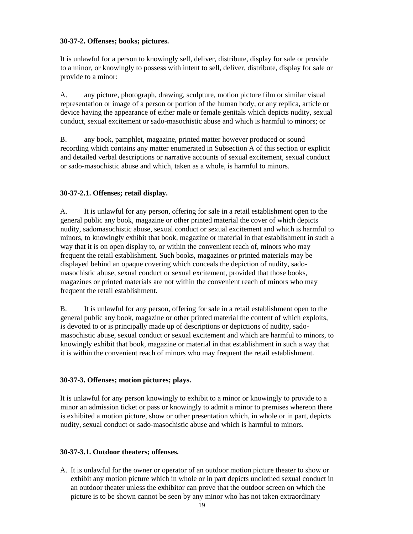#### **30-37-2. Offenses; books; pictures.**

It is unlawful for a person to knowingly sell, deliver, distribute, display for sale or provide to a minor, or knowingly to possess with intent to sell, deliver, distribute, display for sale or provide to a minor:

A. any picture, photograph, drawing, sculpture, motion picture film or similar visual representation or image of a person or portion of the human body, or any replica, article or device having the appearance of either male or female genitals which depicts nudity, sexual conduct, sexual excitement or sado-masochistic abuse and which is harmful to minors; or

B. any book, pamphlet, magazine, printed matter however produced or sound recording which contains any matter enumerated in Subsection A of this section or explicit and detailed verbal descriptions or narrative accounts of sexual excitement, sexual conduct or sado-masochistic abuse and which, taken as a whole, is harmful to minors.

# **30-37-2.1. Offenses; retail display.**

A. It is unlawful for any person, offering for sale in a retail establishment open to the general public any book, magazine or other printed material the cover of which depicts nudity, sadomasochistic abuse, sexual conduct or sexual excitement and which is harmful to minors, to knowingly exhibit that book, magazine or material in that establishment in such a way that it is on open display to, or within the convenient reach of, minors who may frequent the retail establishment. Such books, magazines or printed materials may be displayed behind an opaque covering which conceals the depiction of nudity, sadomasochistic abuse, sexual conduct or sexual excitement, provided that those books, magazines or printed materials are not within the convenient reach of minors who may frequent the retail establishment.

B. It is unlawful for any person, offering for sale in a retail establishment open to the general public any book, magazine or other printed material the content of which exploits, is devoted to or is principally made up of descriptions or depictions of nudity, sadomasochistic abuse, sexual conduct or sexual excitement and which are harmful to minors, to knowingly exhibit that book, magazine or material in that establishment in such a way that it is within the convenient reach of minors who may frequent the retail establishment.

#### **30-37-3. Offenses; motion pictures; plays.**

It is unlawful for any person knowingly to exhibit to a minor or knowingly to provide to a minor an admission ticket or pass or knowingly to admit a minor to premises whereon there is exhibited a motion picture, show or other presentation which, in whole or in part, depicts nudity, sexual conduct or sado-masochistic abuse and which is harmful to minors.

#### **30-37-3.1. Outdoor theaters; offenses.**

A. It is unlawful for the owner or operator of an outdoor motion picture theater to show or exhibit any motion picture which in whole or in part depicts unclothed sexual conduct in an outdoor theater unless the exhibitor can prove that the outdoor screen on which the picture is to be shown cannot be seen by any minor who has not taken extraordinary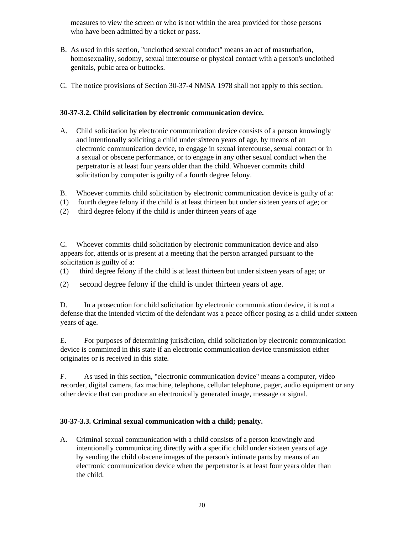measures to view the screen or who is not within the area provided for those persons who have been admitted by a ticket or pass.

- B. As used in this section, "unclothed sexual conduct" means an act of masturbation, homosexuality, sodomy, sexual intercourse or physical contact with a person's unclothed genitals, pubic area or buttocks.
- C. The notice provisions of Section 30-37-4 NMSA 1978 shall not apply to this section.

### **30-37-3.2. Child solicitation by electronic communication device.**

- A. Child solicitation by electronic communication device consists of a person knowingly and intentionally soliciting a child under sixteen years of age, by means of an electronic communication device, to engage in sexual intercourse, sexual contact or in a sexual or obscene performance, or to engage in any other sexual conduct when the perpetrator is at least four years older than the child. Whoever commits child solicitation by computer is guilty of a fourth degree felony.
- B. Whoever commits child solicitation by electronic communication device is guilty of a:
- (1) fourth degree felony if the child is at least thirteen but under sixteen years of age; or
- (2) third degree felony if the child is under thirteen years of age

C. Whoever commits child solicitation by electronic communication device and also appears for, attends or is present at a meeting that the person arranged pursuant to the solicitation is guilty of a:

(1) third degree felony if the child is at least thirteen but under sixteen years of age; or

(2) second degree felony if the child is under thirteen years of age.

D. In a prosecution for child solicitation by electronic communication device, it is not a defense that the intended victim of the defendant was a peace officer posing as a child under sixteen years of age.

E. For purposes of determining jurisdiction, child solicitation by electronic communication device is committed in this state if an electronic communication device transmission either originates or is received in this state.

F. As used in this section, "electronic communication device" means a computer, video recorder, digital camera, fax machine, telephone, cellular telephone, pager, audio equipment or any other device that can produce an electronically generated image, message or signal.

# **30-37-3.3. Criminal sexual communication with a child; penalty.**

A. Criminal sexual communication with a child consists of a person knowingly and intentionally communicating directly with a specific child under sixteen years of age by sending the child obscene images of the person's intimate parts by means of an electronic communication device when the perpetrator is at least four years older than the child.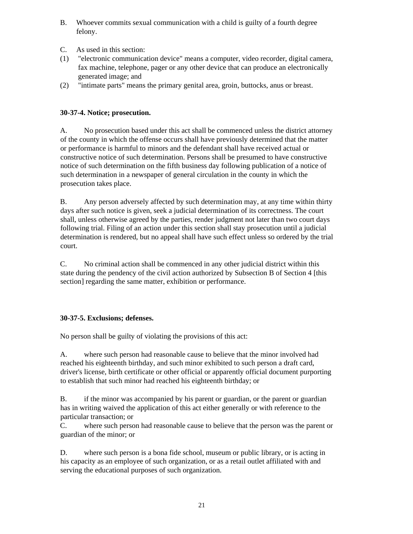- B. Whoever commits sexual communication with a child is guilty of a fourth degree felony.
- C. As used in this section:
- (1) "electronic communication device" means a computer, video recorder, digital camera, fax machine, telephone, pager or any other device that can produce an electronically generated image; and
- (2) "intimate parts" means the primary genital area, groin, buttocks, anus or breast.

# **30-37-4. Notice; prosecution.**

A. No prosecution based under this act shall be commenced unless the district attorney of the county in which the offense occurs shall have previously determined that the matter or performance is harmful to minors and the defendant shall have received actual or constructive notice of such determination. Persons shall be presumed to have constructive notice of such determination on the fifth business day following publication of a notice of such determination in a newspaper of general circulation in the county in which the prosecution takes place.

B. Any person adversely affected by such determination may, at any time within thirty days after such notice is given, seek a judicial determination of its correctness. The court shall, unless otherwise agreed by the parties, render judgment not later than two court days following trial. Filing of an action under this section shall stay prosecution until a judicial determination is rendered, but no appeal shall have such effect unless so ordered by the trial court.

C. No criminal action shall be commenced in any other judicial district within this state during the pendency of the civil action authorized by Subsection B of Section 4 [this section] regarding the same matter, exhibition or performance.

# **30-37-5. Exclusions; defenses.**

No person shall be guilty of violating the provisions of this act:

A. where such person had reasonable cause to believe that the minor involved had reached his eighteenth birthday, and such minor exhibited to such person a draft card, driver's license, birth certificate or other official or apparently official document purporting to establish that such minor had reached his eighteenth birthday; or

B. if the minor was accompanied by his parent or guardian, or the parent or guardian has in writing waived the application of this act either generally or with reference to the particular transaction; or

C. where such person had reasonable cause to believe that the person was the parent or guardian of the minor; or

D. where such person is a bona fide school, museum or public library, or is acting in his capacity as an employee of such organization, or as a retail outlet affiliated with and serving the educational purposes of such organization.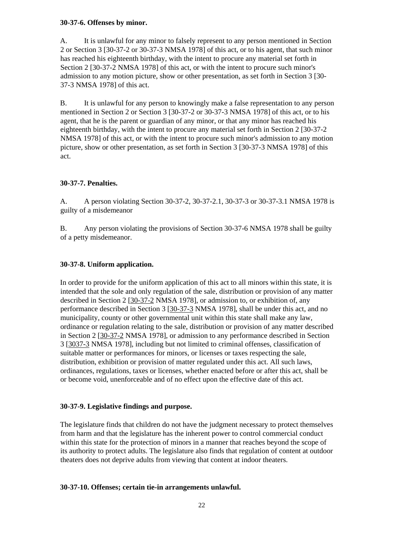#### **30-37-6. Offenses by minor.**

A. It is unlawful for any minor to falsely represent to any person mentioned in Section 2 or Section 3 [30-37-2 or 30-37-3 NMSA 1978] of this act, or to his agent, that such minor has reached his eighteenth birthday, with the intent to procure any material set forth in Section 2 [30-37-2 NMSA 1978] of this act, or with the intent to procure such minor's admission to any motion picture, show or other presentation, as set forth in Section 3 [30- 37-3 NMSA 1978] of this act.

B. It is unlawful for any person to knowingly make a false representation to any person mentioned in Section 2 or Section 3 [30-37-2 or 30-37-3 NMSA 1978] of this act, or to his agent, that he is the parent or guardian of any minor, or that any minor has reached his eighteenth birthday, with the intent to procure any material set forth in Section 2 [30-37-2 NMSA 1978] of this act, or with the intent to procure such minor's admission to any motion picture, show or other presentation, as set forth in Section 3 [30-37-3 NMSA 1978] of this act.

# **30-37-7. Penalties.**

A. A person violating Section 30-37-2, 30-37-2.1, 30-37-3 or 30-37-3.1 NMSA 1978 is guilty of a misdemeanor

B. Any person violating the provisions of Section 30-37-6 NMSA 1978 shall be guilty of a petty misdemeanor.

# **30-37-8. Uniform application.**

In order to provide for the uniform application of this act to all minors within this state, it is intended that the sole and only regulation of the sale, distribution or provision of any matter described in Section 2 [30-37-2 NMSA 1978], or admission to, or exhibition of, any performance described in Section 3 [30-37-3 NMSA 1978], shall be under this act, and no municipality, county or other governmental unit within this state shall make any law, ordinance or regulation relating to the sale, distribution or provision of any matter described in Section 2 [30-37-2 NMSA 1978], or admission to any performance described in Section 3 [3037-3 NMSA 1978], including but not limited to criminal offenses, classification of suitable matter or performances for minors, or licenses or taxes respecting the sale, distribution, exhibition or provision of matter regulated under this act. All such laws, ordinances, regulations, taxes or licenses, whether enacted before or after this act, shall be or become void, unenforceable and of no effect upon the effective date of this act.

# **30-37-9. Legislative findings and purpose.**

The legislature finds that children do not have the judgment necessary to protect themselves from harm and that the legislature has the inherent power to control commercial conduct within this state for the protection of minors in a manner that reaches beyond the scope of its authority to protect adults. The legislature also finds that regulation of content at outdoor theaters does not deprive adults from viewing that content at indoor theaters.

# **30-37-10. Offenses; certain tie-in arrangements unlawful.**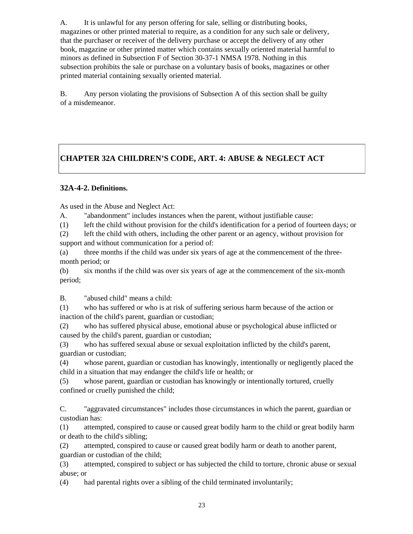A. It is unlawful for any person offering for sale, selling or distributing books, magazines or other printed material to require, as a condition for any such sale or delivery, that the purchaser or receiver of the delivery purchase or accept the delivery of any other book, magazine or other printed matter which contains sexually oriented material harmful to minors as defined in Subsection F of Section 30-37-1 NMSA 1978. Nothing in this subsection prohibits the sale or purchase on a voluntary basis of books, magazines or other printed material containing sexually oriented material.

B. Any person violating the provisions of Subsection A of this section shall be guilty of a misdemeanor.

# **CHAPTER 32A CHILDREN'S CODE, ART. 4: ABUSE & NEGLECT ACT**

# **32A-4-2. Definitions.**

As used in the Abuse and Neglect Act:

A. "abandonment" includes instances when the parent, without justifiable cause:

(1) left the child without provision for the child's identification for a period of fourteen days; or

(2) left the child with others, including the other parent or an agency, without provision for support and without communication for a period of:

(a) three months if the child was under six years of age at the commencement of the threemonth period; or

(b) six months if the child was over six years of age at the commencement of the six-month period;

B. "abused child" means a child:

(1) who has suffered or who is at risk of suffering serious harm because of the action or inaction of the child's parent, guardian or custodian;

(2) who has suffered physical abuse, emotional abuse or psychological abuse inflicted or caused by the child's parent, guardian or custodian;

(3) who has suffered sexual abuse or sexual exploitation inflicted by the child's parent, guardian or custodian;

(4) whose parent, guardian or custodian has knowingly, intentionally or negligently placed the child in a situation that may endanger the child's life or health; or

(5) whose parent, guardian or custodian has knowingly or intentionally tortured, cruelly confined or cruelly punished the child;

C. "aggravated circumstances" includes those circumstances in which the parent, guardian or custodian has:

(1) attempted, conspired to cause or caused great bodily harm to the child or great bodily harm or death to the child's sibling;

(2) attempted, conspired to cause or caused great bodily harm or death to another parent, guardian or custodian of the child;

(3) attempted, conspired to subject or has subjected the child to torture, chronic abuse or sexual abuse; or

(4) had parental rights over a sibling of the child terminated involuntarily;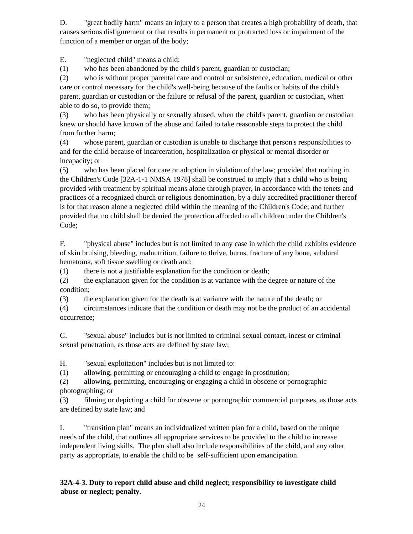D. "great bodily harm" means an injury to a person that creates a high probability of death, that causes serious disfigurement or that results in permanent or protracted loss or impairment of the function of a member or organ of the body;

E. "neglected child" means a child:

(1) who has been abandoned by the child's parent, guardian or custodian;

(2) who is without proper parental care and control or subsistence, education, medical or other care or control necessary for the child's well-being because of the faults or habits of the child's parent, guardian or custodian or the failure or refusal of the parent, guardian or custodian, when able to do so, to provide them;

(3) who has been physically or sexually abused, when the child's parent, guardian or custodian knew or should have known of the abuse and failed to take reasonable steps to protect the child from further harm;

(4) whose parent, guardian or custodian is unable to discharge that person's responsibilities to and for the child because of incarceration, hospitalization or physical or mental disorder or incapacity; or

(5) who has been placed for care or adoption in violation of the law; provided that nothing in the Children's Code [32A-1-1 NMSA 1978] shall be construed to imply that a child who is being provided with treatment by spiritual means alone through prayer, in accordance with the tenets and practices of a recognized church or religious denomination, by a duly accredited practitioner thereof is for that reason alone a neglected child within the meaning of the Children's Code; and further provided that no child shall be denied the protection afforded to all children under the Children's Code;

F. "physical abuse" includes but is not limited to any case in which the child exhibits evidence of skin bruising, bleeding, malnutrition, failure to thrive, burns, fracture of any bone, subdural hematoma, soft tissue swelling or death and:

(1) there is not a justifiable explanation for the condition or death;

(2) the explanation given for the condition is at variance with the degree or nature of the condition;

(3) the explanation given for the death is at variance with the nature of the death; or

(4) circumstances indicate that the condition or death may not be the product of an accidental occurrence;

G. "sexual abuse" includes but is not limited to criminal sexual contact, incest or criminal sexual penetration, as those acts are defined by state law;

H. "sexual exploitation" includes but is not limited to:

(1) allowing, permitting or encouraging a child to engage in prostitution;

(2) allowing, permitting, encouraging or engaging a child in obscene or pornographic photographing; or

(3) filming or depicting a child for obscene or pornographic commercial purposes, as those acts are defined by state law; and

I. "transition plan" means an individualized written plan for a child, based on the unique needs of the child, that outlines all appropriate services to be provided to the child to increase independent living skills. The plan shall also include responsibilities of the child, and any other party as appropriate, to enable the child to be self-sufficient upon emancipation.

# **32A-4-3. Duty to report child abuse and child neglect; responsibility to investigate child abuse or neglect; penalty.**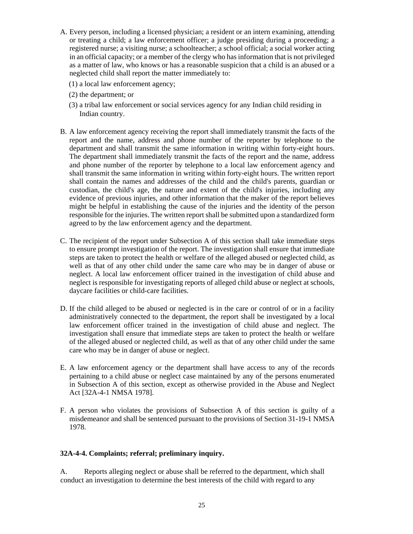- A. Every person, including a licensed physician; a resident or an intern examining, attending or treating a child; a law enforcement officer; a judge presiding during a proceeding; a registered nurse; a visiting nurse; a schoolteacher; a school official; a social worker acting in an official capacity; or a member of the clergy who has information that is not privileged as a matter of law, who knows or has a reasonable suspicion that a child is an abused or a neglected child shall report the matter immediately to:
	- (1) a local law enforcement agency;
	- (2) the department; or
	- (3) a tribal law enforcement or social services agency for any Indian child residing in Indian country.
- B. A law enforcement agency receiving the report shall immediately transmit the facts of the report and the name, address and phone number of the reporter by telephone to the department and shall transmit the same information in writing within forty-eight hours. The department shall immediately transmit the facts of the report and the name, address and phone number of the reporter by telephone to a local law enforcement agency and shall transmit the same information in writing within forty-eight hours. The written report shall contain the names and addresses of the child and the child's parents, guardian or custodian, the child's age, the nature and extent of the child's injuries, including any evidence of previous injuries, and other information that the maker of the report believes might be helpful in establishing the cause of the injuries and the identity of the person responsible for the injuries. The written report shall be submitted upon a standardized form agreed to by the law enforcement agency and the department.
- C. The recipient of the report under Subsection A of this section shall take immediate steps to ensure prompt investigation of the report. The investigation shall ensure that immediate steps are taken to protect the health or welfare of the alleged abused or neglected child, as well as that of any other child under the same care who may be in danger of abuse or neglect. A local law enforcement officer trained in the investigation of child abuse and neglect is responsible for investigating reports of alleged child abuse or neglect at schools, daycare facilities or child-care facilities.
- D. If the child alleged to be abused or neglected is in the care or control of or in a facility administratively connected to the department, the report shall be investigated by a local law enforcement officer trained in the investigation of child abuse and neglect. The investigation shall ensure that immediate steps are taken to protect the health or welfare of the alleged abused or neglected child, as well as that of any other child under the same care who may be in danger of abuse or neglect.
- E. A law enforcement agency or the department shall have access to any of the records pertaining to a child abuse or neglect case maintained by any of the persons enumerated in Subsection A of this section, except as otherwise provided in the Abuse and Neglect Act [32A-4-1 NMSA 1978].
- F. A person who violates the provisions of Subsection A of this section is guilty of a misdemeanor and shall be sentenced pursuant to the provisions of Section 31-19-1 NMSA 1978.

### **32A-4-4. Complaints; referral; preliminary inquiry.**

A. Reports alleging neglect or abuse shall be referred to the department, which shall conduct an investigation to determine the best interests of the child with regard to any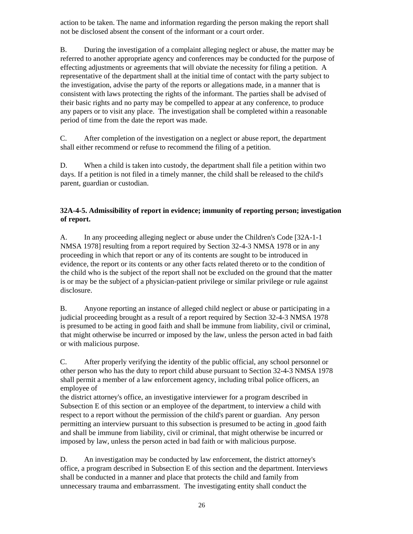action to be taken. The name and information regarding the person making the report shall not be disclosed absent the consent of the informant or a court order.

B. During the investigation of a complaint alleging neglect or abuse, the matter may be referred to another appropriate agency and conferences may be conducted for the purpose of effecting adjustments or agreements that will obviate the necessity for filing a petition. A representative of the department shall at the initial time of contact with the party subject to the investigation, advise the party of the reports or allegations made, in a manner that is consistent with laws protecting the rights of the informant. The parties shall be advised of their basic rights and no party may be compelled to appear at any conference, to produce any papers or to visit any place. The investigation shall be completed within a reasonable period of time from the date the report was made.

C. After completion of the investigation on a neglect or abuse report, the department shall either recommend or refuse to recommend the filing of a petition.

D. When a child is taken into custody, the department shall file a petition within two days. If a petition is not filed in a timely manner, the child shall be released to the child's parent, guardian or custodian.

# **32A-4-5. Admissibility of report in evidence; immunity of reporting person; investigation of report.**

A. In any proceeding alleging neglect or abuse under the Children's Code [32A-1-1 NMSA 1978] resulting from a report required by Section 32-4-3 NMSA 1978 or in any proceeding in which that report or any of its contents are sought to be introduced in evidence, the report or its contents or any other facts related thereto or to the condition of the child who is the subject of the report shall not be excluded on the ground that the matter is or may be the subject of a physician-patient privilege or similar privilege or rule against disclosure.

B. Anyone reporting an instance of alleged child neglect or abuse or participating in a judicial proceeding brought as a result of a report required by Section 32-4-3 NMSA 1978 is presumed to be acting in good faith and shall be immune from liability, civil or criminal, that might otherwise be incurred or imposed by the law, unless the person acted in bad faith or with malicious purpose.

C. After properly verifying the identity of the public official, any school personnel or other person who has the duty to report child abuse pursuant to Section 32-4-3 NMSA 1978 shall permit a member of a law enforcement agency, including tribal police officers, an employee of

the district attorney's office, an investigative interviewer for a program described in Subsection E of this section or an employee of the department, to interview a child with respect to a report without the permission of the child's parent or guardian. Any person permitting an interview pursuant to this subsection is presumed to be acting in ,good faith and shall be immune from liability, civil or criminal, that might otherwise be incurred or imposed by law, unless the person acted in bad faith or with malicious purpose.

D. An investigation may be conducted by law enforcement, the district attorney's office, a program described in Subsection E of this section and the department. Interviews shall be conducted in a manner and place that protects the child and family from unnecessary trauma and embarrassment. The investigating entity shall conduct the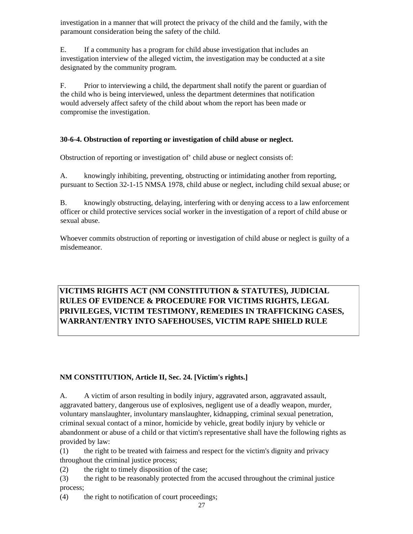investigation in a manner that will protect the privacy of the child and the family, with the paramount consideration being the safety of the child.

E. If a community has a program for child abuse investigation that includes an investigation interview of the alleged victim, the investigation may be conducted at a site designated by the community program.

F. Prior to interviewing a child, the department shall notify the parent or guardian of the child who is being interviewed, unless the department determines that notification would adversely affect safety of the child about whom the report has been made or compromise the investigation.

# **30-6-4. Obstruction of reporting or investigation of child abuse or neglect.**

Obstruction of reporting or investigation of' child abuse or neglect consists of:

A. knowingly inhibiting, preventing, obstructing or intimidating another from reporting, pursuant to Section 32-1-15 NMSA 1978, child abuse or neglect, including child sexual abuse; or

B. knowingly obstructing, delaying, interfering with or denying access to a law enforcement officer or child protective services social worker in the investigation of a report of child abuse or sexual abuse.

Whoever commits obstruction of reporting or investigation of child abuse or neglect is guilty of a misdemeanor.

# **VICTIMS RIGHTS ACT (NM CONSTITUTION & STATUTES), JUDICIAL RULES OF EVIDENCE & PROCEDURE FOR VICTIMS RIGHTS, LEGAL PRIVILEGES, VICTIM TESTIMONY, REMEDIES IN TRAFFICKING CASES, WARRANT/ENTRY INTO SAFEHOUSES, VICTIM RAPE SHIELD RULE**

# **NM CONSTITUTION, Article II, Sec. 24. [Victim's rights.]**

A. A victim of arson resulting in bodily injury, aggravated arson, aggravated assault, aggravated battery, dangerous use of explosives, negligent use of a deadly weapon, murder, voluntary manslaughter, involuntary manslaughter, kidnapping, criminal sexual penetration, criminal sexual contact of a minor, homicide by vehicle, great bodily injury by vehicle or abandonment or abuse of a child or that victim's representative shall have the following rights as provided by law:

(1) the right to be treated with fairness and respect for the victim's dignity and privacy throughout the criminal justice process;

(2) the right to timely disposition of the case;

(3) the right to be reasonably protected from the accused throughout the criminal justice process;

(4) the right to notification of court proceedings;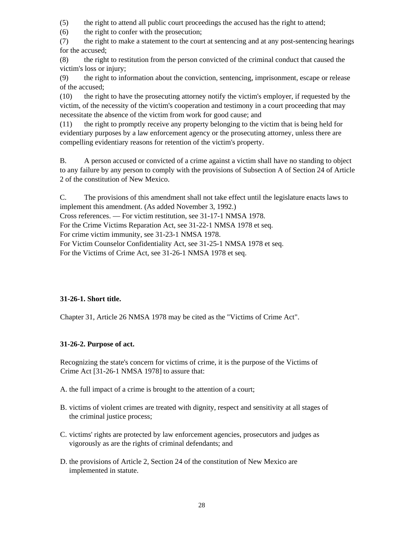(5) the right to attend all public court proceedings the accused has the right to attend;

(6) the right to confer with the prosecution;

(7) the right to make a statement to the court at sentencing and at any post-sentencing hearings for the accused;

(8) the right to restitution from the person convicted of the criminal conduct that caused the victim's loss or injury;

(9) the right to information about the conviction, sentencing, imprisonment, escape or release of the accused;

(10) the right to have the prosecuting attorney notify the victim's employer, if requested by the victim, of the necessity of the victim's cooperation and testimony in a court proceeding that may necessitate the absence of the victim from work for good cause; and

(11) the right to promptly receive any property belonging to the victim that is being held for evidentiary purposes by a law enforcement agency or the prosecuting attorney, unless there are compelling evidentiary reasons for retention of the victim's property.

B. A person accused or convicted of a crime against a victim shall have no standing to object to any failure by any person to comply with the provisions of Subsection A of Section 24 of Article 2 of the constitution of New Mexico.

C. The provisions of this amendment shall not take effect until the legislature enacts laws to implement this amendment. (As added November 3, 1992.)

Cross references. — For victim restitution, see 31-17-1 NMSA 1978.

For the Crime Victims Reparation Act, see 31-22-1 NMSA 1978 et seq.

For crime victim immunity, see 31-23-1 NMSA 1978.

For Victim Counselor Confidentiality Act, see 31-25-1 NMSA 1978 et seq. For the Victims of Crime Act, see 31-26-1 NMSA 1978 et seq.

# **31-26-1. Short title.**

Chapter 31, Article 26 NMSA 1978 may be cited as the "Victims of Crime Act".

# **31-26-2. Purpose of act.**

Recognizing the state's concern for victims of crime, it is the purpose of the Victims of Crime Act [31-26-1 NMSA 1978] to assure that:

A. the full impact of a crime is brought to the attention of a court;

- B. victims of violent crimes are treated with dignity, respect and sensitivity at all stages of the criminal justice process;
- C. victims' rights are protected by law enforcement agencies, prosecutors and judges as vigorously as are the rights of criminal defendants; and
- D. the provisions of Article 2, Section 24 of the constitution of New Mexico are implemented in statute.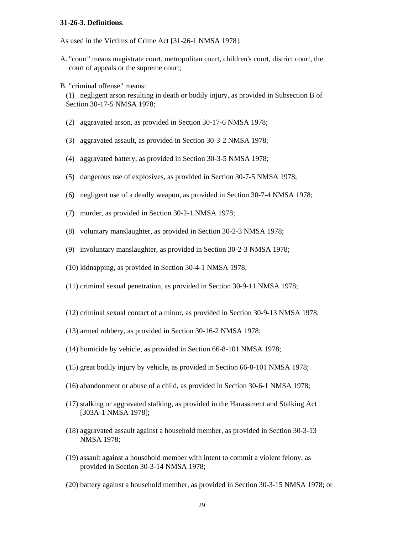#### **31-26-3. Definitions**.

As used in the Victims of Crime Act [31-26-1 NMSA 1978]:

A. "court" means magistrate court, metropolitan court, children's court, district court, the court of appeals or the supreme court;

B. "criminal offense" means:

(1) negligent arson resulting in death or bodily injury, as provided in Subsection B of Section 30-17-5 NMSA 1978;

- (2) aggravated arson, as provided in Section 30-17-6 NMSA 1978;
- (3) aggravated assault, as provided in Section 30-3-2 NMSA 1978;
- (4) aggravated battery, as provided in Section 30-3-5 NMSA 1978;
- (5) dangerous use of explosives, as provided in Section 30-7-5 NMSA 1978;
- (6) negligent use of a deadly weapon, as provided in Section 30-7-4 NMSA 1978;
- (7) murder, as provided in Section 30-2-1 NMSA 1978;
- (8) voluntary manslaughter, as provided in Section 30-2-3 NMSA 1978;
- (9) involuntary manslaughter, as provided in Section 30-2-3 NMSA 1978;
- (10) kidnapping, as provided in Section 30-4-1 NMSA 1978;
- (11) criminal sexual penetration, as provided in Section 30-9-11 NMSA 1978;
- (12) criminal sexual contact of a minor, as provided in Section 30-9-13 NMSA 1978;
- (13) armed robbery, as provided in Section 30-16-2 NMSA 1978;
- (14) homicide by vehicle, as provided in Section 66-8-101 NMSA 1978;
- (15) great bodily injury by vehicle, as provided in Section 66-8-101 NMSA 1978;
- (16) abandonment or abuse of a child, as provided in Section 30-6-1 NMSA 1978;
- (17) stalking or aggravated stalking, as provided in the Harassment and Stalking Act [303A-1 NMSA 1978];
- (18) aggravated assault against a household member, as provided in Section 30-3-13 NMSA 1978;
- (19) assault against a household member with intent to commit a violent felony, as provided in Section 30-3-14 NMSA 1978;
- (20) battery against a household member, as provided in Section 30-3-15 NMSA 1978; or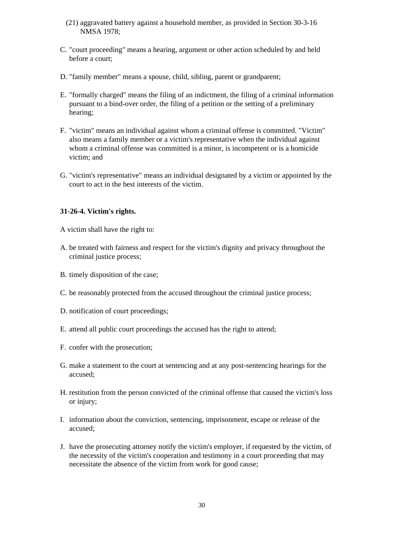- (21) aggravated battery against a household member, as provided in Section 30-3-16 NMSA 1978;
- C. "court proceeding" means a hearing, argument or other action scheduled by and held before a court;
- D. "family member" means a spouse, child, sibling, parent or grandparent;
- E. "formally charged" means the filing of an indictment, the filing of a criminal information pursuant to a bind-over order, the filing of a petition or the setting of a preliminary hearing;
- F. "victim" means an individual against whom a criminal offense is committed. "Victim" also means a family member or a victim's representative when the individual against whom a criminal offense was committed is a minor, is incompetent or is a homicide victim; and
- G. "victim's representative" means an individual designated by a victim or appointed by the court to act in the best interests of the victim.

# **31-26-4. Victim's rights.**

A victim shall have the right to:

- A. be treated with fairness and respect for the victim's dignity and privacy throughout the criminal justice process;
- B. timely disposition of the case;
- C. be reasonably protected from the accused throughout the criminal justice process;
- D. notification of court proceedings;
- E. attend all public court proceedings the accused has the right to attend;
- F. confer with the prosecution;
- G. make a statement to the court at sentencing and at any post-sentencing hearings for the accused;
- H. restitution from the person convicted of the criminal offense that caused the victim's loss or injury;
- I. information about the conviction, sentencing, imprisonment, escape or release of the accused;
- J. have the prosecuting attorney notify the victim's employer, if requested by the victim, of the necessity of the victim's cooperation and testimony in a court proceeding that may necessitate the absence of the victim from work for good cause;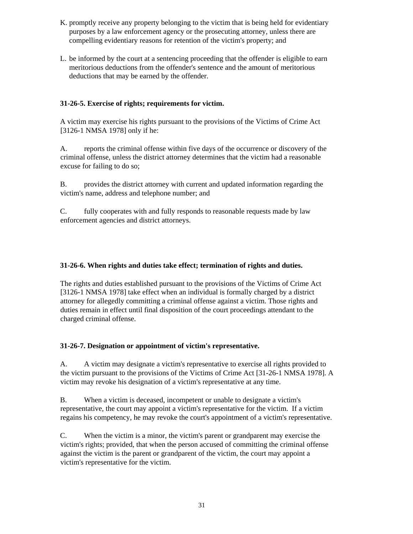- K. promptly receive any property belonging to the victim that is being held for evidentiary purposes by a law enforcement agency or the prosecuting attorney, unless there are compelling evidentiary reasons for retention of the victim's property; and
- L. be informed by the court at a sentencing proceeding that the offender is eligible to earn meritorious deductions from the offender's sentence and the amount of meritorious deductions that may be earned by the offender.

### **31-26-5. Exercise of rights; requirements for victim.**

A victim may exercise his rights pursuant to the provisions of the Victims of Crime Act [3126-1 NMSA 1978] only if he:

A. reports the criminal offense within five days of the occurrence or discovery of the criminal offense, unless the district attorney determines that the victim had a reasonable excuse for failing to do so;

B. provides the district attorney with current and updated information regarding the victim's name, address and telephone number; and

C. fully cooperates with and fully responds to reasonable requests made by law enforcement agencies and district attorneys.

#### **31-26-6. When rights and duties take effect; termination of rights and duties.**

The rights and duties established pursuant to the provisions of the Victims of Crime Act [3126-1 NMSA 1978] take effect when an individual is formally charged by a district attorney for allegedly committing a criminal offense against a victim. Those rights and duties remain in effect until final disposition of the court proceedings attendant to the charged criminal offense.

#### **31-26-7. Designation or appointment of victim's representative.**

A. A victim may designate a victim's representative to exercise all rights provided to the victim pursuant to the provisions of the Victims of Crime Act [31-26-1 NMSA 1978]. A victim may revoke his designation of a victim's representative at any time.

B. When a victim is deceased, incompetent or unable to designate a victim's representative, the court may appoint a victim's representative for the victim. If a victim regains his competency, he may revoke the court's appointment of a victim's representative.

C. When the victim is a minor, the victim's parent or grandparent may exercise the victim's rights; provided, that when the person accused of committing the criminal offense against the victim is the parent or grandparent of the victim, the court may appoint a victim's representative for the victim.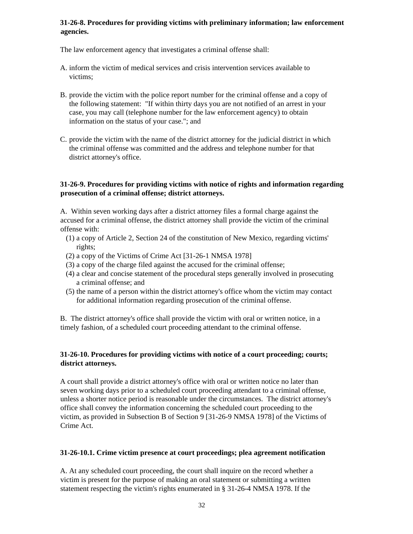### **31-26-8. Procedures for providing victims with preliminary information; law enforcement agencies.**

The law enforcement agency that investigates a criminal offense shall:

- A. inform the victim of medical services and crisis intervention services available to victims;
- B. provide the victim with the police report number for the criminal offense and a copy of the following statement: "If within thirty days you are not notified of an arrest in your case, you may call (telephone number for the law enforcement agency) to obtain information on the status of your case."; and
- C. provide the victim with the name of the district attorney for the judicial district in which the criminal offense was committed and the address and telephone number for that district attorney's office.

# **31-26-9. Procedures for providing victims with notice of rights and information regarding prosecution of a criminal offense; district attorneys.**

A. Within seven working days after a district attorney files a formal charge against the accused for a criminal offense, the district attorney shall provide the victim of the criminal offense with:

- (1) a copy of Article 2, Section 24 of the constitution of New Mexico, regarding victims' rights;
- (2) a copy of the Victims of Crime Act [31-26-1 NMSA 1978]
- (3) a copy of the charge filed against the accused for the criminal offense;
- (4) a clear and concise statement of the procedural steps generally involved in prosecuting a criminal offense; and
- (5) the name of a person within the district attorney's office whom the victim may contact for additional information regarding prosecution of the criminal offense.

B. The district attorney's office shall provide the victim with oral or written notice, in a timely fashion, of a scheduled court proceeding attendant to the criminal offense.

### **31-26-10. Procedures for providing victims with notice of a court proceeding; courts; district attorneys.**

A court shall provide a district attorney's office with oral or written notice no later than seven working days prior to a scheduled court proceeding attendant to a criminal offense, unless a shorter notice period is reasonable under the circumstances. The district attorney's office shall convey the information concerning the scheduled court proceeding to the victim, as provided in Subsection B of Section 9 [31-26-9 NMSA 1978] of the Victims of Crime Act.

# **31-26-10.1. Crime victim presence at court proceedings; plea agreement notification**

A. At any scheduled court proceeding, the court shall inquire on the record whether a victim is present for the purpose of making an oral statement or submitting a written statement respecting the victim's rights enumerated in § 31-26-4 NMSA 1978. If the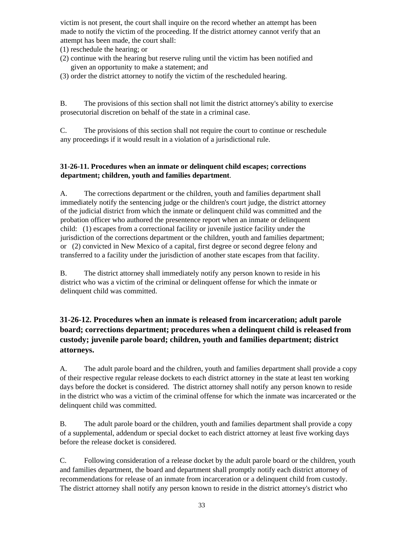victim is not present, the court shall inquire on the record whether an attempt has been made to notify the victim of the proceeding. If the district attorney cannot verify that an attempt has been made, the court shall:

- (1) reschedule the hearing; or
- (2) continue with the hearing but reserve ruling until the victim has been notified and given an opportunity to make a statement; and
- (3) order the district attorney to notify the victim of the rescheduled hearing.

B. The provisions of this section shall not limit the district attorney's ability to exercise prosecutorial discretion on behalf of the state in a criminal case.

C. The provisions of this section shall not require the court to continue or reschedule any proceedings if it would result in a violation of a jurisdictional rule.

### **31-26-11. Procedures when an inmate or delinquent child escapes; corrections department; children, youth and families department**.

A. The corrections department or the children, youth and families department shall immediately notify the sentencing judge or the children's court judge, the district attorney of the judicial district from which the inmate or delinquent child was committed and the probation officer who authored the presentence report when an inmate or delinquent child: (1) escapes from a correctional facility or juvenile justice facility under the jurisdiction of the corrections department or the children, youth and families department; or (2) convicted in New Mexico of a capital, first degree or second degree felony and transferred to a facility under the jurisdiction of another state escapes from that facility.

B. The district attorney shall immediately notify any person known to reside in his district who was a victim of the criminal or delinquent offense for which the inmate or delinquent child was committed.

# **31-26-12. Procedures when an inmate is released from incarceration; adult parole board; corrections department; procedures when a delinquent child is released from custody; juvenile parole board; children, youth and families department; district attorneys.**

A. The adult parole board and the children, youth and families department shall provide a copy of their respective regular release dockets to each district attorney in the state at least ten working days before the docket is considered. The district attorney shall notify any person known to reside in the district who was a victim of the criminal offense for which the inmate was incarcerated or the delinquent child was committed.

B. The adult parole board or the children, youth and families department shall provide a copy of a supplemental, addendum or special docket to each district attorney at least five working days before the release docket is considered.

C. Following consideration of a release docket by the adult parole board or the children, youth and families department, the board and department shall promptly notify each district attorney of recommendations for release of an inmate from incarceration or a delinquent child from custody. The district attorney shall notify any person known to reside in the district attorney's district who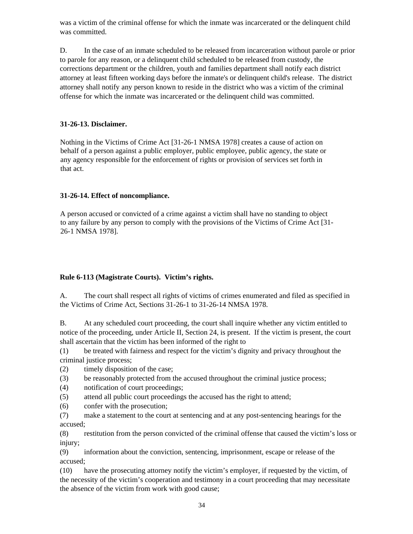was a victim of the criminal offense for which the inmate was incarcerated or the delinquent child was committed.

D. In the case of an inmate scheduled to be released from incarceration without parole or prior to parole for any reason, or a delinquent child scheduled to be released from custody, the corrections department or the children, youth and families department shall notify each district attorney at least fifteen working days before the inmate's or delinquent child's release. The district attorney shall notify any person known to reside in the district who was a victim of the criminal offense for which the inmate was incarcerated or the delinquent child was committed.

# **31-26-13. Disclaimer.**

Nothing in the Victims of Crime Act [31-26-1 NMSA 1978] creates a cause of action on behalf of a person against a public employer, public employee, public agency, the state or any agency responsible for the enforcement of rights or provision of services set forth in that act.

# **31-26-14. Effect of noncompliance.**

A person accused or convicted of a crime against a victim shall have no standing to object to any failure by any person to comply with the provisions of the Victims of Crime Act [31- 26-1 NMSA 1978].

# **Rule 6-113 (Magistrate Courts). Victim's rights.**

A. The court shall respect all rights of victims of crimes enumerated and filed as specified in the Victims of Crime Act, Sections 31-26-1 to 31-26-14 NMSA 1978.

B. At any scheduled court proceeding, the court shall inquire whether any victim entitled to notice of the proceeding, under Article II, Section 24, is present. If the victim is present, the court shall ascertain that the victim has been informed of the right to

(1) be treated with fairness and respect for the victim's dignity and privacy throughout the criminal justice process;

(2) timely disposition of the case;

- (3) be reasonably protected from the accused throughout the criminal justice process;
- (4) notification of court proceedings;
- (5) attend all public court proceedings the accused has the right to attend;
- (6) confer with the prosecution;

(7) make a statement to the court at sentencing and at any post-sentencing hearings for the accused;

(8) restitution from the person convicted of the criminal offense that caused the victim's loss or injury;

(9) information about the conviction, sentencing, imprisonment, escape or release of the accused;

(10) have the prosecuting attorney notify the victim's employer, if requested by the victim, of the necessity of the victim's cooperation and testimony in a court proceeding that may necessitate the absence of the victim from work with good cause;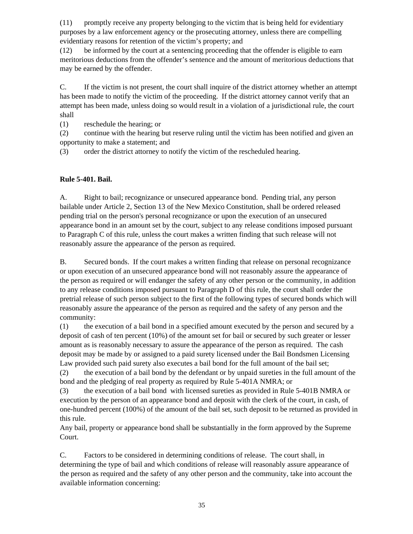(11) promptly receive any property belonging to the victim that is being held for evidentiary purposes by a law enforcement agency or the prosecuting attorney, unless there are compelling evidentiary reasons for retention of the victim's property; and

(12) be informed by the court at a sentencing proceeding that the offender is eligible to earn meritorious deductions from the offender's sentence and the amount of meritorious deductions that may be earned by the offender.

C. If the victim is not present, the court shall inquire of the district attorney whether an attempt has been made to notify the victim of the proceeding. If the district attorney cannot verify that an attempt has been made, unless doing so would result in a violation of a jurisdictional rule, the court shall

(1) reschedule the hearing; or

(2) continue with the hearing but reserve ruling until the victim has been notified and given an opportunity to make a statement; and

(3) order the district attorney to notify the victim of the rescheduled hearing.

# **Rule 5-401. Bail.**

A. Right to bail; recognizance or unsecured appearance bond. Pending trial, any person bailable under Article 2, Section 13 of the New Mexico Constitution, shall be ordered released pending trial on the person's personal recognizance or upon the execution of an unsecured appearance bond in an amount set by the court, subject to any release conditions imposed pursuant to Paragraph C of this rule, unless the court makes a written finding that such release will not reasonably assure the appearance of the person as required.

B. Secured bonds. If the court makes a written finding that release on personal recognizance or upon execution of an unsecured appearance bond will not reasonably assure the appearance of the person as required or will endanger the safety of any other person or the community, in addition to any release conditions imposed pursuant to Paragraph D of this rule, the court shall order the pretrial release of such person subject to the first of the following types of secured bonds which will reasonably assure the appearance of the person as required and the safety of any person and the community:

(1) the execution of a bail bond in a specified amount executed by the person and secured by a deposit of cash of ten percent (10%) of the amount set for bail or secured by such greater or lesser amount as is reasonably necessary to assure the appearance of the person as required. The cash deposit may be made by or assigned to a paid surety licensed under the Bail Bondsmen Licensing Law provided such paid surety also executes a bail bond for the full amount of the bail set;

(2) the execution of a bail bond by the defendant or by unpaid sureties in the full amount of the bond and the pledging of real property as required by Rule 5-401A NMRA; or

(3) the execution of a bail bond with licensed sureties as provided in Rule 5-401B NMRA or execution by the person of an appearance bond and deposit with the clerk of the court, in cash, of one-hundred percent (100%) of the amount of the bail set, such deposit to be returned as provided in this rule.

Any bail, property or appearance bond shall be substantially in the form approved by the Supreme Court.

C. Factors to be considered in determining conditions of release. The court shall, in determining the type of bail and which conditions of release will reasonably assure appearance of the person as required and the safety of any other person and the community, take into account the available information concerning: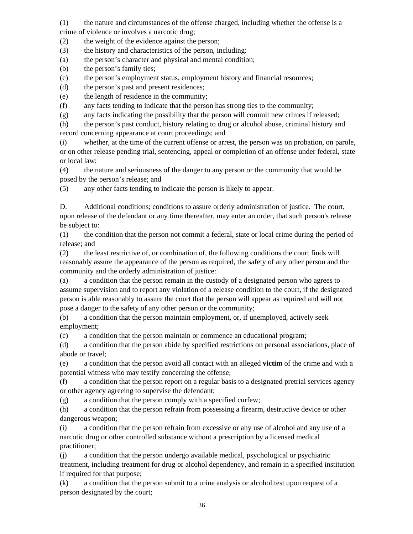(1) the nature and circumstances of the offense charged, including whether the offense is a crime of violence or involves a narcotic drug;

(2) the weight of the evidence against the person;

(3) the history and characteristics of the person, including:

(a) the person's character and physical and mental condition;

(b) the person's family ties;

(c) the person's employment status, employment history and financial resources;

(d) the person's past and present residences;

(e) the length of residence in the community;

(f) any facts tending to indicate that the person has strong ties to the community;

(g) any facts indicating the possibility that the person will commit new crimes if released;

(h) the person's past conduct, history relating to drug or alcohol abuse, criminal history and record concerning appearance at court proceedings; and

(i) whether, at the time of the current offense or arrest, the person was on probation, on parole, or on other release pending trial, sentencing, appeal or completion of an offense under federal, state or local law;

(4) the nature and seriousness of the danger to any person or the community that would be posed by the person's release; and

(5) any other facts tending to indicate the person is likely to appear.

D. Additional conditions; conditions to assure orderly administration of justice. The court, upon release of the defendant or any time thereafter, may enter an order, that such person's release be subject to:

(1) the condition that the person not commit a federal, state or local crime during the period of release; and

(2) the least restrictive of, or combination of, the following conditions the court finds will reasonably assure the appearance of the person as required, the safety of any other person and the community and the orderly administration of justice:

(a) a condition that the person remain in the custody of a designated person who agrees to assume supervision and to report any violation of a release condition to the court, if the designated person is able reasonably to assure the court that the person will appear as required and will not pose a danger to the safety of any other person or the community;

(b) a condition that the person maintain employment, or, if unemployed, actively seek employment;

(c) a condition that the person maintain or commence an educational program;

(d) a condition that the person abide by specified restrictions on personal associations, place of abode or travel;

(e) a condition that the person avoid all contact with an alleged **victim** of the crime and with a potential witness who may testify concerning the offense;

(f) a condition that the person report on a regular basis to a designated pretrial services agency or other agency agreeing to supervise the defendant;

(g) a condition that the person comply with a specified curfew;

(h) a condition that the person refrain from possessing a firearm, destructive device or other dangerous weapon;

(i) a condition that the person refrain from excessive or any use of alcohol and any use of a narcotic drug or other controlled substance without a prescription by a licensed medical practitioner;

(j) a condition that the person undergo available medical, psychological or psychiatric treatment, including treatment for drug or alcohol dependency, and remain in a specified institution if required for that purpose;

(k) a condition that the person submit to a urine analysis or alcohol test upon request of a person designated by the court;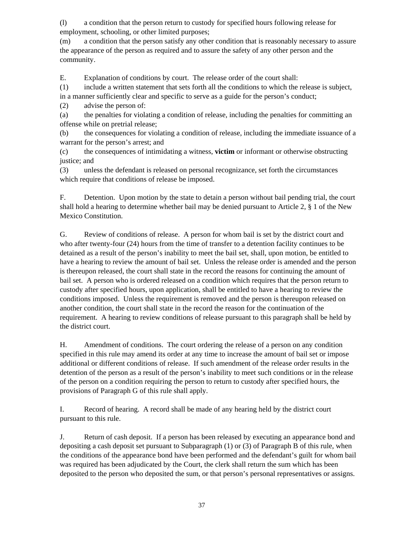(l) a condition that the person return to custody for specified hours following release for employment, schooling, or other limited purposes;

(m) a condition that the person satisfy any other condition that is reasonably necessary to assure the appearance of the person as required and to assure the safety of any other person and the community.

E. Explanation of conditions by court. The release order of the court shall:

(1) include a written statement that sets forth all the conditions to which the release is subject, in a manner sufficiently clear and specific to serve as a guide for the person's conduct;

(2) advise the person of:

(a) the penalties for violating a condition of release, including the penalties for committing an offense while on pretrial release;

(b) the consequences for violating a condition of release, including the immediate issuance of a warrant for the person's arrest; and

(c) the consequences of intimidating a witness, **victim** or informant or otherwise obstructing justice; and

(3) unless the defendant is released on personal recognizance, set forth the circumstances which require that conditions of release be imposed.

F. Detention. Upon motion by the state to detain a person without bail pending trial, the court shall hold a hearing to determine whether bail may be denied pursuant to Article 2, § 1 of the New Mexico Constitution.

G. Review of conditions of release. A person for whom bail is set by the district court and who after twenty-four (24) hours from the time of transfer to a detention facility continues to be detained as a result of the person's inability to meet the bail set, shall, upon motion, be entitled to have a hearing to review the amount of bail set. Unless the release order is amended and the person is thereupon released, the court shall state in the record the reasons for continuing the amount of bail set. A person who is ordered released on a condition which requires that the person return to custody after specified hours, upon application, shall be entitled to have a hearing to review the conditions imposed. Unless the requirement is removed and the person is thereupon released on another condition, the court shall state in the record the reason for the continuation of the requirement. A hearing to review conditions of release pursuant to this paragraph shall be held by the district court.

H. Amendment of conditions. The court ordering the release of a person on any condition specified in this rule may amend its order at any time to increase the amount of bail set or impose additional or different conditions of release. If such amendment of the release order results in the detention of the person as a result of the person's inability to meet such conditions or in the release of the person on a condition requiring the person to return to custody after specified hours, the provisions of Paragraph G of this rule shall apply.

I. Record of hearing. A record shall be made of any hearing held by the district court pursuant to this rule.

J. Return of cash deposit. If a person has been released by executing an appearance bond and depositing a cash deposit set pursuant to Subparagraph (1) or (3) of Paragraph B of this rule, when the conditions of the appearance bond have been performed and the defendant's guilt for whom bail was required has been adjudicated by the Court, the clerk shall return the sum which has been deposited to the person who deposited the sum, or that person's personal representatives or assigns.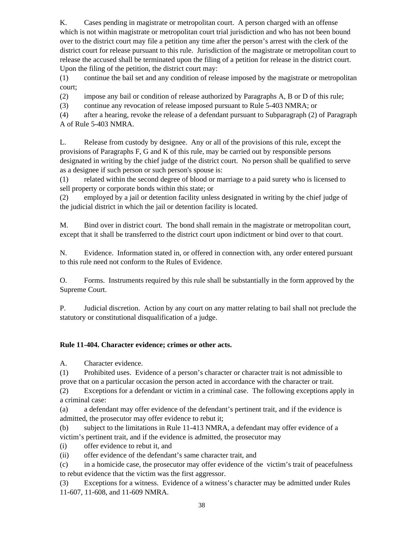K. Cases pending in magistrate or metropolitan court. A person charged with an offense which is not within magistrate or metropolitan court trial jurisdiction and who has not been bound over to the district court may file a petition any time after the person's arrest with the clerk of the district court for release pursuant to this rule. Jurisdiction of the magistrate or metropolitan court to release the accused shall be terminated upon the filing of a petition for release in the district court. Upon the filing of the petition, the district court may:

(1) continue the bail set and any condition of release imposed by the magistrate or metropolitan court;

(2) impose any bail or condition of release authorized by Paragraphs A, B or D of this rule;

(3) continue any revocation of release imposed pursuant to Rule 5-403 NMRA; or

(4) after a hearing, revoke the release of a defendant pursuant to Subparagraph (2) of Paragraph A of Rule 5-403 NMRA.

L. Release from custody by designee. Any or all of the provisions of this rule, except the provisions of Paragraphs F, G and K of this rule, may be carried out by responsible persons designated in writing by the chief judge of the district court. No person shall be qualified to serve as a designee if such person or such person's spouse is:

(1) related within the second degree of blood or marriage to a paid surety who is licensed to sell property or corporate bonds within this state; or

(2) employed by a jail or detention facility unless designated in writing by the chief judge of the judicial district in which the jail or detention facility is located.

M. Bind over in district court. The bond shall remain in the magistrate or metropolitan court, except that it shall be transferred to the district court upon indictment or bind over to that court.

N. Evidence. Information stated in, or offered in connection with, any order entered pursuant to this rule need not conform to the Rules of Evidence.

O. Forms. Instruments required by this rule shall be substantially in the form approved by the Supreme Court.

P. Judicial discretion. Action by any court on any matter relating to bail shall not preclude the statutory or constitutional disqualification of a judge.

#### **Rule 11-404. Character evidence; crimes or other acts.**

A. Character evidence.

(1) Prohibited uses. Evidence of a person's character or character trait is not admissible to prove that on a particular occasion the person acted in accordance with the character or trait.

(2) Exceptions for a defendant or victim in a criminal case. The following exceptions apply in a criminal case:

(a) a defendant may offer evidence of the defendant's pertinent trait, and if the evidence is admitted, the prosecutor may offer evidence to rebut it;

(b) subject to the limitations in Rule 11-413 NMRA, a defendant may offer evidence of a victim's pertinent trait, and if the evidence is admitted, the prosecutor may

(i) offer evidence to rebut it, and

(ii) offer evidence of the defendant's same character trait, and

(c) in a homicide case, the prosecutor may offer evidence of the victim's trait of peacefulness to rebut evidence that the victim was the first aggressor.

(3) Exceptions for a witness. Evidence of a witness's character may be admitted under Rules 11-607, 11-608, and 11-609 NMRA.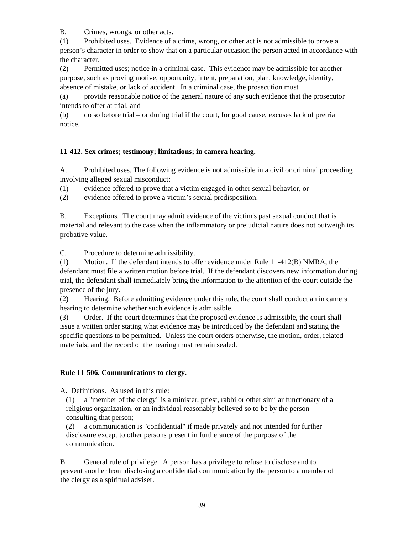B. Crimes, wrongs, or other acts.

(1) Prohibited uses. Evidence of a crime, wrong, or other act is not admissible to prove a person's character in order to show that on a particular occasion the person acted in accordance with the character.

(2) Permitted uses; notice in a criminal case. This evidence may be admissible for another purpose, such as proving motive, opportunity, intent, preparation, plan, knowledge, identity, absence of mistake, or lack of accident. In a criminal case, the prosecution must

(a) provide reasonable notice of the general nature of any such evidence that the prosecutor intends to offer at trial, and

(b) do so before trial – or during trial if the court, for good cause, excuses lack of pretrial notice.

#### **11-412. Sex crimes; testimony; limitations; in camera hearing.**

A. Prohibited uses. The following evidence is not admissible in a civil or criminal proceeding involving alleged sexual misconduct:

(1) evidence offered to prove that a victim engaged in other sexual behavior, or

(2) evidence offered to prove a victim's sexual predisposition.

B. Exceptions. The court may admit evidence of the victim's past sexual conduct that is material and relevant to the case when the inflammatory or prejudicial nature does not outweigh its probative value.

C. Procedure to determine admissibility.

(1) Motion. If the defendant intends to offer evidence under Rule 11-412(B) NMRA, the defendant must file a written motion before trial. If the defendant discovers new information during trial, the defendant shall immediately bring the information to the attention of the court outside the presence of the jury.

(2) Hearing. Before admitting evidence under this rule, the court shall conduct an in camera hearing to determine whether such evidence is admissible.

(3) Order. If the court determines that the proposed evidence is admissible, the court shall issue a written order stating what evidence may be introduced by the defendant and stating the specific questions to be permitted. Unless the court orders otherwise, the motion, order, related materials, and the record of the hearing must remain sealed.

## **Rule 11-506. Communications to clergy.**

A. Definitions. As used in this rule:

(1) a "member of the clergy" is a minister, priest, rabbi or other similar functionary of a religious organization, or an individual reasonably believed so to be by the person consulting that person;

(2) a communication is "confidential" if made privately and not intended for further disclosure except to other persons present in furtherance of the purpose of the communication.

B. General rule of privilege. A person has a privilege to refuse to disclose and to prevent another from disclosing a confidential communication by the person to a member of the clergy as a spiritual adviser.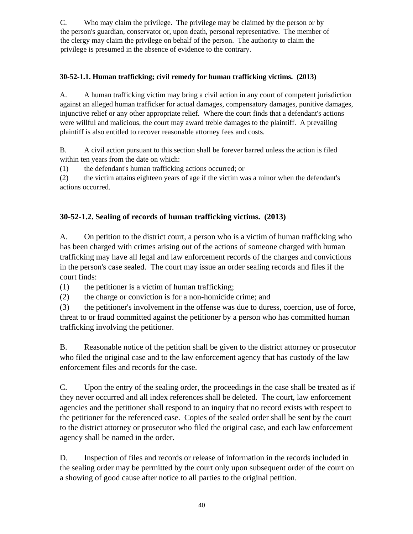C. Who may claim the privilege. The privilege may be claimed by the person or by the person's guardian, conservator or, upon death, personal representative. The member of the clergy may claim the privilege on behalf of the person. The authority to claim the privilege is presumed in the absence of evidence to the contrary.

### **30-52-1.1. Human trafficking; civil remedy for human trafficking victims. (2013)**

A. A human trafficking victim may bring a civil action in any court of competent jurisdiction against an alleged human trafficker for actual damages, compensatory damages, punitive damages, injunctive relief or any other appropriate relief. Where the court finds that a defendant's actions were willful and malicious, the court may award treble damages to the plaintiff. A prevailing plaintiff is also entitled to recover reasonable attorney fees and costs.

B. A civil action pursuant to this section shall be forever barred unless the action is filed within ten years from the date on which:

(1) the defendant's human trafficking actions occurred; or

(2) the victim attains eighteen years of age if the victim was a minor when the defendant's actions occurred.

# **30-52-1.2. Sealing of records of human trafficking victims. (2013)**

A. On petition to the district court, a person who is a victim of human trafficking who has been charged with crimes arising out of the actions of someone charged with human trafficking may have all legal and law enforcement records of the charges and convictions in the person's case sealed. The court may issue an order sealing records and files if the court finds:

(1) the petitioner is a victim of human trafficking;

(2) the charge or conviction is for a non-homicide crime; and

(3) the petitioner's involvement in the offense was due to duress, coercion, use of force, threat to or fraud committed against the petitioner by a person who has committed human trafficking involving the petitioner.

B. Reasonable notice of the petition shall be given to the district attorney or prosecutor who filed the original case and to the law enforcement agency that has custody of the law enforcement files and records for the case.

C. Upon the entry of the sealing order, the proceedings in the case shall be treated as if they never occurred and all index references shall be deleted. The court, law enforcement agencies and the petitioner shall respond to an inquiry that no record exists with respect to the petitioner for the referenced case. Copies of the sealed order shall be sent by the court to the district attorney or prosecutor who filed the original case, and each law enforcement agency shall be named in the order.

D. Inspection of files and records or release of information in the records included in the sealing order may be permitted by the court only upon subsequent order of the court on a showing of good cause after notice to all parties to the original petition.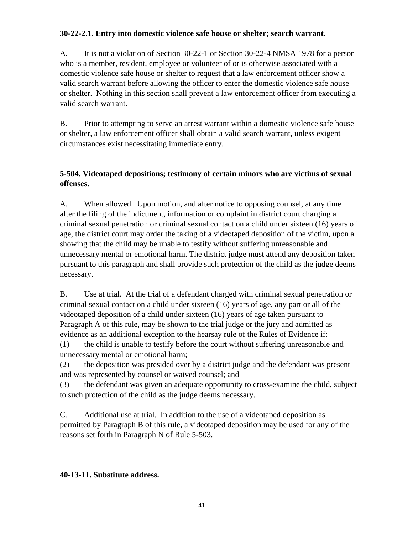## **30-22-2.1. Entry into domestic violence safe house or shelter; search warrant.**

A. It is not a violation of Section 30-22-1 or Section 30-22-4 NMSA 1978 for a person who is a member, resident, employee or volunteer of or is otherwise associated with a domestic violence safe house or shelter to request that a law enforcement officer show a valid search warrant before allowing the officer to enter the domestic violence safe house or shelter. Nothing in this section shall prevent a law enforcement officer from executing a valid search warrant.

B. Prior to attempting to serve an arrest warrant within a domestic violence safe house or shelter, a law enforcement officer shall obtain a valid search warrant, unless exigent circumstances exist necessitating immediate entry.

# **5-504. Videotaped depositions; testimony of certain minors who are victims of sexual offenses.**

A. When allowed. Upon motion, and after notice to opposing counsel, at any time after the filing of the indictment, information or complaint in district court charging a criminal sexual penetration or criminal sexual contact on a child under sixteen (16) years of age, the district court may order the taking of a videotaped deposition of the victim, upon a showing that the child may be unable to testify without suffering unreasonable and unnecessary mental or emotional harm. The district judge must attend any deposition taken pursuant to this paragraph and shall provide such protection of the child as the judge deems necessary.

B. Use at trial. At the trial of a defendant charged with criminal sexual penetration or criminal sexual contact on a child under sixteen (16) years of age, any part or all of the videotaped deposition of a child under sixteen (16) years of age taken pursuant to Paragraph A of this rule, may be shown to the trial judge or the jury and admitted as evidence as an additional exception to the hearsay rule of the Rules of Evidence if:

(1) the child is unable to testify before the court without suffering unreasonable and unnecessary mental or emotional harm;

(2) the deposition was presided over by a district judge and the defendant was present and was represented by counsel or waived counsel; and

(3) the defendant was given an adequate opportunity to cross-examine the child, subject to such protection of the child as the judge deems necessary.

C. Additional use at trial. In addition to the use of a videotaped deposition as permitted by Paragraph B of this rule, a videotaped deposition may be used for any of the reasons set forth in Paragraph N of Rule 5-503.

# **40-13-11. Substitute address.**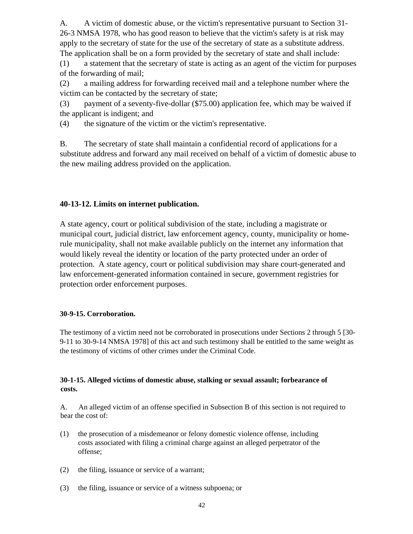A. A victim of domestic abuse, or the victim's representative pursuant to Section 31- 26-3 NMSA 1978, who has good reason to believe that the victim's safety is at risk may apply to the secretary of state for the use of the secretary of state as a substitute address. The application shall be on a form provided by the secretary of state and shall include:

(1) a statement that the secretary of state is acting as an agent of the victim for purposes of the forwarding of mail;

(2) a mailing address for forwarding received mail and a telephone number where the victim can be contacted by the secretary of state;

(3) payment of a seventy-five-dollar (\$75.00) application fee, which may be waived if the applicant is indigent; and

(4) the signature of the victim or the victim's representative.

B. The secretary of state shall maintain a confidential record of applications for a substitute address and forward any mail received on behalf of a victim of domestic abuse to the new mailing address provided on the application.

# **40-13-12. Limits on internet publication.**

A state agency, court or political subdivision of the state, including a magistrate or municipal court, judicial district, law enforcement agency, county, municipality or homerule municipality, shall not make available publicly on the internet any information that would likely reveal the identity or location of the party protected under an order of protection. A state agency, court or political subdivision may share court-generated and law enforcement-generated information contained in secure, government registries for protection order enforcement purposes.

#### **30-9-15. Corroboration.**

The testimony of a victim need not be corroborated in prosecutions under Sections 2 through 5 [30- 9-11 to 30-9-14 NMSA 1978] of this act and such testimony shall be entitled to the same weight as the testimony of victims of other crimes under the Criminal Code.

#### **30-1-15. Alleged victims of domestic abuse, stalking or sexual assault; forbearance of costs.**

A. An alleged victim of an offense specified in Subsection B of this section is not required to bear the cost of:

- (1) the prosecution of a misdemeanor or felony domestic violence offense, including costs associated with filing a criminal charge against an alleged perpetrator of the offense;
- (2) the filing, issuance or service of a warrant;
- (3) the filing, issuance or service of a witness subpoena; or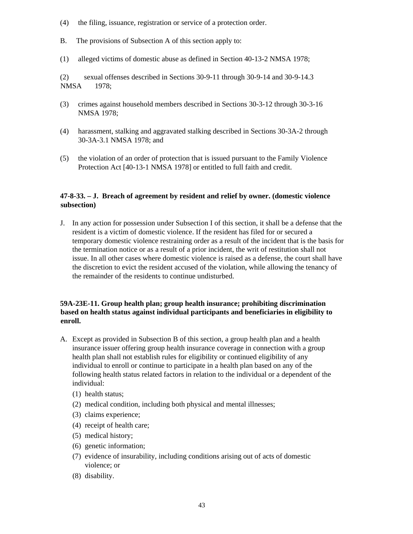- (4) the filing, issuance, registration or service of a protection order.
- B. The provisions of Subsection A of this section apply to:
- (1) alleged victims of domestic abuse as defined in Section 40-13-2 NMSA 1978;

(2) sexual offenses described in Sections 30-9-11 through 30-9-14 and 30-9-14.3 NMSA 1978;

- (3) crimes against household members described in Sections 30-3-12 through 30-3-16 NMSA 1978;
- (4) harassment, stalking and aggravated stalking described in Sections 30-3A-2 through 30-3A-3.1 NMSA 1978; and
- (5) the violation of an order of protection that is issued pursuant to the Family Violence Protection Act [40-13-1 NMSA 1978] or entitled to full faith and credit.

#### **47-8-33. – J. Breach of agreement by resident and relief by owner. (domestic violence subsection)**

J. In any action for possession under Subsection I of this section, it shall be a defense that the resident is a victim of domestic violence. If the resident has filed for or secured a temporary domestic violence restraining order as a result of the incident that is the basis for the termination notice or as a result of a prior incident, the writ of restitution shall not issue. In all other cases where domestic violence is raised as a defense, the court shall have the discretion to evict the resident accused of the violation, while allowing the tenancy of the remainder of the residents to continue undisturbed.

#### **59A-23E-11. Group health plan; group health insurance; prohibiting discrimination based on health status against individual participants and beneficiaries in eligibility to enroll.**

- A. Except as provided in Subsection B of this section, a group health plan and a health insurance issuer offering group health insurance coverage in connection with a group health plan shall not establish rules for eligibility or continued eligibility of any individual to enroll or continue to participate in a health plan based on any of the following health status related factors in relation to the individual or a dependent of the individual:
	- (1) health status;
	- (2) medical condition, including both physical and mental illnesses;
	- (3) claims experience;
	- (4) receipt of health care;
	- (5) medical history;
	- (6) genetic information;
	- (7) evidence of insurability, including conditions arising out of acts of domestic violence; or
	- (8) disability.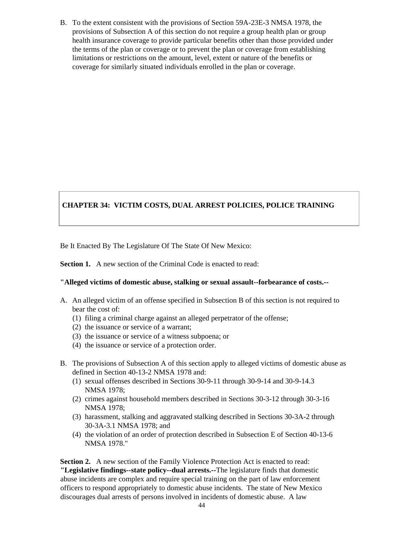B. To the extent consistent with the provisions of Section 59A-23E-3 NMSA 1978, the provisions of Subsection A of this section do not require a group health plan or group health insurance coverage to provide particular benefits other than those provided under the terms of the plan or coverage or to prevent the plan or coverage from establishing limitations or restrictions on the amount, level, extent or nature of the benefits or coverage for similarly situated individuals enrolled in the plan or coverage.

### **CHAPTER 34: VICTIM COSTS, DUAL ARREST POLICIES, POLICE TRAINING**

Be It Enacted By The Legislature Of The State Of New Mexico:

**Section 1.** A new section of the Criminal Code is enacted to read:

#### **"Alleged victims of domestic abuse, stalking or sexual assault--forbearance of costs.--**

- A. An alleged victim of an offense specified in Subsection B of this section is not required to bear the cost of:
	- (1) filing a criminal charge against an alleged perpetrator of the offense;
	- (2) the issuance or service of a warrant;
	- (3) the issuance or service of a witness subpoena; or
	- (4) the issuance or service of a protection order.
- B. The provisions of Subsection A of this section apply to alleged victims of domestic abuse as defined in Section 40-13-2 NMSA 1978 and:
	- (1) sexual offenses described in Sections 30-9-11 through 30-9-14 and 30-9-14.3 NMSA 1978;
	- (2) crimes against household members described in Sections 30-3-12 through 30-3-16 NMSA 1978;
	- (3) harassment, stalking and aggravated stalking described in Sections 30-3A-2 through 30-3A-3.1 NMSA 1978; and
	- (4) the violation of an order of protection described in Subsection E of Section 40-13-6 NMSA 1978."

**Section 2.** A new section of the Family Violence Protection Act is enacted to read: **"Legislative findings--state policy--dual arrests.--**The legislature finds that domestic abuse incidents are complex and require special training on the part of law enforcement officers to respond appropriately to domestic abuse incidents. The state of New Mexico discourages dual arrests of persons involved in incidents of domestic abuse. A law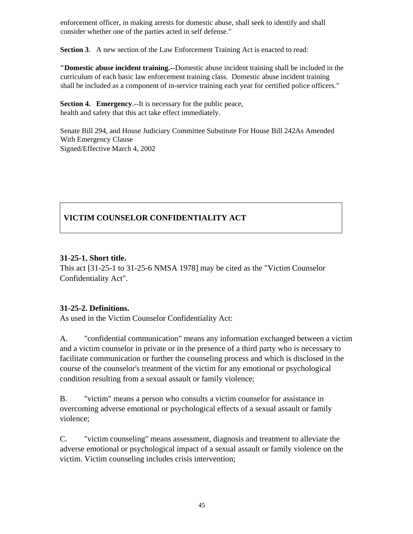enforcement officer, in making arrests for domestic abuse, shall seek to identify and shall consider whether one of the parties acted in self defense."

**Section 3.** A new section of the Law Enforcement Training Act is enacted to read:

**"Domestic abuse incident training.--**Domestic abuse incident training shall be included in the curriculum of each basic law enforcement training class. Domestic abuse incident training shall be included as a component of in-service training each year for certified police officers."

**Section 4. Emergency**.--It is necessary for the public peace, health and safety that this act take effect immediately.

Senate Bill 294, and House Judiciary Committee Substitute For House Bill 242As Amended With Emergency Clause Signed/Effective March 4, 2002

# **VICTIM COUNSELOR CONFIDENTIALITY ACT**

## **31-25-1. Short title.**

This act [31-25-1 to 31-25-6 NMSA 1978] may be cited as the "Victim Counselor Confidentiality Act".

# **31-25-2. Definitions.**

As used in the Victim Counselor Confidentiality Act:

A. "confidential communication" means any information exchanged between a victim and a victim counselor in private or in the presence of a third party who is necessary to facilitate communication or further the counseling process and which is disclosed in the course of the counselor's treatment of the victim for any emotional or psychological condition resulting from a sexual assault or family violence;

B. "victim" means a person who consults a victim counselor for assistance in overcoming adverse emotional or psychological effects of a sexual assault or family violence;

C. "victim counseling" means assessment, diagnosis and treatment to alleviate the adverse emotional or psychological impact of a sexual assault or family violence on the victim. Victim counseling includes crisis intervention;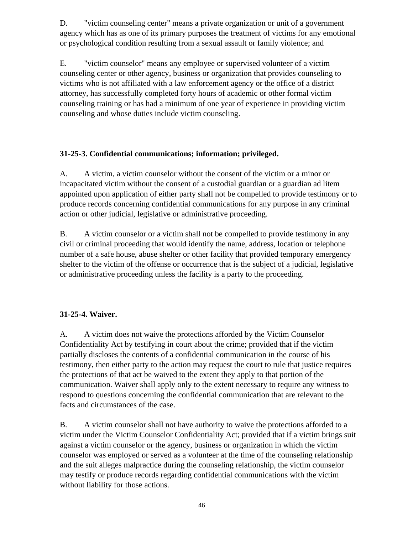D. "victim counseling center" means a private organization or unit of a government agency which has as one of its primary purposes the treatment of victims for any emotional or psychological condition resulting from a sexual assault or family violence; and

E. "victim counselor" means any employee or supervised volunteer of a victim counseling center or other agency, business or organization that provides counseling to victims who is not affiliated with a law enforcement agency or the office of a district attorney, has successfully completed forty hours of academic or other formal victim counseling training or has had a minimum of one year of experience in providing victim counseling and whose duties include victim counseling.

# **31-25-3. Confidential communications; information; privileged.**

A. A victim, a victim counselor without the consent of the victim or a minor or incapacitated victim without the consent of a custodial guardian or a guardian ad litem appointed upon application of either party shall not be compelled to provide testimony or to produce records concerning confidential communications for any purpose in any criminal action or other judicial, legislative or administrative proceeding.

B. A victim counselor or a victim shall not be compelled to provide testimony in any civil or criminal proceeding that would identify the name, address, location or telephone number of a safe house, abuse shelter or other facility that provided temporary emergency shelter to the victim of the offense or occurrence that is the subject of a judicial, legislative or administrative proceeding unless the facility is a party to the proceeding.

# **31-25-4. Waiver.**

A. A victim does not waive the protections afforded by the Victim Counselor Confidentiality Act by testifying in court about the crime; provided that if the victim partially discloses the contents of a confidential communication in the course of his testimony, then either party to the action may request the court to rule that justice requires the protections of that act be waived to the extent they apply to that portion of the communication. Waiver shall apply only to the extent necessary to require any witness to respond to questions concerning the confidential communication that are relevant to the facts and circumstances of the case.

B. A victim counselor shall not have authority to waive the protections afforded to a victim under the Victim Counselor Confidentiality Act; provided that if a victim brings suit against a victim counselor or the agency, business or organization in which the victim counselor was employed or served as a volunteer at the time of the counseling relationship and the suit alleges malpractice during the counseling relationship, the victim counselor may testify or produce records regarding confidential communications with the victim without liability for those actions.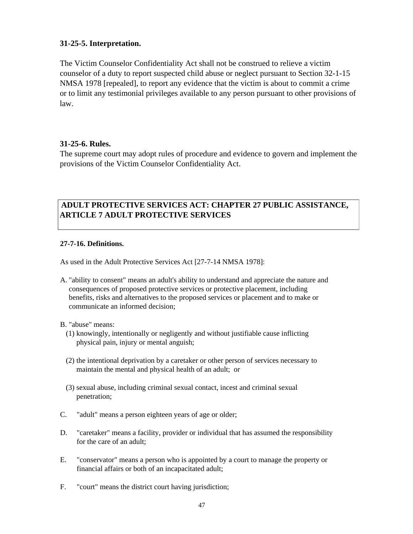### **31-25-5. Interpretation.**

The Victim Counselor Confidentiality Act shall not be construed to relieve a victim counselor of a duty to report suspected child abuse or neglect pursuant to Section 32-1-15 NMSA 1978 [repealed], to report any evidence that the victim is about to commit a crime or to limit any testimonial privileges available to any person pursuant to other provisions of law.

### **31-25-6. Rules.**

The supreme court may adopt rules of procedure and evidence to govern and implement the provisions of the Victim Counselor Confidentiality Act.

# **ADULT PROTECTIVE SERVICES ACT: CHAPTER 27 PUBLIC ASSISTANCE, ARTICLE 7 ADULT PROTECTIVE SERVICES**

#### **27-7-16. Definitions.**

As used in the Adult Protective Services Act [27-7-14 NMSA 1978]:

A. "ability to consent" means an adult's ability to understand and appreciate the nature and consequences of proposed protective services or protective placement, including benefits, risks and alternatives to the proposed services or placement and to make or communicate an informed decision;

#### B. "abuse" means:

- (1) knowingly, intentionally or negligently and without justifiable cause inflicting physical pain, injury or mental anguish;
- (2) the intentional deprivation by a caretaker or other person of services necessary to maintain the mental and physical health of an adult; or
- (3) sexual abuse, including criminal sexual contact, incest and criminal sexual penetration;
- C. "adult" means a person eighteen years of age or older;
- D. "caretaker" means a facility, provider or individual that has assumed the responsibility for the care of an adult;
- E. "conservator" means a person who is appointed by a court to manage the property or financial affairs or both of an incapacitated adult;
- F. "court" means the district court having jurisdiction;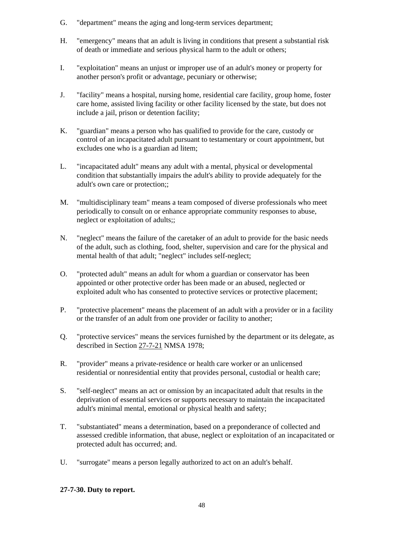- G. "department" means the aging and long-term services department;
- H. "emergency" means that an adult is living in conditions that present a substantial risk of death or immediate and serious physical harm to the adult or others;
- I. "exploitation" means an unjust or improper use of an adult's money or property for another person's profit or advantage, pecuniary or otherwise;
- J. "facility" means a hospital, nursing home, residential care facility, group home, foster care home, assisted living facility or other facility licensed by the state, but does not include a jail, prison or detention facility;
- K. "guardian" means a person who has qualified to provide for the care, custody or control of an incapacitated adult pursuant to testamentary or court appointment, but excludes one who is a guardian ad litem;
- L. "incapacitated adult" means any adult with a mental, physical or developmental condition that substantially impairs the adult's ability to provide adequately for the adult's own care or protection;;
- M. "multidisciplinary team" means a team composed of diverse professionals who meet periodically to consult on or enhance appropriate community responses to abuse, neglect or exploitation of adults;;
- N. "neglect" means the failure of the caretaker of an adult to provide for the basic needs of the adult, such as clothing, food, shelter, supervision and care for the physical and mental health of that adult; "neglect" includes self-neglect;
- O. "protected adult" means an adult for whom a guardian or conservator has been appointed or other protective order has been made or an abused, neglected or exploited adult who has consented to protective services or protective placement;
- P. "protective placement" means the placement of an adult with a provider or in a facility or the transfer of an adult from one provider or facility to another;
- Q. "protective services" means the services furnished by the department or its delegate, as described in Section 27-7-21 NMSA 1978;
- R. "provider" means a private-residence or health care worker or an unlicensed residential or nonresidential entity that provides personal, custodial or health care;
- S. "self-neglect" means an act or omission by an incapacitated adult that results in the deprivation of essential services or supports necessary to maintain the incapacitated adult's minimal mental, emotional or physical health and safety;
- T. "substantiated" means a determination, based on a preponderance of collected and assessed credible information, that abuse, neglect or exploitation of an incapacitated or protected adult has occurred; and.
- U. "surrogate" means a person legally authorized to act on an adult's behalf.

#### **27-7-30. Duty to report.**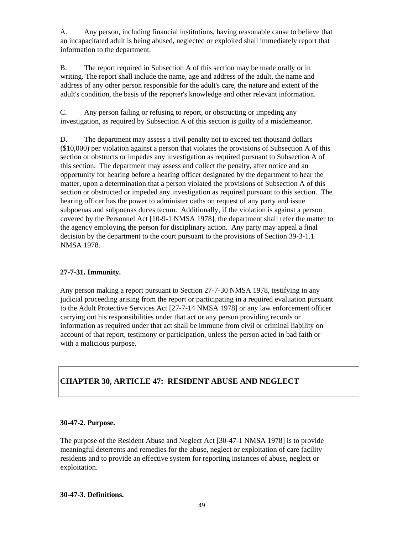A. Any person, including financial institutions, having reasonable cause to believe that an incapacitated adult is being abused, neglected or exploited shall immediately report that information to the department.

B. The report required in Subsection A of this section may be made orally or in writing. The report shall include the name, age and address of the adult, the name and address of any other person responsible for the adult's care, the nature and extent of the adult's condition, the basis of the reporter's knowledge and other relevant information.

C. Any person failing or refusing to report, or obstructing or impeding any investigation, as required by Subsection A of this section is guilty of a misdemeanor.

D. The department may assess a civil penalty not to exceed ten thousand dollars (\$10,000) per violation against a person that violates the provisions of Subsection A of this section or obstructs or impedes any investigation as required pursuant to Subsection A of this section. The department may assess and collect the penalty, after notice and an opportunity for hearing before a hearing officer designated by the department to hear the matter, upon a determination that a person violated the provisions of Subsection A of this section or obstructed or impeded any investigation as required pursuant to this section. The hearing officer has the power to administer oaths on request of any party and issue subpoenas and subpoenas duces tecum. Additionally, if the violation is against a person covered by the Personnel Act [10-9-1 NMSA 1978], the department shall refer the matter to the agency employing the person for disciplinary action. Any party may appeal a final decision by the department to the court pursuant to the provisions of Section 39-3-1.1 NMSA 1978.

#### **27-7-31. Immunity.**

Any person making a report pursuant to Section 27-7-30 NMSA 1978, testifying in any judicial proceeding arising from the report or participating in a required evaluation pursuant to the Adult Protective Services Act [27-7-14 NMSA 1978] or any law enforcement officer carrying out his responsibilities under that act or any person providing records or information as required under that act shall be immune from civil or criminal liability on account of that report, testimony or participation, unless the person acted in bad faith or with a malicious purpose.

# **CHAPTER 30, ARTICLE 47: RESIDENT ABUSE AND NEGLECT**

#### **30-47-2. Purpose.**

The purpose of the Resident Abuse and Neglect Act [30-47-1 NMSA 1978] is to provide meaningful deterrents and remedies for the abuse, neglect or exploitation of care facility residents and to provide an effective system for reporting instances of abuse, neglect or exploitation.

#### **30-47-3. Definitions.**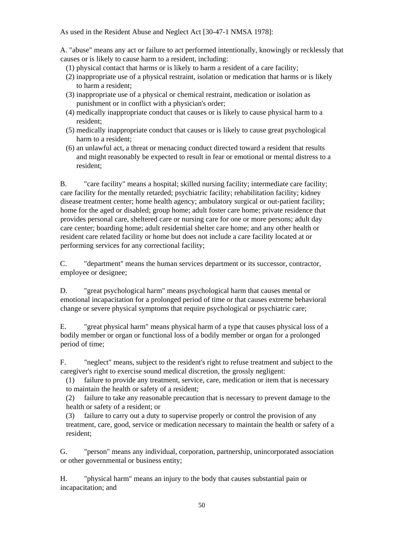As used in the Resident Abuse and Neglect Act [30-47-1 NMSA 1978]:

A. "abuse" means any act or failure to act performed intentionally, knowingly or recklessly that causes or is likely to cause harm to a resident, including:

- (1) physical contact that harms or is likely to harm a resident of a care facility;
- (2) inappropriate use of a physical restraint, isolation or medication that harms or is likely to harm a resident;
- (3) inappropriate use of a physical or chemical restraint, medication or isolation as punishment or in conflict with a physician's order;
- (4) medically inappropriate conduct that causes or is likely to cause physical harm to a resident;
- (5) medically inappropriate conduct that causes or is likely to cause great psychological harm to a resident;
- (6) an unlawful act, a threat or menacing conduct directed toward a resident that results and might reasonably be expected to result in fear or emotional or mental distress to a resident;

B. "care facility" means a hospital; skilled nursing facility; intermediate care facility; care facility for the mentally retarded; psychiatric facility; rehabilitation facility; kidney disease treatment center; home health agency; ambulatory surgical or out-patient facility; home for the aged or disabled; group home; adult foster care home; private residence that provides personal care, sheltered care or nursing care for one or more persons; adult day care center; boarding home; adult residential shelter care home; and any other health or resident care related facility or home but does not include a care facility located at or performing services for any correctional facility;

C. "department" means the human services department or its successor, contractor, employee or designee;

D. "great psychological harm" means psychological harm that causes mental or emotional incapacitation for a prolonged period of time or that causes extreme behavioral change or severe physical symptoms that require psychological or psychiatric care;

E. "great physical harm" means physical harm of a type that causes physical loss of a bodily member or organ or functional loss of a bodily member or organ for a prolonged period of time;

F. "neglect" means, subject to the resident's right to refuse treatment and subject to the caregiver's right to exercise sound medical discretion, the grossly negligent:

(1) failure to provide any treatment, service, care, medication or item that is necessary to maintain the health or safety of a resident;

(2) failure to take any reasonable precaution that is necessary to prevent damage to the health or safety of a resident; or

(3) failure to carry out a duty to supervise properly or control the provision of any treatment, care, good, service or medication necessary to maintain the health or safety of a resident;

G. "person" means any individual, corporation, partnership, unincorporated association or other governmental or business entity;

H. "physical harm" means an injury to the body that causes substantial pain or incapacitation; and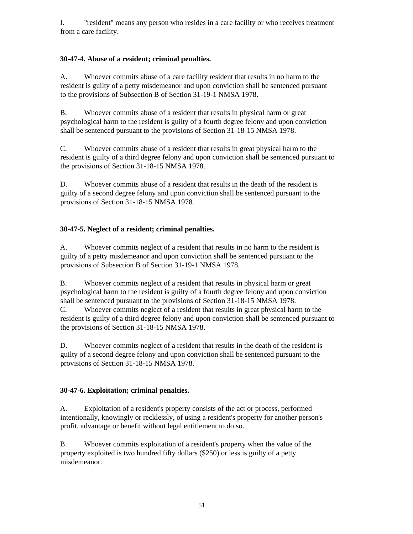I. "resident" means any person who resides in a care facility or who receives treatment from a care facility.

#### **30-47-4. Abuse of a resident; criminal penalties.**

A. Whoever commits abuse of a care facility resident that results in no harm to the resident is guilty of a petty misdemeanor and upon conviction shall be sentenced pursuant to the provisions of Subsection B of Section 31-19-1 NMSA 1978.

B. Whoever commits abuse of a resident that results in physical harm or great psychological harm to the resident is guilty of a fourth degree felony and upon conviction shall be sentenced pursuant to the provisions of Section 31-18-15 NMSA 1978.

C. Whoever commits abuse of a resident that results in great physical harm to the resident is guilty of a third degree felony and upon conviction shall be sentenced pursuant to the provisions of Section 31-18-15 NMSA 1978.

D. Whoever commits abuse of a resident that results in the death of the resident is guilty of a second degree felony and upon conviction shall be sentenced pursuant to the provisions of Section 31-18-15 NMSA 1978.

#### **30-47-5. Neglect of a resident; criminal penalties.**

A. Whoever commits neglect of a resident that results in no harm to the resident is guilty of a petty misdemeanor and upon conviction shall be sentenced pursuant to the provisions of Subsection B of Section 31-19-1 NMSA 1978.

B. Whoever commits neglect of a resident that results in physical harm or great psychological harm to the resident is guilty of a fourth degree felony and upon conviction shall be sentenced pursuant to the provisions of Section 31-18-15 NMSA 1978.

C. Whoever commits neglect of a resident that results in great physical harm to the resident is guilty of a third degree felony and upon conviction shall be sentenced pursuant to the provisions of Section 31-18-15 NMSA 1978.

D. Whoever commits neglect of a resident that results in the death of the resident is guilty of a second degree felony and upon conviction shall be sentenced pursuant to the provisions of Section 31-18-15 NMSA 1978.

#### **30-47-6. Exploitation; criminal penalties.**

A. Exploitation of a resident's property consists of the act or process, performed intentionally, knowingly or recklessly, of using a resident's property for another person's profit, advantage or benefit without legal entitlement to do so.

B. Whoever commits exploitation of a resident's property when the value of the property exploited is two hundred fifty dollars (\$250) or less is guilty of a petty misdemeanor.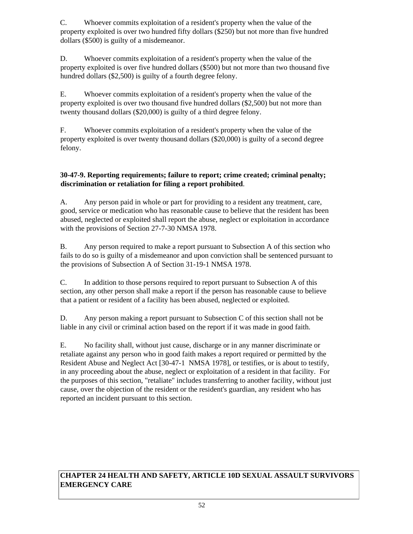C. Whoever commits exploitation of a resident's property when the value of the property exploited is over two hundred fifty dollars (\$250) but not more than five hundred dollars (\$500) is guilty of a misdemeanor.

D. Whoever commits exploitation of a resident's property when the value of the property exploited is over five hundred dollars (\$500) but not more than two thousand five hundred dollars (\$2,500) is guilty of a fourth degree felony.

E. Whoever commits exploitation of a resident's property when the value of the property exploited is over two thousand five hundred dollars (\$2,500) but not more than twenty thousand dollars (\$20,000) is guilty of a third degree felony.

F. Whoever commits exploitation of a resident's property when the value of the property exploited is over twenty thousand dollars (\$20,000) is guilty of a second degree felony.

### **30-47-9. Reporting requirements; failure to report; crime created; criminal penalty; discrimination or retaliation for filing a report prohibited**.

A. Any person paid in whole or part for providing to a resident any treatment, care, good, service or medication who has reasonable cause to believe that the resident has been abused, neglected or exploited shall report the abuse, neglect or exploitation in accordance with the provisions of Section 27-7-30 NMSA 1978.

B. Any person required to make a report pursuant to Subsection A of this section who fails to do so is guilty of a misdemeanor and upon conviction shall be sentenced pursuant to the provisions of Subsection A of Section 31-19-1 NMSA 1978.

C. In addition to those persons required to report pursuant to Subsection A of this section, any other person shall make a report if the person has reasonable cause to believe that a patient or resident of a facility has been abused, neglected or exploited.

D. Any person making a report pursuant to Subsection C of this section shall not be liable in any civil or criminal action based on the report if it was made in good faith.

E. No facility shall, without just cause, discharge or in any manner discriminate or retaliate against any person who in good faith makes a report required or permitted by the Resident Abuse and Neglect Act [30-47-1 NMSA 1978], or testifies, or is about to testify, in any proceeding about the abuse, neglect or exploitation of a resident in that facility. For the purposes of this section, "retaliate" includes transferring to another facility, without just cause, over the objection of the resident or the resident's guardian, any resident who has reported an incident pursuant to this section.

# **CHAPTER 24 HEALTH AND SAFETY, ARTICLE 10D SEXUAL ASSAULT SURVIVORS EMERGENCY CARE**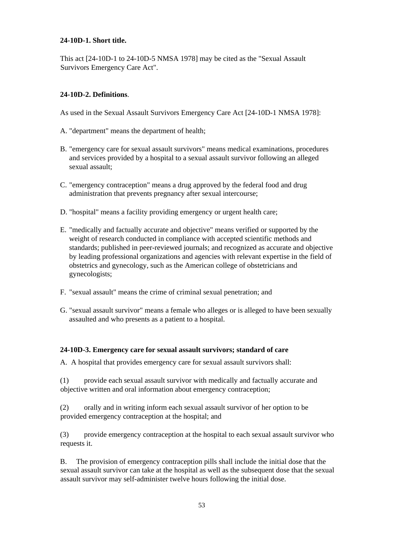#### **24-10D-1. Short title.**

This act [24-10D-1 to 24-10D-5 NMSA 1978] may be cited as the "Sexual Assault Survivors Emergency Care Act".

#### **24-10D-2. Definitions**.

As used in the Sexual Assault Survivors Emergency Care Act [24-10D-1 NMSA 1978]:

- A. "department" means the department of health;
- B. "emergency care for sexual assault survivors" means medical examinations, procedures and services provided by a hospital to a sexual assault survivor following an alleged sexual assault;
- C. "emergency contraception" means a drug approved by the federal food and drug administration that prevents pregnancy after sexual intercourse;
- D. "hospital" means a facility providing emergency or urgent health care;
- E. "medically and factually accurate and objective" means verified or supported by the weight of research conducted in compliance with accepted scientific methods and standards; published in peer-reviewed journals; and recognized as accurate and objective by leading professional organizations and agencies with relevant expertise in the field of obstetrics and gynecology, such as the American college of obstetricians and gynecologists;
- F. "sexual assault" means the crime of criminal sexual penetration; and
- G. "sexual assault survivor" means a female who alleges or is alleged to have been sexually assaulted and who presents as a patient to a hospital.

#### **24-10D-3. Emergency care for sexual assault survivors; standard of care**

A. A hospital that provides emergency care for sexual assault survivors shall:

(1) provide each sexual assault survivor with medically and factually accurate and objective written and oral information about emergency contraception;

(2) orally and in writing inform each sexual assault survivor of her option to be provided emergency contraception at the hospital; and

(3) provide emergency contraception at the hospital to each sexual assault survivor who requests it.

B. The provision of emergency contraception pills shall include the initial dose that the sexual assault survivor can take at the hospital as well as the subsequent dose that the sexual assault survivor may self-administer twelve hours following the initial dose.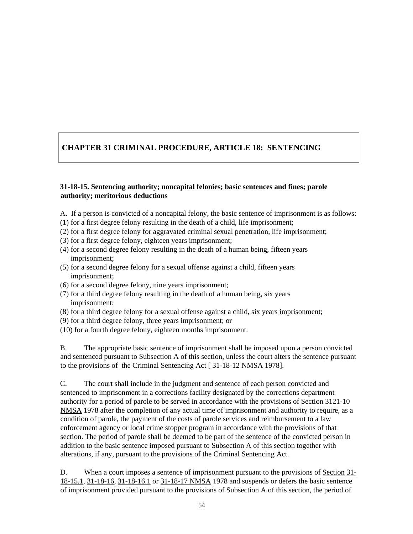# **CHAPTER 31 CRIMINAL PROCEDURE, ARTICLE 18: SENTENCING**

#### **31-18-15. Sentencing authority; noncapital felonies; basic sentences and fines; parole authority; meritorious deductions**

- A. If a person is convicted of a noncapital felony, the basic sentence of imprisonment is as follows:
- (1) for a first degree felony resulting in the death of a child, life imprisonment;
- (2) for a first degree felony for aggravated criminal sexual penetration, life imprisonment;
- (3) for a first degree felony, eighteen years imprisonment;
- (4) for a second degree felony resulting in the death of a human being, fifteen years imprisonment;
- (5) for a second degree felony for a sexual offense against a child, fifteen years imprisonment;
- (6) for a second degree felony, nine years imprisonment;
- (7) for a third degree felony resulting in the death of a human being, six years imprisonment;
- (8) for a third degree felony for a sexual offense against a child, six years imprisonment;
- (9) for a third degree felony, three years imprisonment; or
- (10) for a fourth degree felony, eighteen months imprisonment.

B. The appropriate basic sentence of imprisonment shall be imposed upon a person convicted and sentenced pursuant to Subsection A of this section, unless the court alters the sentence pursuant to the provisions of the Criminal Sentencing Act [ 31-18-12 NMSA 1978].

C. The court shall include in the judgment and sentence of each person convicted and sentenced to imprisonment in a corrections facility designated by the corrections department authority for a period of parole to be served in accordance with the provisions of Section 3121-10 NMSA 1978 after the completion of any actual time of imprisonment and authority to require, as a condition of parole, the payment of the costs of parole services and reimbursement to a law enforcement agency or local crime stopper program in accordance with the provisions of that section. The period of parole shall be deemed to be part of the sentence of the convicted person in addition to the basic sentence imposed pursuant to Subsection A of this section together with alterations, if any, pursuant to the provisions of the Criminal Sentencing Act.

D. When a court imposes a sentence of imprisonment pursuant to the provisions of Section 31-18-15.1, 31-18-16, 31-18-16.1 or 31-18-17 NMSA 1978 and suspends or defers the basic sentence of imprisonment provided pursuant to the provisions of Subsection A of this section, the period of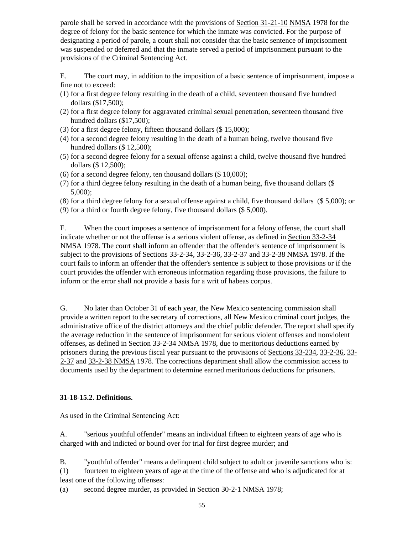parole shall be served in accordance with the provisions of Section 31-21-10 NMSA 1978 for the degree of felony for the basic sentence for which the inmate was convicted. For the purpose of designating a period of parole, a court shall not consider that the basic sentence of imprisonment was suspended or deferred and that the inmate served a period of imprisonment pursuant to the provisions of the Criminal Sentencing Act.

E. The court may, in addition to the imposition of a basic sentence of imprisonment, impose a fine not to exceed:

- (1) for a first degree felony resulting in the death of a child, seventeen thousand five hundred dollars (\$17,500);
- (2) for a first degree felony for aggravated criminal sexual penetration, seventeen thousand five hundred dollars (\$17,500);
- (3) for a first degree felony, fifteen thousand dollars (\$ 15,000);
- (4) for a second degree felony resulting in the death of a human being, twelve thousand five hundred dollars (\$12,500);
- (5) for a second degree felony for a sexual offense against a child, twelve thousand five hundred dollars (\$ 12,500);
- (6) for a second degree felony, ten thousand dollars (\$ 10,000);
- (7) for a third degree felony resulting in the death of a human being, five thousand dollars (\$ 5,000);
- (8) for a third degree felony for a sexual offense against a child, five thousand dollars (\$ 5,000); or
- (9) for a third or fourth degree felony, five thousand dollars (\$ 5,000).

F. When the court imposes a sentence of imprisonment for a felony offense, the court shall indicate whether or not the offense is a serious violent offense, as defined in Section 33-2-34 NMSA 1978. The court shall inform an offender that the offender's sentence of imprisonment is subject to the provisions of Sections 33-2-34, 33-2-36, 33-2-37 and 33-2-38 NMSA 1978. If the court fails to inform an offender that the offender's sentence is subject to those provisions or if the court provides the offender with erroneous information regarding those provisions, the failure to inform or the error shall not provide a basis for a writ of habeas corpus.

G. No later than October 31 of each year, the New Mexico sentencing commission shall provide a written report to the secretary of corrections, all New Mexico criminal court judges, the administrative office of the district attorneys and the chief public defender. The report shall specify the average reduction in the sentence of imprisonment for serious violent offenses and nonviolent offenses, as defined in Section 33-2-34 NMSA 1978, due to meritorious deductions earned by prisoners during the previous fiscal year pursuant to the provisions of Sections 33-234, 33-2-36, 33- 2-37 and 33-2-38 NMSA 1978. The corrections department shall allow the commission access to documents used by the department to determine earned meritorious deductions for prisoners.

## **31-18-15.2. Definitions.**

As used in the Criminal Sentencing Act:

A. "serious youthful offender" means an individual fifteen to eighteen years of age who is charged with and indicted or bound over for trial for first degree murder; and

B. "youthful offender" means a delinquent child subject to adult or juvenile sanctions who is:

(1) fourteen to eighteen years of age at the time of the offense and who is adjudicated for at least one of the following offenses:

(a) second degree murder, as provided in Section 30-2-1 NMSA 1978;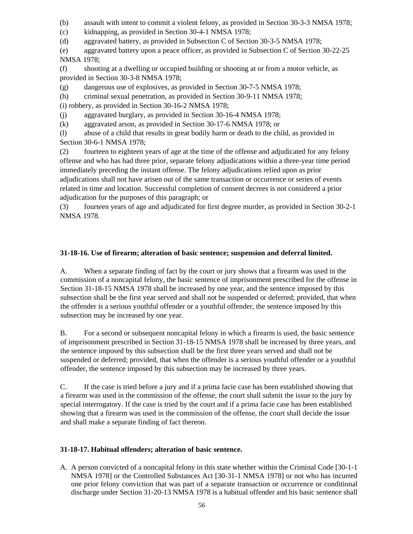(b) assault with intent to commit a violent felony, as provided in Section 30-3-3 NMSA 1978;

(c) kidnapping, as provided in Section 30-4-1 NMSA 1978;

(d) aggravated battery, as provided in Subsection C of Section 30-3-5 NMSA 1978;

(e) aggravated battery upon a peace officer, as provided in Subsection C of Section 30-22-25 NMSA 1978;

(f) shooting at a dwelling or occupied building or shooting at or from a motor vehicle, as provided in Section 30-3-8 NMSA 1978;

(g) dangerous use of explosives, as provided in Section 30-7-5 NMSA 1978;

(h) criminal sexual penetration, as provided in Section 30-9-11 NMSA 1978;

(i) robbery, as provided in Section 30-16-2 NMSA 1978;

(j) aggravated burglary, as provided in Section 30-16-4 NMSA 1978;

(k) aggravated arson, as provided in Section 30-17-6 NMSA 1978; or

(l) abuse of a child that results in great bodily harm or death to the child, as provided in Section 30-6-1 NMSA 1978;

(2) fourteen to eighteen years of age at the time of the offense and adjudicated for any felony offense and who has had three prior, separate felony adjudications within a three-year time period immediately preceding the instant offense. The felony adjudications relied upon as prior adjudications shall not have arisen out of the same transaction or occurrence or series of events related in time and location. Successful completion of consent decrees is not considered a prior adjudication for the purposes of this paragraph; or

(3) fourteen years of age and adjudicated for first degree murder, as provided in Section 30-2-1 NMSA 1978.

### **31-18-16. Use of firearm; alteration of basic sentence; suspension and deferral limited.**

A. When a separate finding of fact by the court or jury shows that a firearm was used in the commission of a noncapital felony, the basic sentence of imprisonment prescribed for the offense in Section 31-18-15 NMSA 1978 shall be increased by one year, and the sentence imposed by this subsection shall be the first year served and shall not be suspended or deferred; provided, that when the offender is a serious youthful offender or a youthful offender, the sentence imposed by this subsection may be increased by one year.

B. For a second or subsequent noncapital felony in which a firearm is used, the basic sentence of imprisonment prescribed in Section 31-18-15 NMSA 1978 shall be increased by three years, and the sentence imposed by this subsection shall be the first three years served and shall not be suspended or deferred; provided, that when the offender is a serious youthful offender or a youthful offender, the sentence imposed by this subsection may be increased by three years.

C. If the case is tried before a jury and if a prima facie case has been established showing that a firearm was used in the commission of the offense, the court shall submit the issue to the jury by special interrogatory. If the case is tried by the court and if a prima facie case has been established showing that a firearm was used in the commission of the offense, the court shall decide the issue and shall make a separate finding of fact thereon.

#### **31-18-17. Habitual offenders; alteration of basic sentence.**

A. A person convicted of a noncapital felony in this state whether within the Criminal Code [30-1-1 NMSA 1978] or the Controlled Substances Act [30-31-1 NMSA 1978] or not who has incurred one prior felony conviction that was part of a separate transaction or occurrence or conditional discharge under Section 31-20-13 NMSA 1978 is a habitual offender and his basic sentence shall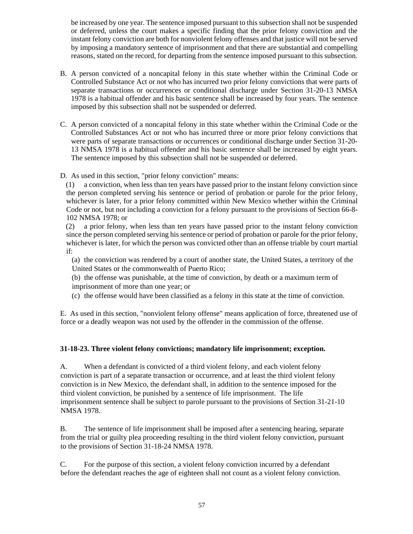be increased by one year. The sentence imposed pursuant to this subsection shall not be suspended or deferred, unless the court makes a specific finding that the prior felony conviction and the instant felony conviction are both for nonviolent felony offenses and that justice will not be served by imposing a mandatory sentence of imprisonment and that there are substantial and compelling reasons, stated on the record, for departing from the sentence imposed pursuant to this subsection.

- B. A person convicted of a noncapital felony in this state whether within the Criminal Code or Controlled Substance Act or not who has incurred two prior felony convictions that were parts of separate transactions or occurrences or conditional discharge under Section 31-20-13 NMSA 1978 is a habitual offender and his basic sentence shall be increased by four years. The sentence imposed by this subsection shall not be suspended or deferred.
- C. A person convicted of a noncapital felony in this state whether within the Criminal Code or the Controlled Substances Act or not who has incurred three or more prior felony convictions that were parts of separate transactions or occurrences or conditional discharge under Section 31-20- 13 NMSA 1978 is a habitual offender and his basic sentence shall be increased by eight years. The sentence imposed by this subsection shall not be suspended or deferred.
- D. As used in this section, "prior felony conviction" means:

(1) a conviction, when less than ten years have passed prior to the instant felony conviction since the person completed serving his sentence or period of probation or parole for the prior felony, whichever is later, for a prior felony committed within New Mexico whether within the Criminal Code or not, but not including a conviction for a felony pursuant to the provisions of Section 66-8- 102 NMSA 1978; or

(2) a prior felony, when less than ten years have passed prior to the instant felony conviction since the person completed serving his sentence or period of probation or parole for the prior felony, whichever is later, for which the person was convicted other than an offense triable by court martial if:

(a) the conviction was rendered by a court of another state, the United States, a territory of the United States or the commonwealth of Puerto Rico;

(b) the offense was punishable, at the time of conviction, by death or a maximum term of imprisonment of more than one year; or

(c) the offense would have been classified as a felony in this state at the time of conviction.

E. As used in this section, "nonviolent felony offense" means application of force, threatened use of force or a deadly weapon was not used by the offender in the commission of the offense.

#### **31-18-23. Three violent felony convictions; mandatory life imprisonment; exception.**

A. When a defendant is convicted of a third violent felony, and each violent felony conviction is part of a separate transaction or occurrence, and at least the third violent felony conviction is in New Mexico, the defendant shall, in addition to the sentence imposed for the third violent conviction, be punished by a sentence of life imprisonment. The life imprisonment sentence shall be subject to parole pursuant to the provisions of Section 31-21-10 NMSA 1978.

B. The sentence of life imprisonment shall be imposed after a sentencing hearing, separate from the trial or guilty plea proceeding resulting in the third violent felony conviction, pursuant to the provisions of Section 31-18-24 NMSA 1978.

C. For the purpose of this section, a violent felony conviction incurred by a defendant before the defendant reaches the age of eighteen shall not count as a violent felony conviction.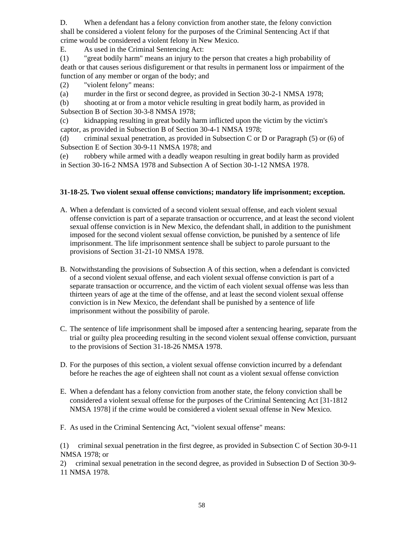D. When a defendant has a felony conviction from another state, the felony conviction shall be considered a violent felony for the purposes of the Criminal Sentencing Act if that crime would be considered a violent felony in New Mexico.

E. As used in the Criminal Sentencing Act:

(1) "great bodily harm" means an injury to the person that creates a high probability of death or that causes serious disfigurement or that results in permanent loss or impairment of the function of any member or organ of the body; and

(2) "violent felony" means:

(a) murder in the first or second degree, as provided in Section 30-2-1 NMSA 1978;

(b) shooting at or from a motor vehicle resulting in great bodily harm, as provided in Subsection B of Section 30-3-8 NMSA 1978;

(c) kidnapping resulting in great bodily harm inflicted upon the victim by the victim's captor, as provided in Subsection B of Section 30-4-1 NMSA 1978;

(d) criminal sexual penetration, as provided in Subsection C or D or Paragraph (5) or (6) of Subsection E of Section 30-9-11 NMSA 1978; and

(e) robbery while armed with a deadly weapon resulting in great bodily harm as provided in Section 30-16-2 NMSA 1978 and Subsection A of Section 30-1-12 NMSA 1978.

#### **31-18-25. Two violent sexual offense convictions; mandatory life imprisonment; exception.**

- A. When a defendant is convicted of a second violent sexual offense, and each violent sexual offense conviction is part of a separate transaction or occurrence, and at least the second violent sexual offense conviction is in New Mexico, the defendant shall, in addition to the punishment imposed for the second violent sexual offense conviction, be punished by a sentence of life imprisonment. The life imprisonment sentence shall be subject to parole pursuant to the provisions of Section 31-21-10 NMSA 1978.
- B. Notwithstanding the provisions of Subsection A of this section, when a defendant is convicted of a second violent sexual offense, and each violent sexual offense conviction is part of a separate transaction or occurrence, and the victim of each violent sexual offense was less than thirteen years of age at the time of the offense, and at least the second violent sexual offense conviction is in New Mexico, the defendant shall be punished by a sentence of life imprisonment without the possibility of parole.
- C. The sentence of life imprisonment shall be imposed after a sentencing hearing, separate from the trial or guilty plea proceeding resulting in the second violent sexual offense conviction, pursuant to the provisions of Section 31-18-26 NMSA 1978.
- D. For the purposes of this section, a violent sexual offense conviction incurred by a defendant before he reaches the age of eighteen shall not count as a violent sexual offense conviction
- E. When a defendant has a felony conviction from another state, the felony conviction shall be considered a violent sexual offense for the purposes of the Criminal Sentencing Act [31-1812 NMSA 1978] if the crime would be considered a violent sexual offense in New Mexico.

F. As used in the Criminal Sentencing Act, "violent sexual offense" means:

(1) criminal sexual penetration in the first degree, as provided in Subsection C of Section 30-9-11 NMSA 1978; or

2) criminal sexual penetration in the second degree, as provided in Subsection D of Section 30-9- 11 NMSA 1978.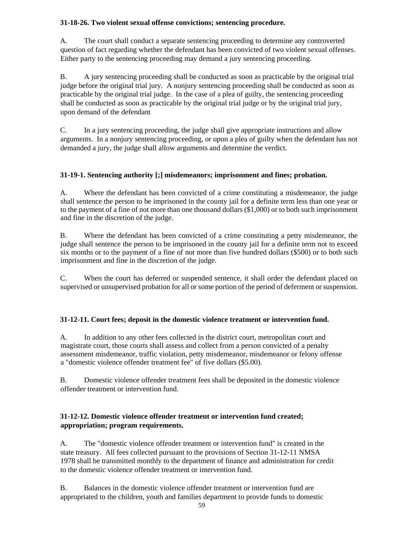#### **31-18-26. Two violent sexual offense convictions; sentencing procedure.**

A. The court shall conduct a separate sentencing proceeding to determine any controverted question of fact regarding whether the defendant has been convicted of two violent sexual offenses. Either party to the sentencing proceeding may demand a jury sentencing proceeding.

B. A jury sentencing proceeding shall be conducted as soon as practicable by the original trial judge before the original trial jury. A nonjury sentencing proceeding shall be conducted as soon as practicable by the original trial judge. In the case of a plea of guilty, the sentencing proceeding shall be conducted as soon as practicable by the original trial judge or by the original trial jury, upon demand of the defendant

C. In a jury sentencing proceeding, the judge shall give appropriate instructions and allow arguments. In a nonjury sentencing proceeding, or upon a plea of guilty when the defendant has not demanded a jury, the judge shall allow arguments and determine the verdict.

#### **31-19-1. Sentencing authority [;] misdemeanors; imprisonment and fines; probation.**

A. Where the defendant has been convicted of a crime constituting a misdemeanor, the judge shall sentence the person to be imprisoned in the county jail for a definite term less than one year or to the payment of a fine of not more than one thousand dollars (\$1,000) or to both such imprisonment and fine in the discretion of the judge.

B. Where the defendant has been convicted of a crime constituting a petty misdemeanor, the judge shall sentence the person to be imprisoned in the county jail for a definite term not to exceed six months or to the payment of a fine of not more than five hundred dollars (\$500) or to both such imprisonment and fine in the discretion of the judge.

C. When the court has deferred or suspended sentence, it shall order the defendant placed on supervised or unsupervised probation for all or some portion of the period of deferment or suspension.

#### **31-12-11. Court fees; deposit in the domestic violence treatment or intervention fund.**

A. In addition to any other fees collected in the district court, metropolitan court and magistrate court, those courts shall assess and collect from a person convicted of a penalty assessment misdemeanor, traffic violation, petty misdemeanor, misdemeanor or felony offense a "domestic violence offender treatment fee" of five dollars (\$5.00).

B. Domestic violence offender treatment fees shall be deposited in the domestic violence offender treatment or intervention fund.

#### **31-12-12. Domestic violence offender treatment or intervention fund created; appropriation; program requirements.**

A. The "domestic violence offender treatment or intervention fund" is created in the state treasury. All fees collected pursuant to the provisions of Section 31-12-11 NMSA 1978 shall be transmitted monthly to the department of finance and administration for credit to the domestic violence offender treatment or intervention fund.

B. Balances in the domestic violence offender treatment or intervention fund are appropriated to the children, youth and families department to provide funds to domestic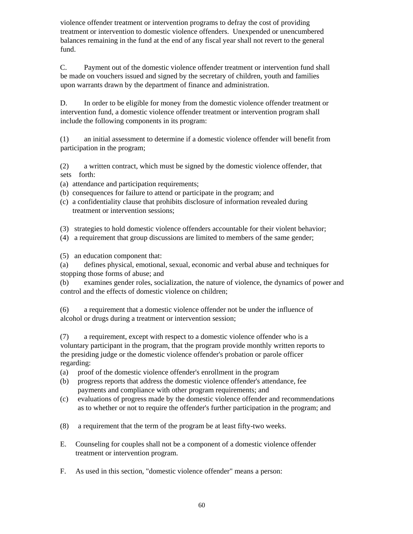violence offender treatment or intervention programs to defray the cost of providing treatment or intervention to domestic violence offenders. Unexpended or unencumbered balances remaining in the fund at the end of any fiscal year shall not revert to the general fund.

C. Payment out of the domestic violence offender treatment or intervention fund shall be made on vouchers issued and signed by the secretary of children, youth and families upon warrants drawn by the department of finance and administration.

D. In order to be eligible for money from the domestic violence offender treatment or intervention fund, a domestic violence offender treatment or intervention program shall include the following components in its program:

(1) an initial assessment to determine if a domestic violence offender will benefit from participation in the program;

(2) a written contract, which must be signed by the domestic violence offender, that sets forth:

- (a) attendance and participation requirements;
- (b) consequences for failure to attend or participate in the program; and
- (c) a confidentiality clause that prohibits disclosure of information revealed during treatment or intervention sessions;
- (3) strategies to hold domestic violence offenders accountable for their violent behavior;
- (4) a requirement that group discussions are limited to members of the same gender;
- (5) an education component that:

(a) defines physical, emotional, sexual, economic and verbal abuse and techniques for stopping those forms of abuse; and

(b) examines gender roles, socialization, the nature of violence, the dynamics of power and control and the effects of domestic violence on children;

(6) a requirement that a domestic violence offender not be under the influence of alcohol or drugs during a treatment or intervention session;

(7) a requirement, except with respect to a domestic violence offender who is a voluntary participant in the program, that the program provide monthly written reports to the presiding judge or the domestic violence offender's probation or parole officer regarding:

- (a) proof of the domestic violence offender's enrollment in the program
- (b) progress reports that address the domestic violence offender's attendance, fee payments and compliance with other program requirements; and
- (c) evaluations of progress made by the domestic violence offender and recommendations as to whether or not to require the offender's further participation in the program; and
- (8) a requirement that the term of the program be at least fifty-two weeks.
- E. Counseling for couples shall not be a component of a domestic violence offender treatment or intervention program.
- F. As used in this section, "domestic violence offender" means a person: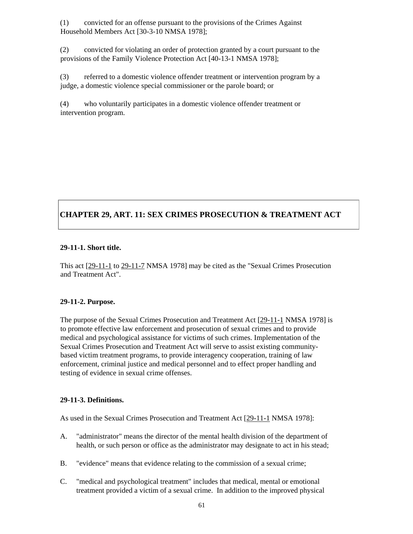(1) convicted for an offense pursuant to the provisions of the Crimes Against Household Members Act [30-3-10 NMSA 1978];

(2) convicted for violating an order of protection granted by a court pursuant to the provisions of the Family Violence Protection Act [40-13-1 NMSA 1978];

(3) referred to a domestic violence offender treatment or intervention program by a judge, a domestic violence special commissioner or the parole board; or

(4) who voluntarily participates in a domestic violence offender treatment or intervention program.

# **CHAPTER 29, ART. 11: SEX CRIMES PROSECUTION & TREATMENT ACT**

#### **29-11-1. Short title.**

This act [29-11-1 to 29-11-7 NMSA 1978] may be cited as the "Sexual Crimes Prosecution and Treatment Act".

#### **29-11-2. Purpose.**

The purpose of the Sexual Crimes Prosecution and Treatment Act [29-11-1 NMSA 1978] is to promote effective law enforcement and prosecution of sexual crimes and to provide medical and psychological assistance for victims of such crimes. Implementation of the Sexual Crimes Prosecution and Treatment Act will serve to assist existing communitybased victim treatment programs, to provide interagency cooperation, training of law enforcement, criminal justice and medical personnel and to effect proper handling and testing of evidence in sexual crime offenses.

#### **29-11-3. Definitions.**

As used in the Sexual Crimes Prosecution and Treatment Act [29-11-1 NMSA 1978]:

- A. "administrator" means the director of the mental health division of the department of health, or such person or office as the administrator may designate to act in his stead;
- B. "evidence" means that evidence relating to the commission of a sexual crime;
- C. "medical and psychological treatment" includes that medical, mental or emotional treatment provided a victim of a sexual crime. In addition to the improved physical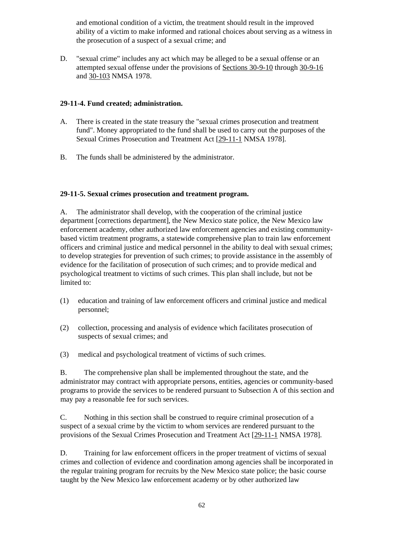and emotional condition of a victim, the treatment should result in the improved ability of a victim to make informed and rational choices about serving as a witness in the prosecution of a suspect of a sexual crime; and

D. "sexual crime" includes any act which may be alleged to be a sexual offense or an attempted sexual offense under the provisions of Sections 30-9-10 through 30-9-16 and 30-103 NMSA 1978.

#### **29-11-4. Fund created; administration.**

- A. There is created in the state treasury the "sexual crimes prosecution and treatment fund". Money appropriated to the fund shall be used to carry out the purposes of the Sexual Crimes Prosecution and Treatment Act [29-11-1 NMSA 1978].
- B. The funds shall be administered by the administrator.

#### **29-11-5. Sexual crimes prosecution and treatment program.**

A. The administrator shall develop, with the cooperation of the criminal justice department [corrections department], the New Mexico state police, the New Mexico law enforcement academy, other authorized law enforcement agencies and existing communitybased victim treatment programs, a statewide comprehensive plan to train law enforcement officers and criminal justice and medical personnel in the ability to deal with sexual crimes; to develop strategies for prevention of such crimes; to provide assistance in the assembly of evidence for the facilitation of prosecution of such crimes; and to provide medical and psychological treatment to victims of such crimes. This plan shall include, but not be limited to:

- (1) education and training of law enforcement officers and criminal justice and medical personnel;
- (2) collection, processing and analysis of evidence which facilitates prosecution of suspects of sexual crimes; and
- (3) medical and psychological treatment of victims of such crimes.

B. The comprehensive plan shall be implemented throughout the state, and the administrator may contract with appropriate persons, entities, agencies or community-based programs to provide the services to be rendered pursuant to Subsection A of this section and may pay a reasonable fee for such services.

C. Nothing in this section shall be construed to require criminal prosecution of a suspect of a sexual crime by the victim to whom services are rendered pursuant to the provisions of the Sexual Crimes Prosecution and Treatment Act [29-11-1 NMSA 1978].

D. Training for law enforcement officers in the proper treatment of victims of sexual crimes and collection of evidence and coordination among agencies shall be incorporated in the regular training program for recruits by the New Mexico state police; the basic course taught by the New Mexico law enforcement academy or by other authorized law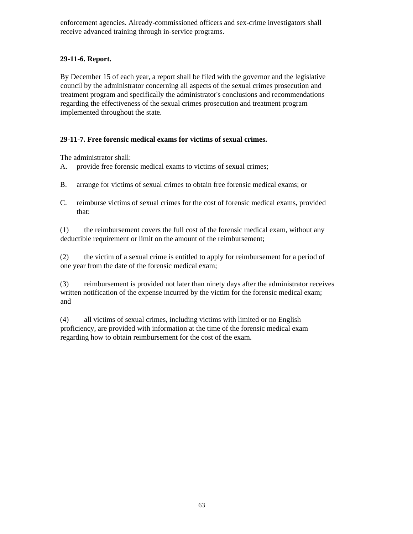enforcement agencies. Already-commissioned officers and sex-crime investigators shall receive advanced training through in-service programs.

#### **29-11-6. Report.**

By December 15 of each year, a report shall be filed with the governor and the legislative council by the administrator concerning all aspects of the sexual crimes prosecution and treatment program and specifically the administrator's conclusions and recommendations regarding the effectiveness of the sexual crimes prosecution and treatment program implemented throughout the state.

#### **29-11-7. Free forensic medical exams for victims of sexual crimes.**

The administrator shall:

- A. provide free forensic medical exams to victims of sexual crimes;
- B. arrange for victims of sexual crimes to obtain free forensic medical exams; or
- C. reimburse victims of sexual crimes for the cost of forensic medical exams, provided that:

(1) the reimbursement covers the full cost of the forensic medical exam, without any deductible requirement or limit on the amount of the reimbursement;

(2) the victim of a sexual crime is entitled to apply for reimbursement for a period of one year from the date of the forensic medical exam;

(3) reimbursement is provided not later than ninety days after the administrator receives written notification of the expense incurred by the victim for the forensic medical exam; and

(4) all victims of sexual crimes, including victims with limited or no English proficiency, are provided with information at the time of the forensic medical exam regarding how to obtain reimbursement for the cost of the exam.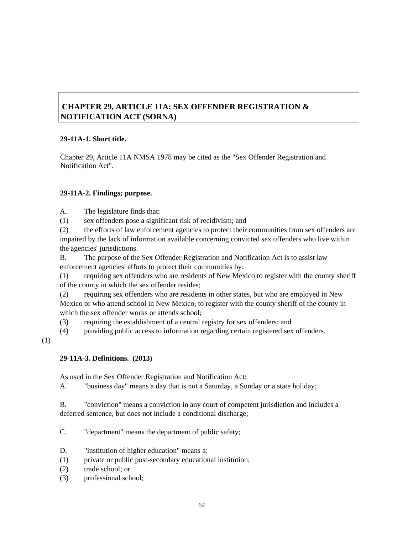# **CHAPTER 29, ARTICLE 11A: SEX OFFENDER REGISTRATION & NOTIFICATION ACT (SORNA)**

#### **29-11A-1. Short title.**

Chapter 29, Article 11A NMSA 1978 may be cited as the "Sex Offender Registration and Notification Act".

#### **29-11A-2. Findings; purpose.**

A. The legislature finds that:

(1) sex offenders pose a significant risk of recidivism; and

(2) the efforts of law enforcement agencies to protect their communities from sex offenders are impaired by the lack of information available concerning convicted sex offenders who live within the agencies' jurisdictions.

B. The purpose of the Sex Offender Registration and Notification Act is to assist law enforcement agencies' efforts to protect their communities by:

(1) requiring sex offenders who are residents of New Mexico to register with the county sheriff of the county in which the sex offender resides;

(2) requiring sex offenders who are residents in other states, but who are employed in New Mexico or who attend school in New Mexico, to register with the county sheriff of the county in which the sex offender works or attends school:

(3) requiring the establishment of a central registry for sex offenders; and

(4) providing public access to information regarding certain registered sex offenders.

(1)

#### **29-11A-3. Definitions. (2013)**

As used in the Sex Offender Registration and Notification Act:

A. "business day" means a day that is not a Saturday, a Sunday or a state holiday;

B. "conviction" means a conviction in any court of competent jurisdiction and includes a deferred sentence, but does not include a conditional discharge;

C. "department" means the department of public safety;

- D. "institution of higher education" means a:
- (1) private or public post-secondary educational institution;
- (2) trade school; or
- (3) professional school;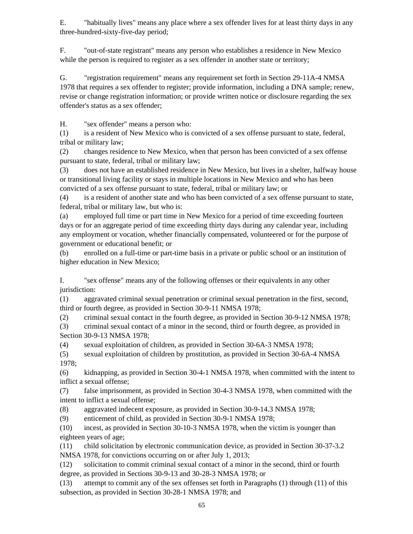E. "habitually lives" means any place where a sex offender lives for at least thirty days in any three-hundred-sixty-five-day period;

F. "out-of-state registrant" means any person who establishes a residence in New Mexico while the person is required to register as a sex offender in another state or territory;

G. "registration requirement" means any requirement set forth in Section 29-11A-4 NMSA 1978 that requires a sex offender to register; provide information, including a DNA sample; renew, revise or change registration information; or provide written notice or disclosure regarding the sex offender's status as a sex offender;

H. "sex offender" means a person who:

(1) is a resident of New Mexico who is convicted of a sex offense pursuant to state, federal, tribal or military law;

(2) changes residence to New Mexico, when that person has been convicted of a sex offense pursuant to state, federal, tribal or military law;

(3) does not have an established residence in New Mexico, but lives in a shelter, halfway house or transitional living facility or stays in multiple locations in New Mexico and who has been convicted of a sex offense pursuant to state, federal, tribal or military law; or

(4) is a resident of another state and who has been convicted of a sex offense pursuant to state, federal, tribal or military law, but who is:

(a) employed full time or part time in New Mexico for a period of time exceeding fourteen days or for an aggregate period of time exceeding thirty days during any calendar year, including any employment or vocation, whether financially compensated, volunteered or for the purpose of government or educational benefit; or

(b) enrolled on a full-time or part-time basis in a private or public school or an institution of higher education in New Mexico;

I. "sex offense" means any of the following offenses or their equivalents in any other jurisdiction:

(1) aggravated criminal sexual penetration or criminal sexual penetration in the first, second, third or fourth degree, as provided in Section 30-9-11 NMSA 1978;

(2) criminal sexual contact in the fourth degree, as provided in Section 30-9-12 NMSA 1978;

(3) criminal sexual contact of a minor in the second, third or fourth degree, as provided in Section 30-9-13 NMSA 1978;

(4) sexual exploitation of children, as provided in Section 30-6A-3 NMSA 1978;

(5) sexual exploitation of children by prostitution, as provided in Section 30-6A-4 NMSA 1978;

(6) kidnapping, as provided in Section 30-4-1 NMSA 1978, when committed with the intent to inflict a sexual offense;

(7) false imprisonment, as provided in Section 30-4-3 NMSA 1978, when committed with the intent to inflict a sexual offense;

(8) aggravated indecent exposure, as provided in Section 30-9-14.3 NMSA 1978;

(9) enticement of child, as provided in Section 30-9-1 NMSA 1978;

(10) incest, as provided in Section 30-10-3 NMSA 1978, when the victim is younger than eighteen years of age;

(11) child solicitation by electronic communication device, as provided in Section 30-37-3.2 NMSA 1978, for convictions occurring on or after July 1, 2013;

(12) solicitation to commit criminal sexual contact of a minor in the second, third or fourth degree, as provided in Sections 30-9-13 and 30-28-3 NMSA 1978; or

(13) attempt to commit any of the sex offenses set forth in Paragraphs (1) through (11) of this subsection, as provided in Section 30-28-1 NMSA 1978; and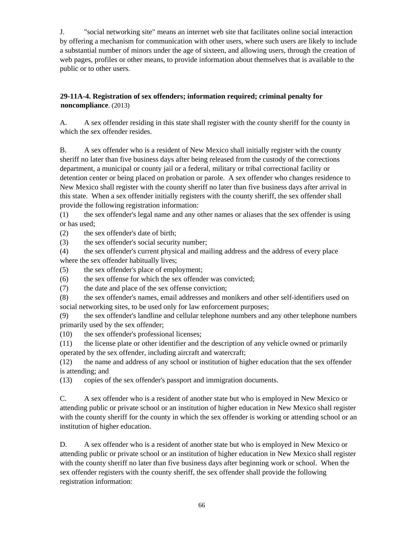J. "social networking site" means an internet web site that facilitates online social interaction by offering a mechanism for communication with other users, where such users are likely to include a substantial number of minors under the age of sixteen, and allowing users, through the creation of web pages, profiles or other means, to provide information about themselves that is available to the public or to other users.

### **29-11A-4. Registration of sex offenders; information required; criminal penalty for noncompliance**. (2013)

A. A sex offender residing in this state shall register with the county sheriff for the county in which the sex offender resides.

B. A sex offender who is a resident of New Mexico shall initially register with the county sheriff no later than five business days after being released from the custody of the corrections department, a municipal or county jail or a federal, military or tribal correctional facility or detention center or being placed on probation or parole. A sex offender who changes residence to New Mexico shall register with the county sheriff no later than five business days after arrival in this state. When a sex offender initially registers with the county sheriff, the sex offender shall provide the following registration information:

(1) the sex offender's legal name and any other names or aliases that the sex offender is using or has used;

(2) the sex offender's date of birth;

(3) the sex offender's social security number;

(4) the sex offender's current physical and mailing address and the address of every place where the sex offender habitually lives;

(5) the sex offender's place of employment;

(6) the sex offense for which the sex offender was convicted;

(7) the date and place of the sex offense conviction;

(8) the sex offender's names, email addresses and monikers and other self-identifiers used on social networking sites, to be used only for law enforcement purposes;

(9) the sex offender's landline and cellular telephone numbers and any other telephone numbers primarily used by the sex offender;

(10) the sex offender's professional licenses;

(11) the license plate or other identifier and the description of any vehicle owned or primarily operated by the sex offender, including aircraft and watercraft;

(12) the name and address of any school or institution of higher education that the sex offender is attending; and

(13) copies of the sex offender's passport and immigration documents.

C. A sex offender who is a resident of another state but who is employed in New Mexico or attending public or private school or an institution of higher education in New Mexico shall register with the county sheriff for the county in which the sex offender is working or attending school or an institution of higher education.

D. A sex offender who is a resident of another state but who is employed in New Mexico or attending public or private school or an institution of higher education in New Mexico shall register with the county sheriff no later than five business days after beginning work or school. When the sex offender registers with the county sheriff, the sex offender shall provide the following registration information: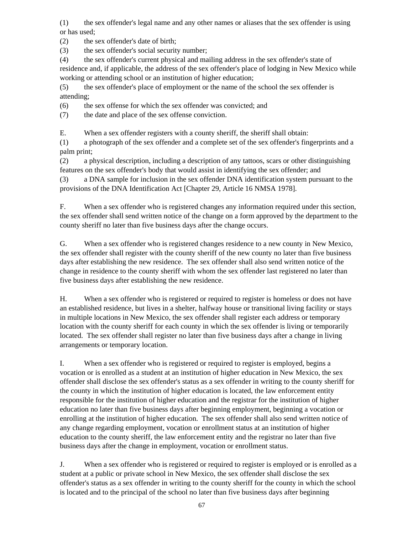(1) the sex offender's legal name and any other names or aliases that the sex offender is using or has used;

(2) the sex offender's date of birth;

(3) the sex offender's social security number;

(4) the sex offender's current physical and mailing address in the sex offender's state of residence and, if applicable, the address of the sex offender's place of lodging in New Mexico while working or attending school or an institution of higher education;

(5) the sex offender's place of employment or the name of the school the sex offender is attending;

(6) the sex offense for which the sex offender was convicted; and

(7) the date and place of the sex offense conviction.

E. When a sex offender registers with a county sheriff, the sheriff shall obtain:

(1) a photograph of the sex offender and a complete set of the sex offender's fingerprints and a palm print;

(2) a physical description, including a description of any tattoos, scars or other distinguishing features on the sex offender's body that would assist in identifying the sex offender; and

(3) a DNA sample for inclusion in the sex offender DNA identification system pursuant to the provisions of the DNA Identification Act [Chapter 29, Article 16 NMSA 1978].

F. When a sex offender who is registered changes any information required under this section, the sex offender shall send written notice of the change on a form approved by the department to the county sheriff no later than five business days after the change occurs.

G. When a sex offender who is registered changes residence to a new county in New Mexico, the sex offender shall register with the county sheriff of the new county no later than five business days after establishing the new residence. The sex offender shall also send written notice of the change in residence to the county sheriff with whom the sex offender last registered no later than five business days after establishing the new residence.

H. When a sex offender who is registered or required to register is homeless or does not have an established residence, but lives in a shelter, halfway house or transitional living facility or stays in multiple locations in New Mexico, the sex offender shall register each address or temporary location with the county sheriff for each county in which the sex offender is living or temporarily located. The sex offender shall register no later than five business days after a change in living arrangements or temporary location.

I. When a sex offender who is registered or required to register is employed, begins a vocation or is enrolled as a student at an institution of higher education in New Mexico, the sex offender shall disclose the sex offender's status as a sex offender in writing to the county sheriff for the county in which the institution of higher education is located, the law enforcement entity responsible for the institution of higher education and the registrar for the institution of higher education no later than five business days after beginning employment, beginning a vocation or enrolling at the institution of higher education. The sex offender shall also send written notice of any change regarding employment, vocation or enrollment status at an institution of higher education to the county sheriff, the law enforcement entity and the registrar no later than five business days after the change in employment, vocation or enrollment status.

J. When a sex offender who is registered or required to register is employed or is enrolled as a student at a public or private school in New Mexico, the sex offender shall disclose the sex offender's status as a sex offender in writing to the county sheriff for the county in which the school is located and to the principal of the school no later than five business days after beginning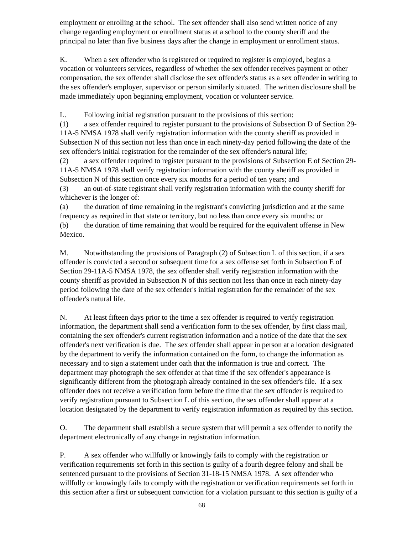employment or enrolling at the school. The sex offender shall also send written notice of any change regarding employment or enrollment status at a school to the county sheriff and the principal no later than five business days after the change in employment or enrollment status.

K. When a sex offender who is registered or required to register is employed, begins a vocation or volunteers services, regardless of whether the sex offender receives payment or other compensation, the sex offender shall disclose the sex offender's status as a sex offender in writing to the sex offender's employer, supervisor or person similarly situated. The written disclosure shall be made immediately upon beginning employment, vocation or volunteer service.

L. Following initial registration pursuant to the provisions of this section:

(1) a sex offender required to register pursuant to the provisions of Subsection D of Section 29- 11A-5 NMSA 1978 shall verify registration information with the county sheriff as provided in Subsection N of this section not less than once in each ninety-day period following the date of the sex offender's initial registration for the remainder of the sex offender's natural life;

(2) a sex offender required to register pursuant to the provisions of Subsection E of Section 29- 11A-5 NMSA 1978 shall verify registration information with the county sheriff as provided in Subsection N of this section once every six months for a period of ten years; and

(3) an out-of-state registrant shall verify registration information with the county sheriff for whichever is the longer of:

(a) the duration of time remaining in the registrant's convicting jurisdiction and at the same frequency as required in that state or territory, but no less than once every six months; or (b) the duration of time remaining that would be required for the equivalent offense in New

Mexico.

M. Notwithstanding the provisions of Paragraph (2) of Subsection L of this section, if a sex offender is convicted a second or subsequent time for a sex offense set forth in Subsection E of Section 29-11A-5 NMSA 1978, the sex offender shall verify registration information with the county sheriff as provided in Subsection N of this section not less than once in each ninety-day period following the date of the sex offender's initial registration for the remainder of the sex offender's natural life.

N. At least fifteen days prior to the time a sex offender is required to verify registration information, the department shall send a verification form to the sex offender, by first class mail, containing the sex offender's current registration information and a notice of the date that the sex offender's next verification is due. The sex offender shall appear in person at a location designated by the department to verify the information contained on the form, to change the information as necessary and to sign a statement under oath that the information is true and correct. The department may photograph the sex offender at that time if the sex offender's appearance is significantly different from the photograph already contained in the sex offender's file. If a sex offender does not receive a verification form before the time that the sex offender is required to verify registration pursuant to Subsection L of this section, the sex offender shall appear at a location designated by the department to verify registration information as required by this section.

O. The department shall establish a secure system that will permit a sex offender to notify the department electronically of any change in registration information.

P. A sex offender who willfully or knowingly fails to comply with the registration or verification requirements set forth in this section is guilty of a fourth degree felony and shall be sentenced pursuant to the provisions of Section 31-18-15 NMSA 1978. A sex offender who willfully or knowingly fails to comply with the registration or verification requirements set forth in this section after a first or subsequent conviction for a violation pursuant to this section is guilty of a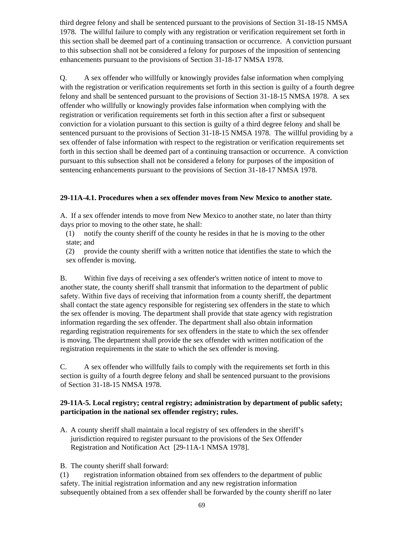third degree felony and shall be sentenced pursuant to the provisions of Section 31-18-15 NMSA 1978. The willful failure to comply with any registration or verification requirement set forth in this section shall be deemed part of a continuing transaction or occurrence. A conviction pursuant to this subsection shall not be considered a felony for purposes of the imposition of sentencing enhancements pursuant to the provisions of Section 31-18-17 NMSA 1978.

Q. A sex offender who willfully or knowingly provides false information when complying with the registration or verification requirements set forth in this section is guilty of a fourth degree felony and shall be sentenced pursuant to the provisions of Section 31-18-15 NMSA 1978. A sex offender who willfully or knowingly provides false information when complying with the registration or verification requirements set forth in this section after a first or subsequent conviction for a violation pursuant to this section is guilty of a third degree felony and shall be sentenced pursuant to the provisions of Section 31-18-15 NMSA 1978. The willful providing by a sex offender of false information with respect to the registration or verification requirements set forth in this section shall be deemed part of a continuing transaction or occurrence. A conviction pursuant to this subsection shall not be considered a felony for purposes of the imposition of sentencing enhancements pursuant to the provisions of Section 31-18-17 NMSA 1978.

#### **29-11A-4.1. Procedures when a sex offender moves from New Mexico to another state.**

A. If a sex offender intends to move from New Mexico to another state, no later than thirty days prior to moving to the other state, he shall:

(1) notify the county sheriff of the county he resides in that he is moving to the other state; and

(2) provide the county sheriff with a written notice that identifies the state to which the sex offender is moving.

B. Within five days of receiving a sex offender's written notice of intent to move to another state, the county sheriff shall transmit that information to the department of public safety. Within five days of receiving that information from a county sheriff, the department shall contact the state agency responsible for registering sex offenders in the state to which the sex offender is moving. The department shall provide that state agency with registration information regarding the sex offender. The department shall also obtain information regarding registration requirements for sex offenders in the state to which the sex offender is moving. The department shall provide the sex offender with written notification of the registration requirements in the state to which the sex offender is moving.

C. A sex offender who willfully fails to comply with the requirements set forth in this section is guilty of a fourth degree felony and shall be sentenced pursuant to the provisions of Section 31-18-15 NMSA 1978.

#### **29-11A-5. Local registry; central registry; administration by department of public safety; participation in the national sex offender registry; rules.**

A. A county sheriff shall maintain a local registry of sex offenders in the sheriff's jurisdiction required to register pursuant to the provisions of the Sex Offender Registration and Notification Act [29-11A-1 NMSA 1978].

B. The county sheriff shall forward:

(1) registration information obtained from sex offenders to the department of public safety. The initial registration information and any new registration information subsequently obtained from a sex offender shall be forwarded by the county sheriff no later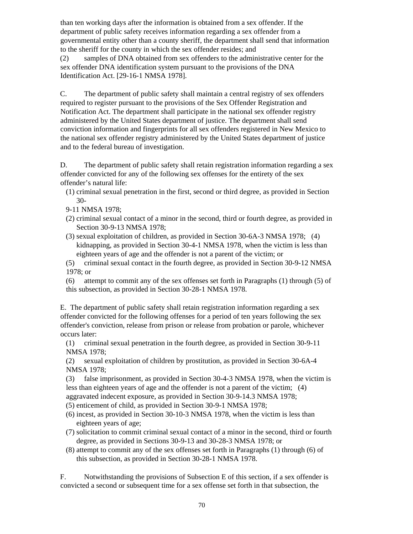than ten working days after the information is obtained from a sex offender. If the department of public safety receives information regarding a sex offender from a governmental entity other than a county sheriff, the department shall send that information to the sheriff for the county in which the sex offender resides; and

(2) samples of DNA obtained from sex offenders to the administrative center for the sex offender DNA identification system pursuant to the provisions of the DNA Identification Act. [29-16-1 NMSA 1978].

C. The department of public safety shall maintain a central registry of sex offenders required to register pursuant to the provisions of the Sex Offender Registration and Notification Act. The department shall participate in the national sex offender registry administered by the United States department of justice. The department shall send conviction information and fingerprints for all sex offenders registered in New Mexico to the national sex offender registry administered by the United States department of justice and to the federal bureau of investigation.

D. The department of public safety shall retain registration information regarding a sex offender convicted for any of the following sex offenses for the entirety of the sex offender's natural life:

- (1) criminal sexual penetration in the first, second or third degree, as provided in Section 30-
- 9-11 NMSA 1978;
- (2) criminal sexual contact of a minor in the second, third or fourth degree, as provided in Section 30-9-13 NMSA 1978;
- (3) sexual exploitation of children, as provided in Section 30-6A-3 NMSA 1978; (4) kidnapping, as provided in Section 30-4-1 NMSA 1978, when the victim is less than eighteen years of age and the offender is not a parent of the victim; or
- (5) criminal sexual contact in the fourth degree, as provided in Section 30-9-12 NMSA 1978; or
- (6) attempt to commit any of the sex offenses set forth in Paragraphs (1) through (5) of this subsection, as provided in Section 30-28-1 NMSA 1978.

E. The department of public safety shall retain registration information regarding a sex offender convicted for the following offenses for a period of ten years following the sex offender's conviction, release from prison or release from probation or parole, whichever occurs later:

(1) criminal sexual penetration in the fourth degree, as provided in Section 30-9-11 NMSA 1978;

(2) sexual exploitation of children by prostitution, as provided in Section 30-6A-4 NMSA 1978;

(3) false imprisonment, as provided in Section 30-4-3 NMSA 1978, when the victim is less than eighteen years of age and the offender is not a parent of the victim; (4) aggravated indecent exposure, as provided in Section 30-9-14.3 NMSA 1978;

(5) enticement of child, as provided in Section 30-9-1 NMSA 1978;

- (6) incest, as provided in Section 30-10-3 NMSA 1978, when the victim is less than eighteen years of age;
- (7) solicitation to commit criminal sexual contact of a minor in the second, third or fourth degree, as provided in Sections 30-9-13 and 30-28-3 NMSA 1978; or
- (8) attempt to commit any of the sex offenses set forth in Paragraphs (1) through (6) of this subsection, as provided in Section 30-28-1 NMSA 1978.

F. Notwithstanding the provisions of Subsection E of this section, if a sex offender is convicted a second or subsequent time for a sex offense set forth in that subsection, the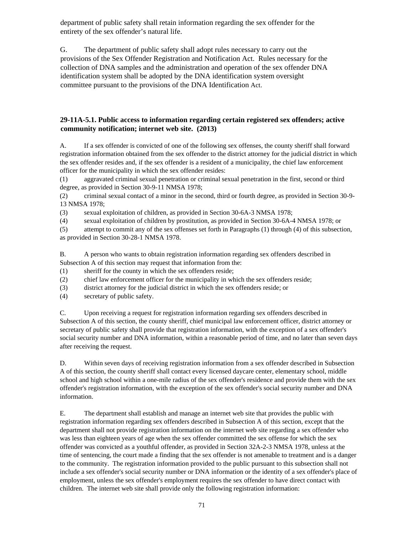department of public safety shall retain information regarding the sex offender for the entirety of the sex offender's natural life.

G. The department of public safety shall adopt rules necessary to carry out the provisions of the Sex Offender Registration and Notification Act. Rules necessary for the collection of DNA samples and the administration and operation of the sex offender DNA identification system shall be adopted by the DNA identification system oversight committee pursuant to the provisions of the DNA Identification Act.

#### **29-11A-5.1. Public access to information regarding certain registered sex offenders; active community notification; internet web site. (2013)**

A. If a sex offender is convicted of one of the following sex offenses, the county sheriff shall forward registration information obtained from the sex offender to the district attorney for the judicial district in which the sex offender resides and, if the sex offender is a resident of a municipality, the chief law enforcement officer for the municipality in which the sex offender resides:

(1) aggravated criminal sexual penetration or criminal sexual penetration in the first, second or third degree, as provided in Section 30-9-11 NMSA 1978;

(2) criminal sexual contact of a minor in the second, third or fourth degree, as provided in Section 30-9- 13 NMSA 1978;

(3) sexual exploitation of children, as provided in Section 30-6A-3 NMSA 1978;

(4) sexual exploitation of children by prostitution, as provided in Section 30-6A-4 NMSA 1978; or

(5) attempt to commit any of the sex offenses set forth in Paragraphs (1) through (4) of this subsection, as provided in Section 30-28-1 NMSA 1978.

B. A person who wants to obtain registration information regarding sex offenders described in Subsection A of this section may request that information from the:

(1) sheriff for the county in which the sex offenders reside;

(2) chief law enforcement officer for the municipality in which the sex offenders reside;

(3) district attorney for the judicial district in which the sex offenders reside; or

(4) secretary of public safety.

C. Upon receiving a request for registration information regarding sex offenders described in Subsection A of this section, the county sheriff, chief municipal law enforcement officer, district attorney or secretary of public safety shall provide that registration information, with the exception of a sex offender's social security number and DNA information, within a reasonable period of time, and no later than seven days after receiving the request.

D. Within seven days of receiving registration information from a sex offender described in Subsection A of this section, the county sheriff shall contact every licensed daycare center, elementary school, middle school and high school within a one-mile radius of the sex offender's residence and provide them with the sex offender's registration information, with the exception of the sex offender's social security number and DNA information.

E. The department shall establish and manage an internet web site that provides the public with registration information regarding sex offenders described in Subsection A of this section, except that the department shall not provide registration information on the internet web site regarding a sex offender who was less than eighteen years of age when the sex offender committed the sex offense for which the sex offender was convicted as a youthful offender, as provided in Section 32A-2-3 NMSA 1978, unless at the time of sentencing, the court made a finding that the sex offender is not amenable to treatment and is a danger to the community. The registration information provided to the public pursuant to this subsection shall not include a sex offender's social security number or DNA information or the identity of a sex offender's place of employment, unless the sex offender's employment requires the sex offender to have direct contact with children. The internet web site shall provide only the following registration information: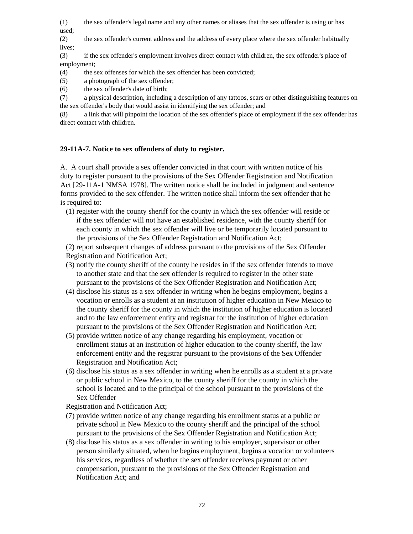(1) the sex offender's legal name and any other names or aliases that the sex offender is using or has used;

(2) the sex offender's current address and the address of every place where the sex offender habitually lives;

(3) if the sex offender's employment involves direct contact with children, the sex offender's place of employment;

- (4) the sex offenses for which the sex offender has been convicted;
- (5) a photograph of the sex offender;
- (6) the sex offender's date of birth;

(7) a physical description, including a description of any tattoos, scars or other distinguishing features on the sex offender's body that would assist in identifying the sex offender; and

(8) a link that will pinpoint the location of the sex offender's place of employment if the sex offender has direct contact with children.

#### **29-11A-7. Notice to sex offenders of duty to register.**

A. A court shall provide a sex offender convicted in that court with written notice of his duty to register pursuant to the provisions of the Sex Offender Registration and Notification Act [29-11A-1 NMSA 1978]. The written notice shall be included in judgment and sentence forms provided to the sex offender. The written notice shall inform the sex offender that he is required to:

(1) register with the county sheriff for the county in which the sex offender will reside or if the sex offender will not have an established residence, with the county sheriff for each county in which the sex offender will live or be temporarily located pursuant to the provisions of the Sex Offender Registration and Notification Act;

(2) report subsequent changes of address pursuant to the provisions of the Sex Offender Registration and Notification Act;

- (3) notify the county sheriff of the county he resides in if the sex offender intends to move to another state and that the sex offender is required to register in the other state pursuant to the provisions of the Sex Offender Registration and Notification Act;
- (4) disclose his status as a sex offender in writing when he begins employment, begins a vocation or enrolls as a student at an institution of higher education in New Mexico to the county sheriff for the county in which the institution of higher education is located and to the law enforcement entity and registrar for the institution of higher education pursuant to the provisions of the Sex Offender Registration and Notification Act;
- (5) provide written notice of any change regarding his employment, vocation or enrollment status at an institution of higher education to the county sheriff, the law enforcement entity and the registrar pursuant to the provisions of the Sex Offender Registration and Notification Act;
- (6) disclose his status as a sex offender in writing when he enrolls as a student at a private or public school in New Mexico, to the county sheriff for the county in which the school is located and to the principal of the school pursuant to the provisions of the Sex Offender

Registration and Notification Act;

- (7) provide written notice of any change regarding his enrollment status at a public or private school in New Mexico to the county sheriff and the principal of the school pursuant to the provisions of the Sex Offender Registration and Notification Act;
- (8) disclose his status as a sex offender in writing to his employer, supervisor or other person similarly situated, when he begins employment, begins a vocation or volunteers his services, regardless of whether the sex offender receives payment or other compensation, pursuant to the provisions of the Sex Offender Registration and Notification Act; and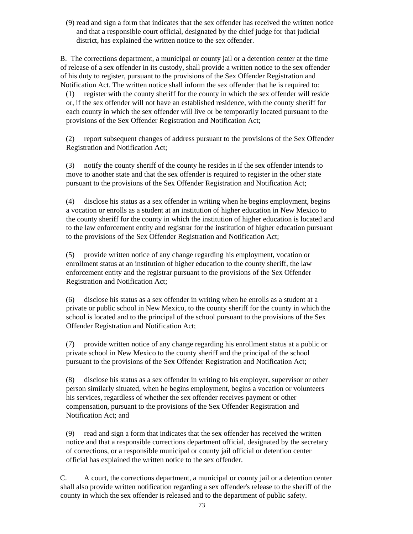(9) read and sign a form that indicates that the sex offender has received the written notice and that a responsible court official, designated by the chief judge for that judicial district, has explained the written notice to the sex offender.

B. The corrections department, a municipal or county jail or a detention center at the time of release of a sex offender in its custody, shall provide a written notice to the sex offender of his duty to register, pursuant to the provisions of the Sex Offender Registration and Notification Act. The written notice shall inform the sex offender that he is required to:

(1) register with the county sheriff for the county in which the sex offender will reside or, if the sex offender will not have an established residence, with the county sheriff for each county in which the sex offender will live or be temporarily located pursuant to the provisions of the Sex Offender Registration and Notification Act;

(2) report subsequent changes of address pursuant to the provisions of the Sex Offender Registration and Notification Act;

(3) notify the county sheriff of the county he resides in if the sex offender intends to move to another state and that the sex offender is required to register in the other state pursuant to the provisions of the Sex Offender Registration and Notification Act;

(4) disclose his status as a sex offender in writing when he begins employment, begins a vocation or enrolls as a student at an institution of higher education in New Mexico to the county sheriff for the county in which the institution of higher education is located and to the law enforcement entity and registrar for the institution of higher education pursuant to the provisions of the Sex Offender Registration and Notification Act;

(5) provide written notice of any change regarding his employment, vocation or enrollment status at an institution of higher education to the county sheriff, the law enforcement entity and the registrar pursuant to the provisions of the Sex Offender Registration and Notification Act;

(6) disclose his status as a sex offender in writing when he enrolls as a student at a private or public school in New Mexico, to the county sheriff for the county in which the school is located and to the principal of the school pursuant to the provisions of the Sex Offender Registration and Notification Act;

(7) provide written notice of any change regarding his enrollment status at a public or private school in New Mexico to the county sheriff and the principal of the school pursuant to the provisions of the Sex Offender Registration and Notification Act;

(8) disclose his status as a sex offender in writing to his employer, supervisor or other person similarly situated, when he begins employment, begins a vocation or volunteers his services, regardless of whether the sex offender receives payment or other compensation, pursuant to the provisions of the Sex Offender Registration and Notification Act; and

(9) read and sign a form that indicates that the sex offender has received the written notice and that a responsible corrections department official, designated by the secretary of corrections, or a responsible municipal or county jail official or detention center official has explained the written notice to the sex offender.

C. A court, the corrections department, a municipal or county jail or a detention center shall also provide written notification regarding a sex offender's release to the sheriff of the county in which the sex offender is released and to the department of public safety.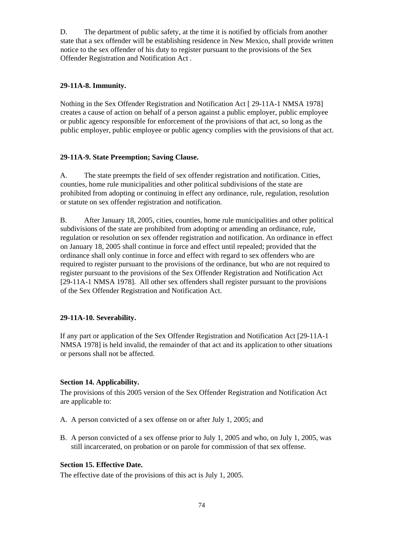D. The department of public safety, at the time it is notified by officials from another state that a sex offender will be establishing residence in New Mexico, shall provide written notice to the sex offender of his duty to register pursuant to the provisions of the Sex Offender Registration and Notification Act .

#### **29-11A-8. Immunity.**

Nothing in the Sex Offender Registration and Notification Act [ 29-11A-1 NMSA 1978] creates a cause of action on behalf of a person against a public employer, public employee or public agency responsible for enforcement of the provisions of that act, so long as the public employer, public employee or public agency complies with the provisions of that act.

### **29-11A-9. State Preemption; Saving Clause.**

A. The state preempts the field of sex offender registration and notification. Cities, counties, home rule municipalities and other political subdivisions of the state are prohibited from adopting or continuing in effect any ordinance, rule, regulation, resolution or statute on sex offender registration and notification.

B. After January 18, 2005, cities, counties, home rule municipalities and other political subdivisions of the state are prohibited from adopting or amending an ordinance, rule, regulation or resolution on sex offender registration and notification. An ordinance in effect on January 18, 2005 shall continue in force and effect until repealed; provided that the ordinance shall only continue in force and effect with regard to sex offenders who are required to register pursuant to the provisions of the ordinance, but who are not required to register pursuant to the provisions of the Sex Offender Registration and Notification Act [29-11A-1 NMSA 1978]. All other sex offenders shall register pursuant to the provisions of the Sex Offender Registration and Notification Act.

## **29-11A-10. Severability.**

If any part or application of the Sex Offender Registration and Notification Act [29-11A-1 NMSA 1978] is held invalid, the remainder of that act and its application to other situations or persons shall not be affected.

## **Section 14. Applicability.**

The provisions of this 2005 version of the Sex Offender Registration and Notification Act are applicable to:

- A. A person convicted of a sex offense on or after July 1, 2005; and
- B. A person convicted of a sex offense prior to July 1, 2005 and who, on July 1, 2005, was still incarcerated, on probation or on parole for commission of that sex offense.

#### **Section 15. Effective Date.**

The effective date of the provisions of this act is July 1, 2005.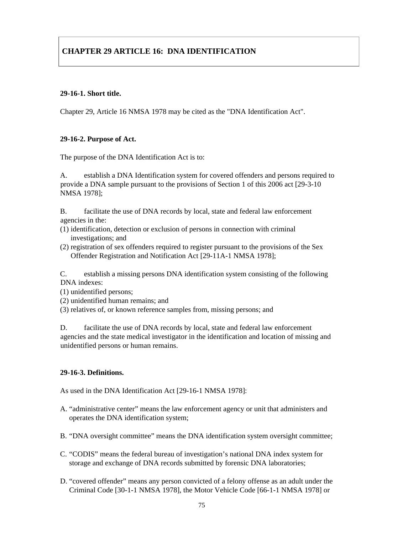# **CHAPTER 29 ARTICLE 16: DNA IDENTIFICATION**

#### **29-16-1. Short title.**

Chapter 29, Article 16 NMSA 1978 may be cited as the "DNA Identification Act".

### **29-16-2. Purpose of Act.**

The purpose of the DNA Identification Act is to:

A. establish a DNA Identification system for covered offenders and persons required to provide a DNA sample pursuant to the provisions of Section 1 of this 2006 act [29-3-10 NMSA 1978];

B. facilitate the use of DNA records by local, state and federal law enforcement agencies in the:

- (1) identification, detection or exclusion of persons in connection with criminal investigations; and
- (2) registration of sex offenders required to register pursuant to the provisions of the Sex Offender Registration and Notification Act [29-11A-1 NMSA 1978];

C. establish a missing persons DNA identification system consisting of the following DNA indexes:

- (1) unidentified persons;
- (2) unidentified human remains; and
- (3) relatives of, or known reference samples from, missing persons; and

D. facilitate the use of DNA records by local, state and federal law enforcement agencies and the state medical investigator in the identification and location of missing and unidentified persons or human remains.

#### **29-16-3. Definitions.**

As used in the DNA Identification Act [29-16-1 NMSA 1978]:

- A. "administrative center" means the law enforcement agency or unit that administers and operates the DNA identification system;
- B. "DNA oversight committee" means the DNA identification system oversight committee;
- C. "CODIS" means the federal bureau of investigation's national DNA index system for storage and exchange of DNA records submitted by forensic DNA laboratories;
- D. "covered offender" means any person convicted of a felony offense as an adult under the Criminal Code [30-1-1 NMSA 1978], the Motor Vehicle Code [66-1-1 NMSA 1978] or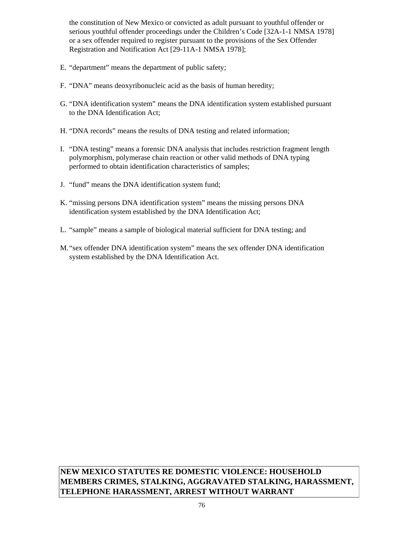the constitution of New Mexico or convicted as adult pursuant to youthful offender or serious youthful offender proceedings under the Children's Code [32A-1-1 NMSA 1978] or a sex offender required to register pursuant to the provisions of the Sex Offender Registration and Notification Act [29-11A-1 NMSA 1978];

- E. "department" means the department of public safety;
- F. "DNA" means deoxyribonucleic acid as the basis of human heredity;
- G. "DNA identification system" means the DNA identification system established pursuant to the DNA Identification Act;
- H. "DNA records" means the results of DNA testing and related information;
- I. "DNA testing" means a forensic DNA analysis that includes restriction fragment length polymorphism, polymerase chain reaction or other valid methods of DNA typing performed to obtain identification characteristics of samples;
- J. "fund" means the DNA identification system fund;
- K. "missing persons DNA identification system" means the missing persons DNA identification system established by the DNA Identification Act;
- L. "sample" means a sample of biological material sufficient for DNA testing; and
- M."sex offender DNA identification system" means the sex offender DNA identification system established by the DNA Identification Act.

# **NEW MEXICO STATUTES RE DOMESTIC VIOLENCE: HOUSEHOLD MEMBERS CRIMES, STALKING, AGGRAVATED STALKING, HARASSMENT, TELEPHONE HARASSMENT, ARREST WITHOUT WARRANT**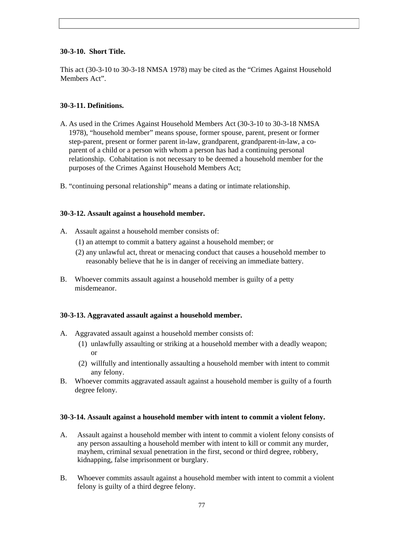#### **30-3-10. Short Title.**

This act (30-3-10 to 30-3-18 NMSA 1978) may be cited as the "Crimes Against Household Members Act".

#### **30-3-11. Definitions.**

- A. As used in the Crimes Against Household Members Act (30-3-10 to 30-3-18 NMSA 1978), "household member" means spouse, former spouse, parent, present or former step-parent, present or former parent in-law, grandparent, grandparent-in-law, a coparent of a child or a person with whom a person has had a continuing personal relationship. Cohabitation is not necessary to be deemed a household member for the purposes of the Crimes Against Household Members Act;
- B. "continuing personal relationship" means a dating or intimate relationship.

#### **30-3-12. Assault against a household member.**

- A. Assault against a household member consists of:
	- (1) an attempt to commit a battery against a household member; or
	- (2) any unlawful act, threat or menacing conduct that causes a household member to reasonably believe that he is in danger of receiving an immediate battery.
- B. Whoever commits assault against a household member is guilty of a petty misdemeanor.

## **30-3-13. Aggravated assault against a household member.**

- A. Aggravated assault against a household member consists of:
	- (1) unlawfully assaulting or striking at a household member with a deadly weapon; or
	- (2) willfully and intentionally assaulting a household member with intent to commit any felony.
- B. Whoever commits aggravated assault against a household member is guilty of a fourth degree felony.

#### **30-3-14. Assault against a household member with intent to commit a violent felony.**

- A. Assault against a household member with intent to commit a violent felony consists of any person assaulting a household member with intent to kill or commit any murder, mayhem, criminal sexual penetration in the first, second or third degree, robbery, kidnapping, false imprisonment or burglary.
- B. Whoever commits assault against a household member with intent to commit a violent felony is guilty of a third degree felony.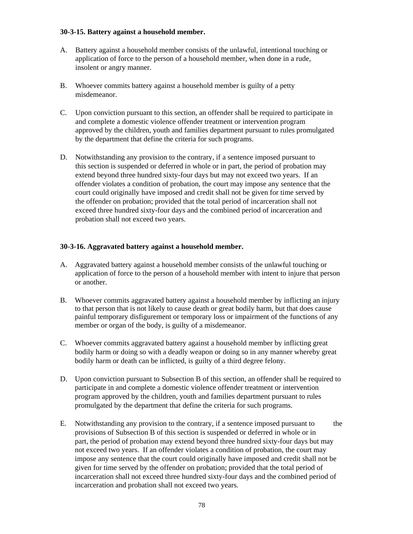#### **30-3-15. Battery against a household member.**

- A. Battery against a household member consists of the unlawful, intentional touching or application of force to the person of a household member, when done in a rude, insolent or angry manner.
- B. Whoever commits battery against a household member is guilty of a petty misdemeanor.
- C. Upon conviction pursuant to this section, an offender shall be required to participate in and complete a domestic violence offender treatment or intervention program approved by the children, youth and families department pursuant to rules promulgated by the department that define the criteria for such programs.
- D. Notwithstanding any provision to the contrary, if a sentence imposed pursuant to this section is suspended or deferred in whole or in part, the period of probation may extend beyond three hundred sixty-four days but may not exceed two years. If an offender violates a condition of probation, the court may impose any sentence that the court could originally have imposed and credit shall not be given for time served by the offender on probation; provided that the total period of incarceration shall not exceed three hundred sixty-four days and the combined period of incarceration and probation shall not exceed two years.

#### **30-3-16. Aggravated battery against a household member.**

- A. Aggravated battery against a household member consists of the unlawful touching or application of force to the person of a household member with intent to injure that person or another.
- B. Whoever commits aggravated battery against a household member by inflicting an injury to that person that is not likely to cause death or great bodily harm, but that does cause painful temporary disfigurement or temporary loss or impairment of the functions of any member or organ of the body, is guilty of a misdemeanor.
- C. Whoever commits aggravated battery against a household member by inflicting great bodily harm or doing so with a deadly weapon or doing so in any manner whereby great bodily harm or death can be inflicted, is guilty of a third degree felony.
- D. Upon conviction pursuant to Subsection B of this section, an offender shall be required to participate in and complete a domestic violence offender treatment or intervention program approved by the children, youth and families department pursuant to rules promulgated by the department that define the criteria for such programs.
- E. Notwithstanding any provision to the contrary, if a sentence imposed pursuant to the provisions of Subsection B of this section is suspended or deferred in whole or in part, the period of probation may extend beyond three hundred sixty-four days but may not exceed two years. If an offender violates a condition of probation, the court may impose any sentence that the court could originally have imposed and credit shall not be given for time served by the offender on probation; provided that the total period of incarceration shall not exceed three hundred sixty-four days and the combined period of incarceration and probation shall not exceed two years.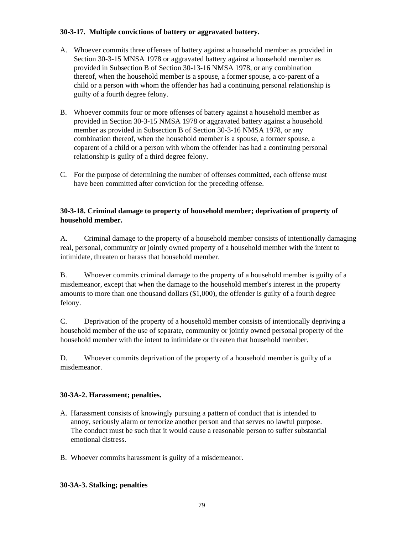## **30-3-17. Multiple convictions of battery or aggravated battery.**

- A. Whoever commits three offenses of battery against a household member as provided in Section 30-3-15 MNSA 1978 or aggravated battery against a household member as provided in Subsection B of Section 30-13-16 NMSA 1978, or any combination thereof, when the household member is a spouse, a former spouse, a co-parent of a child or a person with whom the offender has had a continuing personal relationship is guilty of a fourth degree felony.
- B. Whoever commits four or more offenses of battery against a household member as provided in Section 30-3-15 NMSA 1978 or aggravated battery against a household member as provided in Subsection B of Section 30-3-16 NMSA 1978, or any combination thereof, when the household member is a spouse, a former spouse, a coparent of a child or a person with whom the offender has had a continuing personal relationship is guilty of a third degree felony.
- C. For the purpose of determining the number of offenses committed, each offense must have been committed after conviction for the preceding offense.

## **30-3-18. Criminal damage to property of household member; deprivation of property of household member.**

A. Criminal damage to the property of a household member consists of intentionally damaging real, personal, community or jointly owned property of a household member with the intent to intimidate, threaten or harass that household member.

B. Whoever commits criminal damage to the property of a household member is guilty of a misdemeanor, except that when the damage to the household member's interest in the property amounts to more than one thousand dollars (\$1,000), the offender is guilty of a fourth degree felony.

C. Deprivation of the property of a household member consists of intentionally depriving a household member of the use of separate, community or jointly owned personal property of the household member with the intent to intimidate or threaten that household member.

D. Whoever commits deprivation of the property of a household member is guilty of a misdemeanor.

## **30-3A-2. Harassment; penalties.**

- A. Harassment consists of knowingly pursuing a pattern of conduct that is intended to annoy, seriously alarm or terrorize another person and that serves no lawful purpose. The conduct must be such that it would cause a reasonable person to suffer substantial emotional distress.
- B. Whoever commits harassment is guilty of a misdemeanor.

#### **30-3A-3. Stalking; penalties**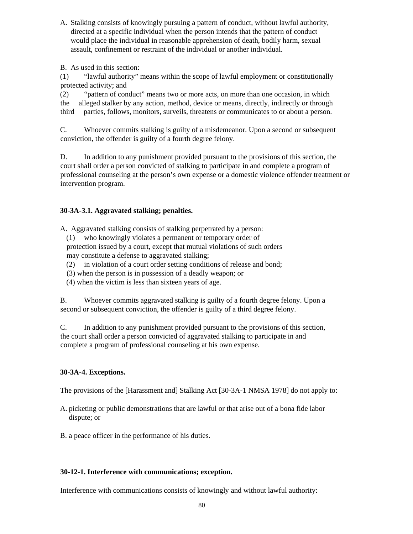A. Stalking consists of knowingly pursuing a pattern of conduct, without lawful authority, directed at a specific individual when the person intends that the pattern of conduct would place the individual in reasonable apprehension of death, bodily harm, sexual assault, confinement or restraint of the individual or another individual.

B. As used in this section:

(1) "lawful authority" means within the scope of lawful employment or constitutionally protected activity; and

(2) "pattern of conduct" means two or more acts, on more than one occasion, in which the alleged stalker by any action, method, device or means, directly, indirectly or through third parties, follows, monitors, surveils, threatens or communicates to or about a person.

C. Whoever commits stalking is guilty of a misdemeanor. Upon a second or subsequent conviction, the offender is guilty of a fourth degree felony.

D. In addition to any punishment provided pursuant to the provisions of this section, the court shall order a person convicted of stalking to participate in and complete a program of professional counseling at the person's own expense or a domestic violence offender treatment or intervention program.

## **30-3A-3.1. Aggravated stalking; penalties.**

A. Aggravated stalking consists of stalking perpetrated by a person:

(1) who knowingly violates a permanent or temporary order of protection issued by a court, except that mutual violations of such orders may constitute a defense to aggravated stalking;

- (2) in violation of a court order setting conditions of release and bond;
- (3) when the person is in possession of a deadly weapon; or
- (4) when the victim is less than sixteen years of age.

B. Whoever commits aggravated stalking is guilty of a fourth degree felony. Upon a second or subsequent conviction, the offender is guilty of a third degree felony.

C. In addition to any punishment provided pursuant to the provisions of this section, the court shall order a person convicted of aggravated stalking to participate in and complete a program of professional counseling at his own expense.

## **30-3A-4. Exceptions.**

The provisions of the [Harassment and] Stalking Act [30-3A-1 NMSA 1978] do not apply to:

- A. picketing or public demonstrations that are lawful or that arise out of a bona fide labor dispute; or
- B. a peace officer in the performance of his duties.

#### **30-12-1. Interference with communications; exception.**

Interference with communications consists of knowingly and without lawful authority: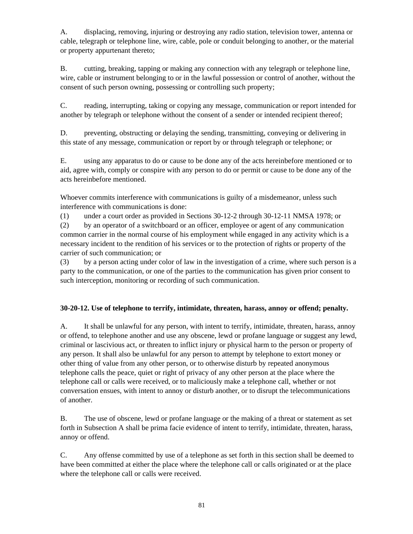A. displacing, removing, injuring or destroying any radio station, television tower, antenna or cable, telegraph or telephone line, wire, cable, pole or conduit belonging to another, or the material or property appurtenant thereto;

B. cutting, breaking, tapping or making any connection with any telegraph or telephone line, wire, cable or instrument belonging to or in the lawful possession or control of another, without the consent of such person owning, possessing or controlling such property;

C. reading, interrupting, taking or copying any message, communication or report intended for another by telegraph or telephone without the consent of a sender or intended recipient thereof;

D. preventing, obstructing or delaying the sending, transmitting, conveying or delivering in this state of any message, communication or report by or through telegraph or telephone; or

E. using any apparatus to do or cause to be done any of the acts hereinbefore mentioned or to aid, agree with, comply or conspire with any person to do or permit or cause to be done any of the acts hereinbefore mentioned.

Whoever commits interference with communications is guilty of a misdemeanor, unless such interference with communications is done:

(1) under a court order as provided in Sections 30-12-2 through 30-12-11 NMSA 1978; or (2) by an operator of a switchboard or an officer, employee or agent of any communication common carrier in the normal course of his employment while engaged in any activity which is a necessary incident to the rendition of his services or to the protection of rights or property of the carrier of such communication; or

(3) by a person acting under color of law in the investigation of a crime, where such person is a party to the communication, or one of the parties to the communication has given prior consent to such interception, monitoring or recording of such communication.

# **30-20-12. Use of telephone to terrify, intimidate, threaten, harass, annoy or offend; penalty.**

A. It shall be unlawful for any person, with intent to terrify, intimidate, threaten, harass, annoy or offend, to telephone another and use any obscene, lewd or profane language or suggest any lewd, criminal or lascivious act, or threaten to inflict injury or physical harm to the person or property of any person. It shall also be unlawful for any person to attempt by telephone to extort money or other thing of value from any other person, or to otherwise disturb by repeated anonymous telephone calls the peace, quiet or right of privacy of any other person at the place where the telephone call or calls were received, or to maliciously make a telephone call, whether or not conversation ensues, with intent to annoy or disturb another, or to disrupt the telecommunications of another.

B. The use of obscene, lewd or profane language or the making of a threat or statement as set forth in Subsection A shall be prima facie evidence of intent to terrify, intimidate, threaten, harass, annoy or offend.

C. Any offense committed by use of a telephone as set forth in this section shall be deemed to have been committed at either the place where the telephone call or calls originated or at the place where the telephone call or calls were received.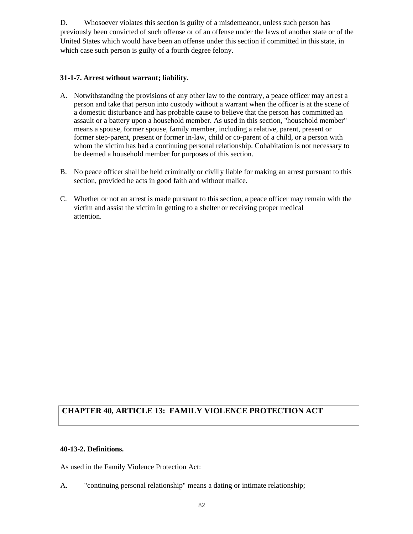D. Whosoever violates this section is guilty of a misdemeanor, unless such person has previously been convicted of such offense or of an offense under the laws of another state or of the United States which would have been an offense under this section if committed in this state, in which case such person is guilty of a fourth degree felony.

### **31-1-7. Arrest without warrant; liability.**

- A. Notwithstanding the provisions of any other law to the contrary, a peace officer may arrest a person and take that person into custody without a warrant when the officer is at the scene of a domestic disturbance and has probable cause to believe that the person has committed an assault or a battery upon a household member. As used in this section, "household member" means a spouse, former spouse, family member, including a relative, parent, present or former step-parent, present or former in-law, child or co-parent of a child, or a person with whom the victim has had a continuing personal relationship. Cohabitation is not necessary to be deemed a household member for purposes of this section.
- B. No peace officer shall be held criminally or civilly liable for making an arrest pursuant to this section, provided he acts in good faith and without malice.
- C. Whether or not an arrest is made pursuant to this section, a peace officer may remain with the victim and assist the victim in getting to a shelter or receiving proper medical attention.

# **CHAPTER 40, ARTICLE 13: FAMILY VIOLENCE PROTECTION ACT**

#### **40-13-2. Definitions.**

As used in the Family Violence Protection Act:

A. "continuing personal relationship" means a dating or intimate relationship;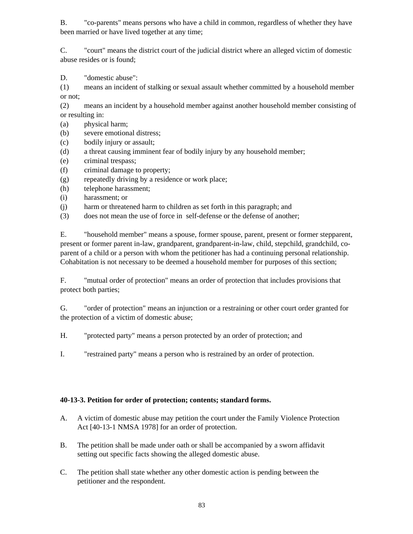B. "co-parents" means persons who have a child in common, regardless of whether they have been married or have lived together at any time;

C. "court" means the district court of the judicial district where an alleged victim of domestic abuse resides or is found;

D. "domestic abuse":

(1) means an incident of stalking or sexual assault whether committed by a household member or not;

(2) means an incident by a household member against another household member consisting of or resulting in:

- (a) physical harm;
- (b) severe emotional distress;
- (c) bodily injury or assault;
- (d) a threat causing imminent fear of bodily injury by any household member;
- (e) criminal trespass;
- (f) criminal damage to property;
- (g) repeatedly driving by a residence or work place;
- (h) telephone harassment;
- (i) harassment; or
- (j) harm or threatened harm to children as set forth in this paragraph; and
- (3) does not mean the use of force in self-defense or the defense of another;

E. "household member" means a spouse, former spouse, parent, present or former stepparent, present or former parent in-law, grandparent, grandparent-in-law, child, stepchild, grandchild, coparent of a child or a person with whom the petitioner has had a continuing personal relationship. Cohabitation is not necessary to be deemed a household member for purposes of this section;

F. "mutual order of protection" means an order of protection that includes provisions that protect both parties;

G. "order of protection" means an injunction or a restraining or other court order granted for the protection of a victim of domestic abuse;

H. "protected party" means a person protected by an order of protection; and

I. "restrained party" means a person who is restrained by an order of protection.

## **40-13-3. Petition for order of protection; contents; standard forms.**

- A. A victim of domestic abuse may petition the court under the Family Violence Protection Act [40-13-1 NMSA 1978] for an order of protection.
- B. The petition shall be made under oath or shall be accompanied by a sworn affidavit setting out specific facts showing the alleged domestic abuse.
- C. The petition shall state whether any other domestic action is pending between the petitioner and the respondent.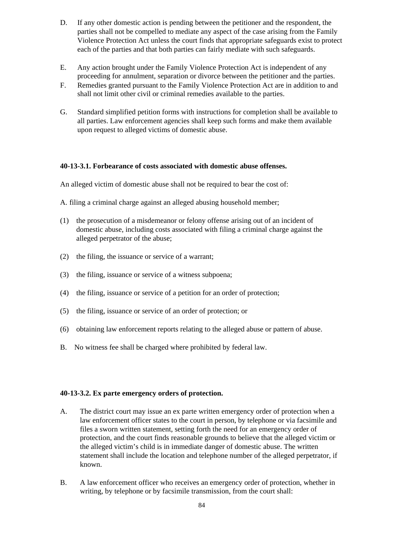- D. If any other domestic action is pending between the petitioner and the respondent, the parties shall not be compelled to mediate any aspect of the case arising from the Family Violence Protection Act unless the court finds that appropriate safeguards exist to protect each of the parties and that both parties can fairly mediate with such safeguards.
- E. Any action brought under the Family Violence Protection Act is independent of any proceeding for annulment, separation or divorce between the petitioner and the parties.
- F. Remedies granted pursuant to the Family Violence Protection Act are in addition to and shall not limit other civil or criminal remedies available to the parties.
- G. Standard simplified petition forms with instructions for completion shall be available to all parties. Law enforcement agencies shall keep such forms and make them available upon request to alleged victims of domestic abuse.

#### **40-13-3.1. Forbearance of costs associated with domestic abuse offenses.**

An alleged victim of domestic abuse shall not be required to bear the cost of:

A. filing a criminal charge against an alleged abusing household member;

- (1) the prosecution of a misdemeanor or felony offense arising out of an incident of domestic abuse, including costs associated with filing a criminal charge against the alleged perpetrator of the abuse;
- (2) the filing, the issuance or service of a warrant;
- (3) the filing, issuance or service of a witness subpoena;
- (4) the filing, issuance or service of a petition for an order of protection;
- (5) the filing, issuance or service of an order of protection; or
- (6) obtaining law enforcement reports relating to the alleged abuse or pattern of abuse.
- B. No witness fee shall be charged where prohibited by federal law.

#### **40-13-3.2. Ex parte emergency orders of protection.**

- A. The district court may issue an ex parte written emergency order of protection when a law enforcement officer states to the court in person, by telephone or via facsimile and files a sworn written statement, setting forth the need for an emergency order of protection, and the court finds reasonable grounds to believe that the alleged victim or the alleged victim's child is in immediate danger of domestic abuse. The written statement shall include the location and telephone number of the alleged perpetrator, if known.
- B. A law enforcement officer who receives an emergency order of protection, whether in writing, by telephone or by facsimile transmission, from the court shall: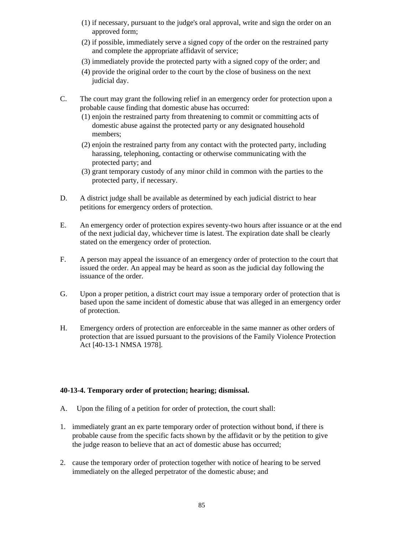- (1) if necessary, pursuant to the judge's oral approval, write and sign the order on an approved form;
- (2) if possible, immediately serve a signed copy of the order on the restrained party and complete the appropriate affidavit of service;
- (3) immediately provide the protected party with a signed copy of the order; and
- (4) provide the original order to the court by the close of business on the next judicial day.
- C. The court may grant the following relief in an emergency order for protection upon a probable cause finding that domestic abuse has occurred:
	- (1) enjoin the restrained party from threatening to commit or committing acts of domestic abuse against the protected party or any designated household members;
	- (2) enjoin the restrained party from any contact with the protected party, including harassing, telephoning, contacting or otherwise communicating with the protected party; and
	- (3) grant temporary custody of any minor child in common with the parties to the protected party, if necessary.
- D. A district judge shall be available as determined by each judicial district to hear petitions for emergency orders of protection.
- E. An emergency order of protection expires seventy-two hours after issuance or at the end of the next judicial day, whichever time is latest. The expiration date shall be clearly stated on the emergency order of protection.
- F. A person may appeal the issuance of an emergency order of protection to the court that issued the order. An appeal may be heard as soon as the judicial day following the issuance of the order.
- G. Upon a proper petition, a district court may issue a temporary order of protection that is based upon the same incident of domestic abuse that was alleged in an emergency order of protection.
- H. Emergency orders of protection are enforceable in the same manner as other orders of protection that are issued pursuant to the provisions of the Family Violence Protection Act [40-13-1 NMSA 1978].

#### **40-13-4. Temporary order of protection; hearing; dismissal.**

- A. Upon the filing of a petition for order of protection, the court shall:
- 1. immediately grant an ex parte temporary order of protection without bond, if there is probable cause from the specific facts shown by the affidavit or by the petition to give the judge reason to believe that an act of domestic abuse has occurred;
- 2. cause the temporary order of protection together with notice of hearing to be served immediately on the alleged perpetrator of the domestic abuse; and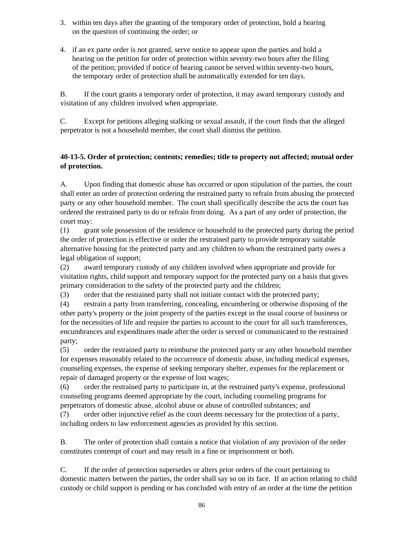- 3. within ten days after the granting of the temporary order of protection, hold a hearing on the question of continuing the order; or
- 4. if an ex parte order is not granted, serve notice to appear upon the parties and hold a hearing on the petition for order of protection within seventy-two hours after the filing of the petition; provided if notice of hearing cannot be served within seventy-two hours, the temporary order of protection shall be automatically extended for ten days.

B. If the court grants a temporary order of protection, it may award temporary custody and visitation of any children involved when appropriate.

C. Except for petitions alleging stalking or sexual assault, if the court finds that the alleged perpetrator is not a household member, the court shall dismiss the petition.

## **40-13-5. Order of protection; contents; remedies; title to property not affected; mutual order of protection.**

A. Upon finding that domestic abuse has occurred or upon stipulation of the parties, the court shall enter an order of protection ordering the restrained party to refrain from abusing the protected party or any other household member. The court shall specifically describe the acts the court has ordered the restrained party to do or refrain from doing. As a part of any order of protection, the court may:

(1) grant sole possession of the residence or household to the protected party during the period the order of protection is effective or order the restrained party to provide temporary suitable alternative housing for the protected party and any children to whom the restrained party owes a legal obligation of support;

(2) award temporary custody of any children involved when appropriate and provide for visitation rights, child support and temporary support for the protected party on a basis that gives primary consideration to the safety of the protected party and the children;

(3) order that the restrained party shall not initiate contact with the protected party;

(4) restrain a party from transferring, concealing, encumbering or otherwise disposing of the other party's property or the joint property of the parties except in the usual course of business or for the necessities of life and require the parties to account to the court for all such transferences, encumbrances and expenditures made after the order is served or communicated to the restrained party;

(5) order the restrained party to reimburse the protected party or any other household member for expenses reasonably related to the occurrence of domestic abuse, including medical expenses, counseling expenses, the expense of seeking temporary shelter, expenses for the replacement or repair of damaged property or the expense of lost wages;

(6) order the restrained party to participate in, at the restrained party's expense, professional counseling programs deemed appropriate by the court, including counseling programs for perpetrators of domestic abuse, alcohol abuse or abuse of controlled substances; and

(7) order other injunctive relief as the court deems necessary for the protection of a party, including orders to law enforcement agencies as provided by this section.

B. The order of protection shall contain a notice that violation of any provision of the order constitutes contempt of court and may result in a fine or imprisonment or both.

C. If the order of protection supersedes or alters prior orders of the court pertaining to domestic matters between the parties, the order shall say so on its face. If an action relating to child custody or child support is pending or has concluded with entry of an order at the time the petition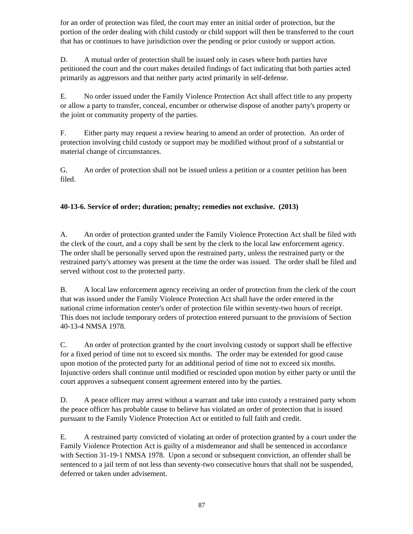for an order of protection was filed, the court may enter an initial order of protection, but the portion of the order dealing with child custody or child support will then be transferred to the court that has or continues to have jurisdiction over the pending or prior custody or support action.

D. A mutual order of protection shall be issued only in cases where both parties have petitioned the court and the court makes detailed findings of fact indicating that both parties acted primarily as aggressors and that neither party acted primarily in self-defense.

E. No order issued under the Family Violence Protection Act shall affect title to any property or allow a party to transfer, conceal, encumber or otherwise dispose of another party's property or the joint or community property of the parties.

F. Either party may request a review hearing to amend an order of protection. An order of protection involving child custody or support may be modified without proof of a substantial or material change of circumstances.

G. An order of protection shall not be issued unless a petition or a counter petition has been filed.

# **40-13-6. Service of order; duration; penalty; remedies not exclusive. (2013)**

A. An order of protection granted under the Family Violence Protection Act shall be filed with the clerk of the court, and a copy shall be sent by the clerk to the local law enforcement agency. The order shall be personally served upon the restrained party, unless the restrained party or the restrained party's attorney was present at the time the order was issued. The order shall be filed and served without cost to the protected party.

B. A local law enforcement agency receiving an order of protection from the clerk of the court that was issued under the Family Violence Protection Act shall have the order entered in the national crime information center's order of protection file within seventy-two hours of receipt. This does not include temporary orders of protection entered pursuant to the provisions of Section 40-13-4 NMSA 1978.

C. An order of protection granted by the court involving custody or support shall be effective for a fixed period of time not to exceed six months. The order may be extended for good cause upon motion of the protected party for an additional period of time not to exceed six months. Injunctive orders shall continue until modified or rescinded upon motion by either party or until the court approves a subsequent consent agreement entered into by the parties.

D. A peace officer may arrest without a warrant and take into custody a restrained party whom the peace officer has probable cause to believe has violated an order of protection that is issued pursuant to the Family Violence Protection Act or entitled to full faith and credit.

E. A restrained party convicted of violating an order of protection granted by a court under the Family Violence Protection Act is guilty of a misdemeanor and shall be sentenced in accordance with Section 31-19-1 NMSA 1978. Upon a second or subsequent conviction, an offender shall be sentenced to a jail term of not less than seventy-two consecutive hours that shall not be suspended, deferred or taken under advisement.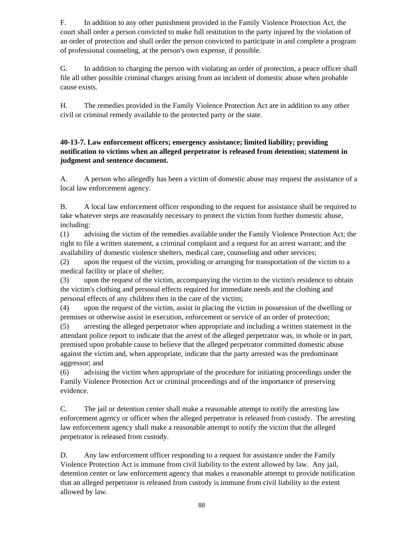F. In addition to any other punishment provided in the Family Violence Protection Act, the court shall order a person convicted to make full restitution to the party injured by the violation of an order of protection and shall order the person convicted to participate in and complete a program of professional counseling, at the person's own expense, if possible.

G. In addition to charging the person with violating an order of protection, a peace officer shall file all other possible criminal charges arising from an incident of domestic abuse when probable cause exists.

H. The remedies provided in the Family Violence Protection Act are in addition to any other civil or criminal remedy available to the protected party or the state.

## **40-13-7. Law enforcement officers; emergency assistance; limited liability; providing notification to victims when an alleged perpetrator is released from detention; statement in judgment and sentence document.**

A. A person who allegedly has been a victim of domestic abuse may request the assistance of a local law enforcement agency.

B. A local law enforcement officer responding to the request for assistance shall be required to take whatever steps are reasonably necessary to protect the victim from further domestic abuse, including:

(1) advising the victim of the remedies available under the Family Violence Protection Act; the right to file a written statement, a criminal complaint and a request for an arrest warrant; and the availability of domestic violence shelters, medical care, counseling and other services;

(2) upon the request of the victim, providing or arranging for transportation of the victim to a medical facility or place of shelter;

(3) upon the request of the victim, accompanying the victim to the victim's residence to obtain the victim's clothing and personal effects required for immediate needs and the clothing and personal effects of any children then in the care of the victim;

(4) upon the request of the victim, assist in placing the victim in possession of the dwelling or premises or otherwise assist in execution, enforcement or service of an order of protection;

(5) arresting the alleged perpetrator when appropriate and including a written statement in the attendant police report to indicate that the arrest of the alleged perpetrator was, in whole or in part, premised upon probable cause to believe that the alleged perpetrator committed domestic abuse against the victim and, when appropriate, indicate that the party arrested was the predominant aggressor; and

(6) advising the victim when appropriate of the procedure for initiating proceedings under the Family Violence Protection Act or criminal proceedings and of the importance of preserving evidence.

C. The jail or detention center shall make a reasonable attempt to notify the arresting law enforcement agency or officer when the alleged perpetrator is released from custody. The arresting law enforcement agency shall make a reasonable attempt to notify the victim that the alleged perpetrator is released from custody.

D. Any law enforcement officer responding to a request for assistance under the Family Violence Protection Act is immune from civil liability to the extent allowed by law. Any jail, detention center or law enforcement agency that makes a reasonable attempt to provide notification that an alleged perpetrator is released from custody is immune from civil liability to the extent allowed by law.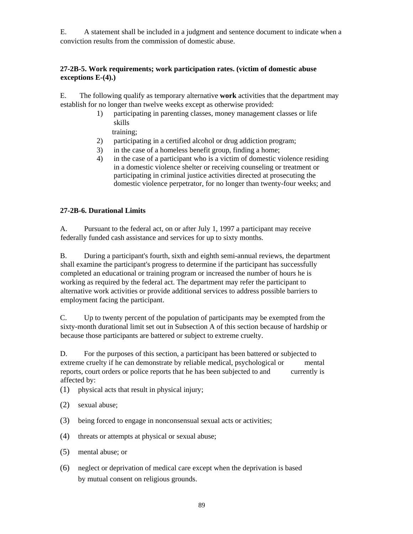E. A statement shall be included in a judgment and sentence document to indicate when a conviction results from the commission of domestic abuse.

## **27-2B-5. Work requirements; work participation rates. (victim of domestic abuse exceptions E-(4).)**

E. The following qualify as temporary alternative **work** activities that the department may establish for no longer than twelve weeks except as otherwise provided:

- 1) participating in parenting classes, money management classes or life skills
	- training;
- 2) participating in a certified alcohol or drug addiction program;
- 3) in the case of a homeless benefit group, finding a home;
- 4) in the case of a participant who is a victim of domestic violence residing in a domestic violence shelter or receiving counseling or treatment or participating in criminal justice activities directed at prosecuting the domestic violence perpetrator, for no longer than twenty-four weeks; and

## **27-2B-6. Durational Limits**

A. Pursuant to the federal act, on or after July 1, 1997 a participant may receive federally funded cash assistance and services for up to sixty months.

B. During a participant's fourth, sixth and eighth semi-annual reviews, the department shall examine the participant's progress to determine if the participant has successfully completed an educational or training program or increased the number of hours he is working as required by the federal act. The department may refer the participant to alternative work activities or provide additional services to address possible barriers to employment facing the participant.

C. Up to twenty percent of the population of participants may be exempted from the sixty-month durational limit set out in Subsection A of this section because of hardship or because those participants are battered or subject to extreme cruelty.

D. For the purposes of this section, a participant has been battered or subjected to extreme cruelty if he can demonstrate by reliable medical, psychological or mental reports, court orders or police reports that he has been subjected to and currently is affected by:

- (1) physical acts that result in physical injury;
- (2) sexual abuse;
- (3) being forced to engage in nonconsensual sexual acts or activities;
- (4) threats or attempts at physical or sexual abuse;
- (5) mental abuse; or
- (6) neglect or deprivation of medical care except when the deprivation is based by mutual consent on religious grounds.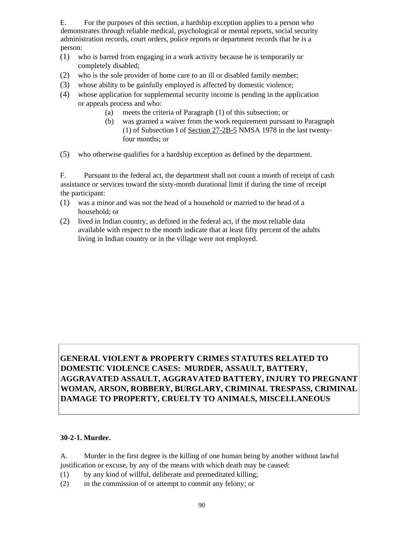E. For the purposes of this section, a hardship exception applies to a person who demonstrates through reliable medical, psychological or mental reports, social security administration records, court orders, police reports or department records that he is a person:

- (1) who is barred from engaging in a work activity because he is temporarily or completely disabled;
- (2) who is the sole provider of home care to an ill or disabled family member;
- (3) whose ability to be gainfully employed is affected by domestic violence;
- (4) whose application for supplemental security income is pending in the application or appeals process and who:
	- (a) meets the criteria of Paragraph (1) of this subsection; or
	- (b) was granted a waiver from the work requirement pursuant to Paragraph (1) of Subsection I of Section 27-2B-5 NMSA 1978 in the last twentyfour months; or
- (5) who otherwise qualifies for a hardship exception as defined by the department.

F. Pursuant to the federal act, the department shall not count a month of receipt of cash assistance or services toward the sixty-month durational limit if during the time of receipt the participant:

- (1) was a minor and was not the head of a household or married to the head of a household; or
- (2) lived in Indian country, as defined in the federal act, if the most reliable data available with respect to the month indicate that at least fifty percent of the adults living in Indian country or in the village were not employed.

# **GENERAL VIOLENT & PROPERTY CRIMES STATUTES RELATED TO DOMESTIC VIOLENCE CASES: MURDER, ASSAULT, BATTERY, AGGRAVATED ASSAULT, AGGRAVATED BATTERY, INJURY TO PREGNANT WOMAN, ARSON, ROBBERY, BURGLARY, CRIMINAL TRESPASS, CRIMINAL DAMAGE TO PROPERTY, CRUELTY TO ANIMALS, MISCELLANEOUS**

## **30-2-1. Murder.**

- A. Murder in the first degree is the killing of one human being by another without lawful justification or excuse, by any of the means with which death may be caused:
- (1) by any kind of willful, deliberate and premeditated killing;
- (2) in the commission of or attempt to commit any felony; or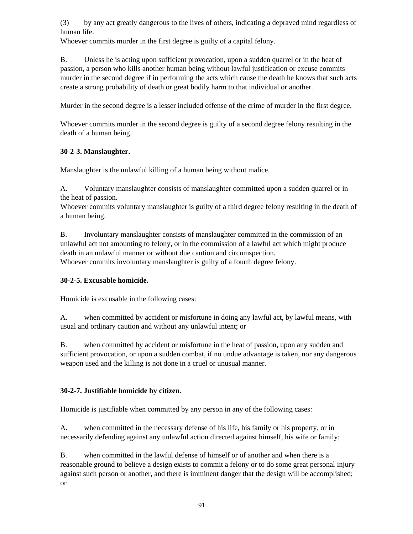(3) by any act greatly dangerous to the lives of others, indicating a depraved mind regardless of human life.

Whoever commits murder in the first degree is guilty of a capital felony.

B. Unless he is acting upon sufficient provocation, upon a sudden quarrel or in the heat of passion, a person who kills another human being without lawful justification or excuse commits murder in the second degree if in performing the acts which cause the death he knows that such acts create a strong probability of death or great bodily harm to that individual or another.

Murder in the second degree is a lesser included offense of the crime of murder in the first degree.

Whoever commits murder in the second degree is guilty of a second degree felony resulting in the death of a human being.

## **30-2-3. Manslaughter.**

Manslaughter is the unlawful killing of a human being without malice.

A. Voluntary manslaughter consists of manslaughter committed upon a sudden quarrel or in the heat of passion.

Whoever commits voluntary manslaughter is guilty of a third degree felony resulting in the death of a human being.

B. Involuntary manslaughter consists of manslaughter committed in the commission of an unlawful act not amounting to felony, or in the commission of a lawful act which might produce death in an unlawful manner or without due caution and circumspection.

Whoever commits involuntary manslaughter is guilty of a fourth degree felony.

## **30-2-5. Excusable homicide.**

Homicide is excusable in the following cases:

A. when committed by accident or misfortune in doing any lawful act, by lawful means, with usual and ordinary caution and without any unlawful intent; or

B. when committed by accident or misfortune in the heat of passion, upon any sudden and sufficient provocation, or upon a sudden combat, if no undue advantage is taken, nor any dangerous weapon used and the killing is not done in a cruel or unusual manner.

# **30-2-7. Justifiable homicide by citizen.**

Homicide is justifiable when committed by any person in any of the following cases:

A. when committed in the necessary defense of his life, his family or his property, or in necessarily defending against any unlawful action directed against himself, his wife or family;

B. when committed in the lawful defense of himself or of another and when there is a reasonable ground to believe a design exists to commit a felony or to do some great personal injury against such person or another, and there is imminent danger that the design will be accomplished; or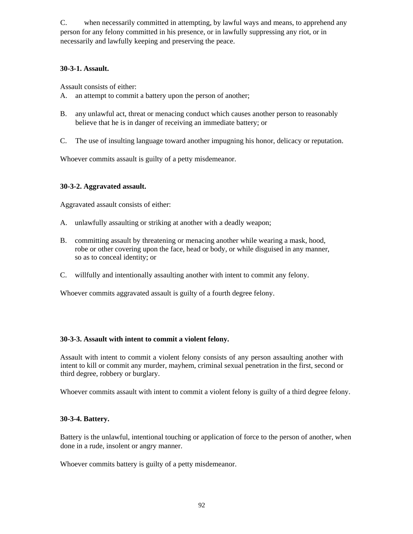C. when necessarily committed in attempting, by lawful ways and means, to apprehend any person for any felony committed in his presence, or in lawfully suppressing any riot, or in necessarily and lawfully keeping and preserving the peace.

## **30-3-1. Assault.**

Assault consists of either:

- A. an attempt to commit a battery upon the person of another;
- B. any unlawful act, threat or menacing conduct which causes another person to reasonably believe that he is in danger of receiving an immediate battery; or
- C. The use of insulting language toward another impugning his honor, delicacy or reputation.

Whoever commits assault is guilty of a petty misdemeanor.

### **30-3-2. Aggravated assault.**

Aggravated assault consists of either:

- A. unlawfully assaulting or striking at another with a deadly weapon;
- B. committing assault by threatening or menacing another while wearing a mask, hood, robe or other covering upon the face, head or body, or while disguised in any manner, so as to conceal identity; or
- C. willfully and intentionally assaulting another with intent to commit any felony.

Whoever commits aggravated assault is guilty of a fourth degree felony.

## **30-3-3. Assault with intent to commit a violent felony.**

Assault with intent to commit a violent felony consists of any person assaulting another with intent to kill or commit any murder, mayhem, criminal sexual penetration in the first, second or third degree, robbery or burglary.

Whoever commits assault with intent to commit a violent felony is guilty of a third degree felony.

#### **30-3-4. Battery.**

Battery is the unlawful, intentional touching or application of force to the person of another, when done in a rude, insolent or angry manner.

Whoever commits battery is guilty of a petty misdemeanor.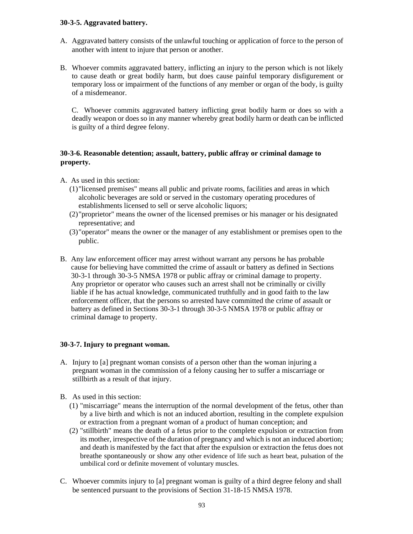#### **30-3-5. Aggravated battery.**

- A. Aggravated battery consists of the unlawful touching or application of force to the person of another with intent to injure that person or another.
- B. Whoever commits aggravated battery, inflicting an injury to the person which is not likely to cause death or great bodily harm, but does cause painful temporary disfigurement or temporary loss or impairment of the functions of any member or organ of the body, is guilty of a misdemeanor.

C. Whoever commits aggravated battery inflicting great bodily harm or does so with a deadly weapon or does so in any manner whereby great bodily harm or death can be inflicted is guilty of a third degree felony.

#### **30-3-6. Reasonable detention; assault, battery, public affray or criminal damage to property.**

- A. As used in this section:
	- (1)"licensed premises" means all public and private rooms, facilities and areas in which alcoholic beverages are sold or served in the customary operating procedures of establishments licensed to sell or serve alcoholic liquors;
	- (2)"proprietor" means the owner of the licensed premises or his manager or his designated representative; and
	- (3)"operator" means the owner or the manager of any establishment or premises open to the public.
- B. Any law enforcement officer may arrest without warrant any persons he has probable cause for believing have committed the crime of assault or battery as defined in Sections 30-3-1 through 30-3-5 NMSA 1978 or public affray or criminal damage to property. Any proprietor or operator who causes such an arrest shall not be criminally or civilly liable if he has actual knowledge, communicated truthfully and in good faith to the law enforcement officer, that the persons so arrested have committed the crime of assault or battery as defined in Sections 30-3-1 through 30-3-5 NMSA 1978 or public affray or criminal damage to property.

#### **30-3-7. Injury to pregnant woman.**

- A. Injury to [a] pregnant woman consists of a person other than the woman injuring a pregnant woman in the commission of a felony causing her to suffer a miscarriage or stillbirth as a result of that injury.
- B. As used in this section:
	- (1) "miscarriage" means the interruption of the normal development of the fetus, other than by a live birth and which is not an induced abortion, resulting in the complete expulsion or extraction from a pregnant woman of a product of human conception; and
	- (2) "stillbirth" means the death of a fetus prior to the complete expulsion or extraction from its mother, irrespective of the duration of pregnancy and which is not an induced abortion; and death is manifested by the fact that after the expulsion or extraction the fetus does not breathe spontaneously or show any other evidence of life such as heart beat, pulsation of the umbilical cord or definite movement of voluntary muscles.
- C. Whoever commits injury to [a] pregnant woman is guilty of a third degree felony and shall be sentenced pursuant to the provisions of Section 31-18-15 NMSA 1978.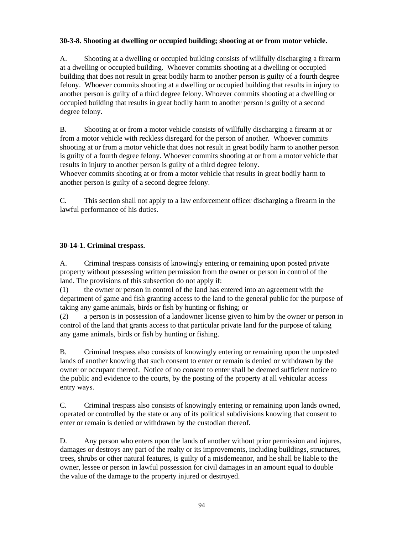## **30-3-8. Shooting at dwelling or occupied building; shooting at or from motor vehicle.**

A. Shooting at a dwelling or occupied building consists of willfully discharging a firearm at a dwelling or occupied building. Whoever commits shooting at a dwelling or occupied building that does not result in great bodily harm to another person is guilty of a fourth degree felony. Whoever commits shooting at a dwelling or occupied building that results in injury to another person is guilty of a third degree felony. Whoever commits shooting at a dwelling or occupied building that results in great bodily harm to another person is guilty of a second degree felony.

B. Shooting at or from a motor vehicle consists of willfully discharging a firearm at or from a motor vehicle with reckless disregard for the person of another. Whoever commits shooting at or from a motor vehicle that does not result in great bodily harm to another person is guilty of a fourth degree felony. Whoever commits shooting at or from a motor vehicle that results in injury to another person is guilty of a third degree felony.

Whoever commits shooting at or from a motor vehicle that results in great bodily harm to another person is guilty of a second degree felony.

C. This section shall not apply to a law enforcement officer discharging a firearm in the lawful performance of his duties.

### **30-14-1. Criminal trespass.**

A. Criminal trespass consists of knowingly entering or remaining upon posted private property without possessing written permission from the owner or person in control of the land. The provisions of this subsection do not apply if:

(1) the owner or person in control of the land has entered into an agreement with the department of game and fish granting access to the land to the general public for the purpose of taking any game animals, birds or fish by hunting or fishing; or

(2) a person is in possession of a landowner license given to him by the owner or person in control of the land that grants access to that particular private land for the purpose of taking any game animals, birds or fish by hunting or fishing.

B. Criminal trespass also consists of knowingly entering or remaining upon the unposted lands of another knowing that such consent to enter or remain is denied or withdrawn by the owner or occupant thereof. Notice of no consent to enter shall be deemed sufficient notice to the public and evidence to the courts, by the posting of the property at all vehicular access entry ways.

C. Criminal trespass also consists of knowingly entering or remaining upon lands owned, operated or controlled by the state or any of its political subdivisions knowing that consent to enter or remain is denied or withdrawn by the custodian thereof.

D. Any person who enters upon the lands of another without prior permission and injures, damages or destroys any part of the realty or its improvements, including buildings, structures, trees, shrubs or other natural features, is guilty of a misdemeanor, and he shall be liable to the owner, lessee or person in lawful possession for civil damages in an amount equal to double the value of the damage to the property injured or destroyed.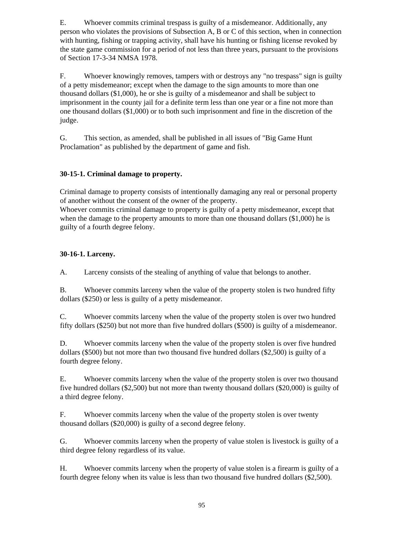E. Whoever commits criminal trespass is guilty of a misdemeanor. Additionally, any person who violates the provisions of Subsection A, B or C of this section, when in connection with hunting, fishing or trapping activity, shall have his hunting or fishing license revoked by the state game commission for a period of not less than three years, pursuant to the provisions of Section 17-3-34 NMSA 1978.

F. Whoever knowingly removes, tampers with or destroys any "no trespass" sign is guilty of a petty misdemeanor; except when the damage to the sign amounts to more than one thousand dollars (\$1,000), he or she is guilty of a misdemeanor and shall be subject to imprisonment in the county jail for a definite term less than one year or a fine not more than one thousand dollars (\$1,000) or to both such imprisonment and fine in the discretion of the judge.

G. This section, as amended, shall be published in all issues of "Big Game Hunt Proclamation" as published by the department of game and fish.

## **30-15-1. Criminal damage to property.**

Criminal damage to property consists of intentionally damaging any real or personal property of another without the consent of the owner of the property.

Whoever commits criminal damage to property is guilty of a petty misdemeanor, except that when the damage to the property amounts to more than one thousand dollars (\$1,000) he is guilty of a fourth degree felony.

## **30-16-1. Larceny.**

A. Larceny consists of the stealing of anything of value that belongs to another.

B. Whoever commits larceny when the value of the property stolen is two hundred fifty dollars (\$250) or less is guilty of a petty misdemeanor.

C. Whoever commits larceny when the value of the property stolen is over two hundred fifty dollars (\$250) but not more than five hundred dollars (\$500) is guilty of a misdemeanor.

D. Whoever commits larceny when the value of the property stolen is over five hundred dollars (\$500) but not more than two thousand five hundred dollars (\$2,500) is guilty of a fourth degree felony.

E. Whoever commits larceny when the value of the property stolen is over two thousand five hundred dollars (\$2,500) but not more than twenty thousand dollars (\$20,000) is guilty of a third degree felony.

F. Whoever commits larceny when the value of the property stolen is over twenty thousand dollars (\$20,000) is guilty of a second degree felony.

G. Whoever commits larceny when the property of value stolen is livestock is guilty of a third degree felony regardless of its value.

H. Whoever commits larceny when the property of value stolen is a firearm is guilty of a fourth degree felony when its value is less than two thousand five hundred dollars (\$2,500).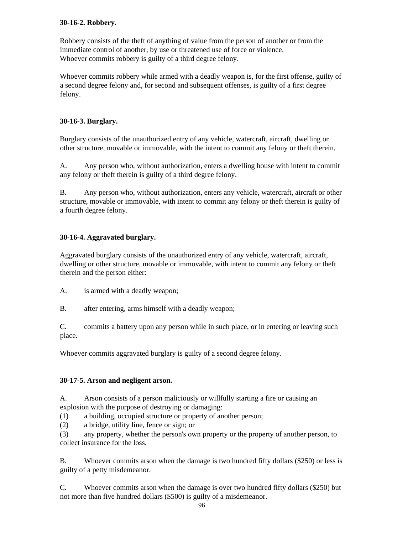## **30-16-2. Robbery.**

Robbery consists of the theft of anything of value from the person of another or from the immediate control of another, by use or threatened use of force or violence. Whoever commits robbery is guilty of a third degree felony.

Whoever commits robbery while armed with a deadly weapon is, for the first offense, guilty of a second degree felony and, for second and subsequent offenses, is guilty of a first degree felony.

## **30-16-3. Burglary.**

Burglary consists of the unauthorized entry of any vehicle, watercraft, aircraft, dwelling or other structure, movable or immovable, with the intent to commit any felony or theft therein.

A. Any person who, without authorization, enters a dwelling house with intent to commit any felony or theft therein is guilty of a third degree felony.

B. Any person who, without authorization, enters any vehicle, watercraft, aircraft or other structure, movable or immovable, with intent to commit any felony or theft therein is guilty of a fourth degree felony.

#### **30-16-4. Aggravated burglary.**

Aggravated burglary consists of the unauthorized entry of any vehicle, watercraft, aircraft, dwelling or other structure, movable or immovable, with intent to commit any felony or theft therein and the person either:

A. is armed with a deadly weapon;

B. after entering, arms himself with a deadly weapon;

C. commits a battery upon any person while in such place, or in entering or leaving such place.

Whoever commits aggravated burglary is guilty of a second degree felony.

#### **30-17-5. Arson and negligent arson.**

A. Arson consists of a person maliciously or willfully starting a fire or causing an explosion with the purpose of destroying or damaging:

(1) a building, occupied structure or property of another person;

(2) a bridge, utility line, fence or sign; or

(3) any property, whether the person's own property or the property of another person, to collect insurance for the loss.

B. Whoever commits arson when the damage is two hundred fifty dollars (\$250) or less is guilty of a petty misdemeanor.

C. Whoever commits arson when the damage is over two hundred fifty dollars (\$250) but not more than five hundred dollars (\$500) is guilty of a misdemeanor.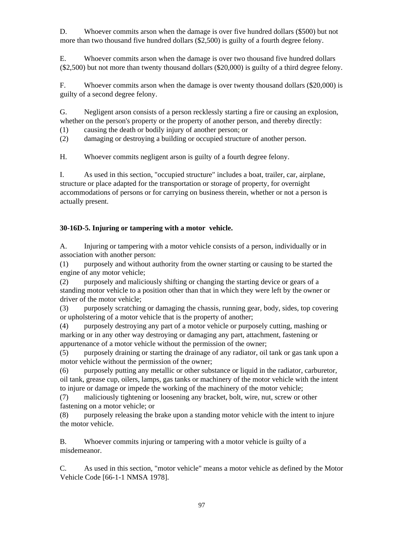D. Whoever commits arson when the damage is over five hundred dollars (\$500) but not more than two thousand five hundred dollars (\$2,500) is guilty of a fourth degree felony.

E. Whoever commits arson when the damage is over two thousand five hundred dollars (\$2,500) but not more than twenty thousand dollars (\$20,000) is guilty of a third degree felony.

F. Whoever commits arson when the damage is over twenty thousand dollars (\$20,000) is guilty of a second degree felony.

G. Negligent arson consists of a person recklessly starting a fire or causing an explosion, whether on the person's property or the property of another person, and thereby directly:

(1) causing the death or bodily injury of another person; or

(2) damaging or destroying a building or occupied structure of another person.

H. Whoever commits negligent arson is guilty of a fourth degree felony.

I. As used in this section, "occupied structure" includes a boat, trailer, car, airplane, structure or place adapted for the transportation or storage of property, for overnight accommodations of persons or for carrying on business therein, whether or not a person is actually present.

### **30-16D-5. Injuring or tampering with a motor vehicle.**

A. Injuring or tampering with a motor vehicle consists of a person, individually or in association with another person:

(1) purposely and without authority from the owner starting or causing to be started the engine of any motor vehicle;

(2) purposely and maliciously shifting or changing the starting device or gears of a standing motor vehicle to a position other than that in which they were left by the owner or driver of the motor vehicle;

(3) purposely scratching or damaging the chassis, running gear, body, sides, top covering or upholstering of a motor vehicle that is the property of another;

(4) purposely destroying any part of a motor vehicle or purposely cutting, mashing or marking or in any other way destroying or damaging any part, attachment, fastening or appurtenance of a motor vehicle without the permission of the owner;

(5) purposely draining or starting the drainage of any radiator, oil tank or gas tank upon a motor vehicle without the permission of the owner;

(6) purposely putting any metallic or other substance or liquid in the radiator, carburetor, oil tank, grease cup, oilers, lamps, gas tanks or machinery of the motor vehicle with the intent to injure or damage or impede the working of the machinery of the motor vehicle;

(7) maliciously tightening or loosening any bracket, bolt, wire, nut, screw or other fastening on a motor vehicle; or

(8) purposely releasing the brake upon a standing motor vehicle with the intent to injure the motor vehicle.

B. Whoever commits injuring or tampering with a motor vehicle is guilty of a misdemeanor.

C. As used in this section, "motor vehicle" means a motor vehicle as defined by the Motor Vehicle Code [66-1-1 NMSA 1978].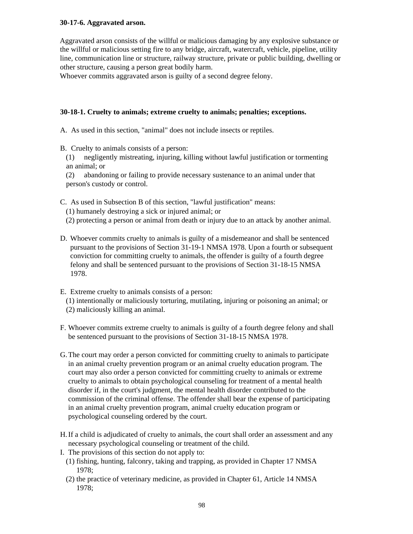#### **30-17-6. Aggravated arson.**

Aggravated arson consists of the willful or malicious damaging by any explosive substance or the willful or malicious setting fire to any bridge, aircraft, watercraft, vehicle, pipeline, utility line, communication line or structure, railway structure, private or public building, dwelling or other structure, causing a person great bodily harm.

Whoever commits aggravated arson is guilty of a second degree felony.

#### **30-18-1. Cruelty to animals; extreme cruelty to animals; penalties; exceptions.**

A. As used in this section, "animal" does not include insects or reptiles.

- B. Cruelty to animals consists of a person:
	- (1) negligently mistreating, injuring, killing without lawful justification or tormenting an animal; or

(2) abandoning or failing to provide necessary sustenance to an animal under that person's custody or control.

C. As used in Subsection B of this section, "lawful justification" means:

- (1) humanely destroying a sick or injured animal; or
- (2) protecting a person or animal from death or injury due to an attack by another animal.
- D. Whoever commits cruelty to animals is guilty of a misdemeanor and shall be sentenced pursuant to the provisions of Section 31-19-1 NMSA 1978. Upon a fourth or subsequent conviction for committing cruelty to animals, the offender is guilty of a fourth degree felony and shall be sentenced pursuant to the provisions of Section 31-18-15 NMSA 1978.
- E. Extreme cruelty to animals consists of a person:
	- (1) intentionally or maliciously torturing, mutilating, injuring or poisoning an animal; or
	- (2) maliciously killing an animal.
- F. Whoever commits extreme cruelty to animals is guilty of a fourth degree felony and shall be sentenced pursuant to the provisions of Section 31-18-15 NMSA 1978.
- G.The court may order a person convicted for committing cruelty to animals to participate in an animal cruelty prevention program or an animal cruelty education program. The court may also order a person convicted for committing cruelty to animals or extreme cruelty to animals to obtain psychological counseling for treatment of a mental health disorder if, in the court's judgment, the mental health disorder contributed to the commission of the criminal offense. The offender shall bear the expense of participating in an animal cruelty prevention program, animal cruelty education program or psychological counseling ordered by the court.
- H.If a child is adjudicated of cruelty to animals, the court shall order an assessment and any necessary psychological counseling or treatment of the child.
- I. The provisions of this section do not apply to:
	- (1) fishing, hunting, falconry, taking and trapping, as provided in Chapter 17 NMSA 1978;
	- (2) the practice of veterinary medicine, as provided in Chapter 61, Article 14 NMSA 1978;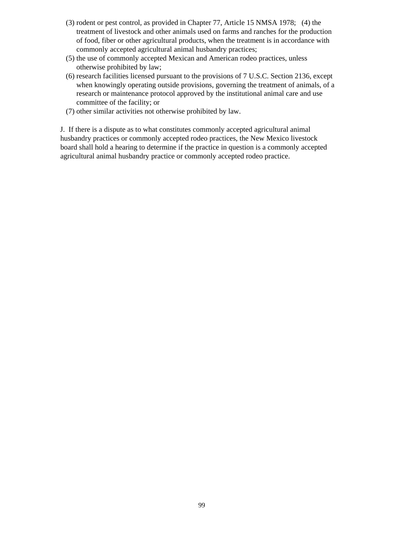- (3) rodent or pest control, as provided in Chapter 77, Article 15 NMSA 1978; (4) the treatment of livestock and other animals used on farms and ranches for the production of food, fiber or other agricultural products, when the treatment is in accordance with commonly accepted agricultural animal husbandry practices;
- (5) the use of commonly accepted Mexican and American rodeo practices, unless otherwise prohibited by law;
- (6) research facilities licensed pursuant to the provisions of 7 U.S.C. Section 2136, except when knowingly operating outside provisions, governing the treatment of animals, of a research or maintenance protocol approved by the institutional animal care and use committee of the facility; or
- (7) other similar activities not otherwise prohibited by law.

J. If there is a dispute as to what constitutes commonly accepted agricultural animal husbandry practices or commonly accepted rodeo practices, the New Mexico livestock board shall hold a hearing to determine if the practice in question is a commonly accepted agricultural animal husbandry practice or commonly accepted rodeo practice.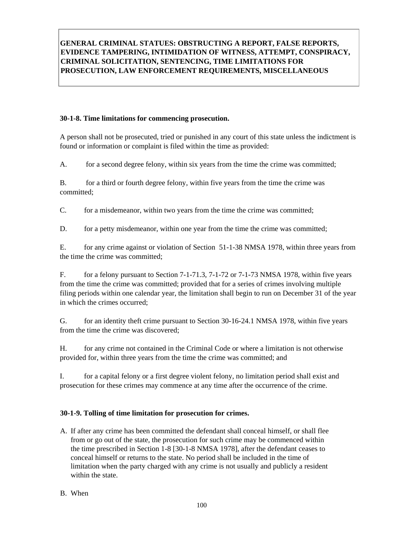# **GENERAL CRIMINAL STATUES: OBSTRUCTING A REPORT, FALSE REPORTS, EVIDENCE TAMPERING, INTIMIDATION OF WITNESS, ATTEMPT, CONSPIRACY, CRIMINAL SOLICITATION, SENTENCING, TIME LIMITATIONS FOR PROSECUTION, LAW ENFORCEMENT REQUIREMENTS, MISCELLANEOUS**

#### **30-1-8. Time limitations for commencing prosecution.**

A person shall not be prosecuted, tried or punished in any court of this state unless the indictment is found or information or complaint is filed within the time as provided:

A. for a second degree felony, within six years from the time the crime was committed;

B. for a third or fourth degree felony, within five years from the time the crime was committed;

C. for a misdemeanor, within two years from the time the crime was committed;

D. for a petty misdemeanor, within one year from the time the crime was committed;

E. for any crime against or violation of Section 51-1-38 NMSA 1978, within three years from the time the crime was committed;

F. for a felony pursuant to Section 7-1-71.3, 7-1-72 or 7-1-73 NMSA 1978, within five years from the time the crime was committed; provided that for a series of crimes involving multiple filing periods within one calendar year, the limitation shall begin to run on December 31 of the year in which the crimes occurred;

G. for an identity theft crime pursuant to Section 30-16-24.1 NMSA 1978, within five years from the time the crime was discovered;

H. for any crime not contained in the Criminal Code or where a limitation is not otherwise provided for, within three years from the time the crime was committed; and

I. for a capital felony or a first degree violent felony, no limitation period shall exist and prosecution for these crimes may commence at any time after the occurrence of the crime.

#### **30-1-9. Tolling of time limitation for prosecution for crimes.**

- A. If after any crime has been committed the defendant shall conceal himself, or shall flee from or go out of the state, the prosecution for such crime may be commenced within the time prescribed in Section 1-8 [30-1-8 NMSA 1978], after the defendant ceases to conceal himself or returns to the state. No period shall be included in the time of limitation when the party charged with any crime is not usually and publicly a resident within the state.
- B. When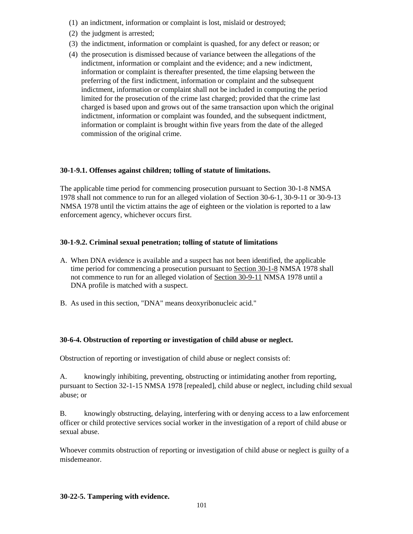- (1) an indictment, information or complaint is lost, mislaid or destroyed;
- (2) the judgment is arrested;
- (3) the indictment, information or complaint is quashed, for any defect or reason; or
- (4) the prosecution is dismissed because of variance between the allegations of the indictment, information or complaint and the evidence; and a new indictment, information or complaint is thereafter presented, the time elapsing between the preferring of the first indictment, information or complaint and the subsequent indictment, information or complaint shall not be included in computing the period limited for the prosecution of the crime last charged; provided that the crime last charged is based upon and grows out of the same transaction upon which the original indictment, information or complaint was founded, and the subsequent indictment, information or complaint is brought within five years from the date of the alleged commission of the original crime.

#### **30-1-9.1. Offenses against children; tolling of statute of limitations.**

The applicable time period for commencing prosecution pursuant to Section 30-1-8 NMSA 1978 shall not commence to run for an alleged violation of Section 30-6-1, 30-9-11 or 30-9-13 NMSA 1978 until the victim attains the age of eighteen or the violation is reported to a law enforcement agency, whichever occurs first.

### **30-1-9.2. Criminal sexual penetration; tolling of statute of limitations**

- A. When DNA evidence is available and a suspect has not been identified, the applicable time period for commencing a prosecution pursuant to Section 30-1-8 NMSA 1978 shall not commence to run for an alleged violation of Section 30-9-11 NMSA 1978 until a DNA profile is matched with a suspect.
- B. As used in this section, "DNA" means deoxyribonucleic acid."

#### **30-6-4. Obstruction of reporting or investigation of child abuse or neglect.**

Obstruction of reporting or investigation of child abuse or neglect consists of:

A. knowingly inhibiting, preventing, obstructing or intimidating another from reporting, pursuant to Section 32-1-15 NMSA 1978 [repealed], child abuse or neglect, including child sexual abuse; or

B. knowingly obstructing, delaying, interfering with or denying access to a law enforcement officer or child protective services social worker in the investigation of a report of child abuse or sexual abuse.

Whoever commits obstruction of reporting or investigation of child abuse or neglect is guilty of a misdemeanor.

#### **30-22-5. Tampering with evidence.**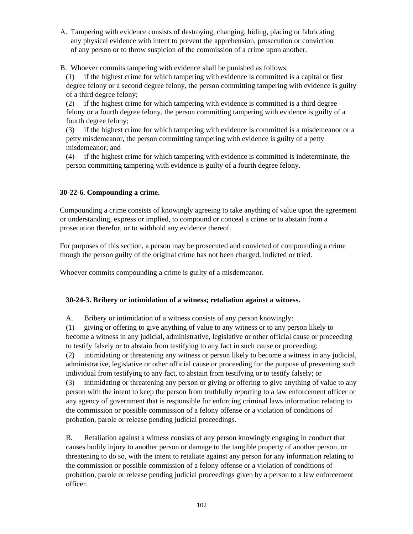A. Tampering with evidence consists of destroying, changing, hiding, placing or fabricating any physical evidence with intent to prevent the apprehension, prosecution or conviction of any person or to throw suspicion of the commission of a crime upon another.

B. Whoever commits tampering with evidence shall be punished as follows:

(1) if the highest crime for which tampering with evidence is committed is a capital or first degree felony or a second degree felony, the person committing tampering with evidence is guilty of a third degree felony;

(2) if the highest crime for which tampering with evidence is committed is a third degree felony or a fourth degree felony, the person committing tampering with evidence is guilty of a fourth degree felony;

(3) if the highest crime for which tampering with evidence is committed is a misdemeanor or a petty misdemeanor, the person committing tampering with evidence is guilty of a petty misdemeanor; and

(4) if the highest crime for which tampering with evidence is committed is indeterminate, the person committing tampering with evidence is guilty of a fourth degree felony.

## **30-22-6. Compounding a crime.**

Compounding a crime consists of knowingly agreeing to take anything of value upon the agreement or understanding, express or implied, to compound or conceal a crime or to abstain from a prosecution therefor, or to withhold any evidence thereof.

For purposes of this section, a person may be prosecuted and convicted of compounding a crime though the person guilty of the original crime has not been charged, indicted or tried.

Whoever commits compounding a crime is guilty of a misdemeanor.

## **30-24-3. Bribery or intimidation of a witness; retaliation against a witness.**

A. Bribery or intimidation of a witness consists of any person knowingly:

(1) giving or offering to give anything of value to any witness or to any person likely to become a witness in any judicial, administrative, legislative or other official cause or proceeding to testify falsely or to abstain from testifying to any fact in such cause or proceeding;

(2) intimidating or threatening any witness or person likely to become a witness in any judicial, administrative, legislative or other official cause or proceeding for the purpose of preventing such individual from testifying to any fact, to abstain from testifying or to testify falsely; or

(3) intimidating or threatening any person or giving or offering to give anything of value to any person with the intent to keep the person from truthfully reporting to a law enforcement officer or any agency of government that is responsible for enforcing criminal laws information relating to the commission or possible commission of a felony offense or a violation of conditions of probation, parole or release pending judicial proceedings.

B. Retaliation against a witness consists of any person knowingly engaging in conduct that causes bodily injury to another person or damage to the tangible property of another person, or threatening to do so, with the intent to retaliate against any person for any information relating to the commission or possible commission of a felony offense or a violation of conditions of probation, parole or release pending judicial proceedings given by a person to a law enforcement officer.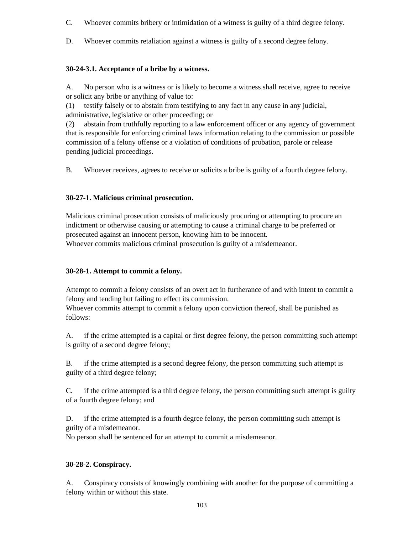- C. Whoever commits bribery or intimidation of a witness is guilty of a third degree felony.
- D. Whoever commits retaliation against a witness is guilty of a second degree felony.

## **30-24-3.1. Acceptance of a bribe by a witness.**

A. No person who is a witness or is likely to become a witness shall receive, agree to receive or solicit any bribe or anything of value to:

(1) testify falsely or to abstain from testifying to any fact in any cause in any judicial, administrative, legislative or other proceeding; or

(2) abstain from truthfully reporting to a law enforcement officer or any agency of government that is responsible for enforcing criminal laws information relating to the commission or possible commission of a felony offense or a violation of conditions of probation, parole or release pending judicial proceedings.

B. Whoever receives, agrees to receive or solicits a bribe is guilty of a fourth degree felony.

### **30-27-1. Malicious criminal prosecution.**

Malicious criminal prosecution consists of maliciously procuring or attempting to procure an indictment or otherwise causing or attempting to cause a criminal charge to be preferred or prosecuted against an innocent person, knowing him to be innocent. Whoever commits malicious criminal prosecution is guilty of a misdemeanor.

#### **30-28-1. Attempt to commit a felony.**

Attempt to commit a felony consists of an overt act in furtherance of and with intent to commit a felony and tending but failing to effect its commission.

Whoever commits attempt to commit a felony upon conviction thereof, shall be punished as follows:

A. if the crime attempted is a capital or first degree felony, the person committing such attempt is guilty of a second degree felony;

B. if the crime attempted is a second degree felony, the person committing such attempt is guilty of a third degree felony;

C. if the crime attempted is a third degree felony, the person committing such attempt is guilty of a fourth degree felony; and

D. if the crime attempted is a fourth degree felony, the person committing such attempt is guilty of a misdemeanor.

No person shall be sentenced for an attempt to commit a misdemeanor.

#### **30-28-2. Conspiracy.**

A. Conspiracy consists of knowingly combining with another for the purpose of committing a felony within or without this state.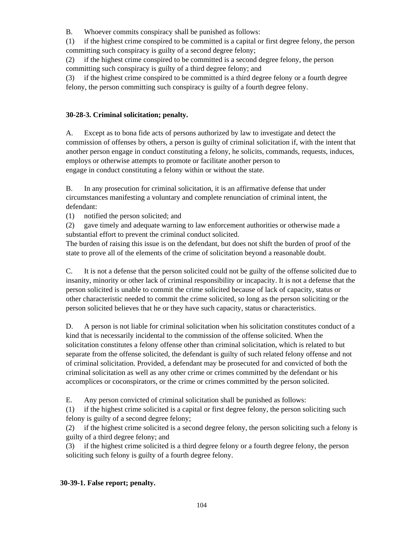B. Whoever commits conspiracy shall be punished as follows:

(1) if the highest crime conspired to be committed is a capital or first degree felony, the person committing such conspiracy is guilty of a second degree felony;

(2) if the highest crime conspired to be committed is a second degree felony, the person committing such conspiracy is guilty of a third degree felony; and

(3) if the highest crime conspired to be committed is a third degree felony or a fourth degree felony, the person committing such conspiracy is guilty of a fourth degree felony.

## **30-28-3. Criminal solicitation; penalty.**

A. Except as to bona fide acts of persons authorized by law to investigate and detect the commission of offenses by others, a person is guilty of criminal solicitation if, with the intent that another person engage in conduct constituting a felony, he solicits, commands, requests, induces, employs or otherwise attempts to promote or facilitate another person to engage in conduct constituting a felony within or without the state.

B. In any prosecution for criminal solicitation, it is an affirmative defense that under circumstances manifesting a voluntary and complete renunciation of criminal intent, the defendant:

(1) notified the person solicited; and

(2) gave timely and adequate warning to law enforcement authorities or otherwise made a substantial effort to prevent the criminal conduct solicited.

The burden of raising this issue is on the defendant, but does not shift the burden of proof of the state to prove all of the elements of the crime of solicitation beyond a reasonable doubt.

C. It is not a defense that the person solicited could not be guilty of the offense solicited due to insanity, minority or other lack of criminal responsibility or incapacity. It is not a defense that the person solicited is unable to commit the crime solicited because of lack of capacity, status or other characteristic needed to commit the crime solicited, so long as the person soliciting or the person solicited believes that he or they have such capacity, status or characteristics.

D. A person is not liable for criminal solicitation when his solicitation constitutes conduct of a kind that is necessarily incidental to the commission of the offense solicited. When the solicitation constitutes a felony offense other than criminal solicitation, which is related to but separate from the offense solicited, the defendant is guilty of such related felony offense and not of criminal solicitation. Provided, a defendant may be prosecuted for and convicted of both the criminal solicitation as well as any other crime or crimes committed by the defendant or his accomplices or coconspirators, or the crime or crimes committed by the person solicited.

E. Any person convicted of criminal solicitation shall be punished as follows:

(1) if the highest crime solicited is a capital or first degree felony, the person soliciting such felony is guilty of a second degree felony;

(2) if the highest crime solicited is a second degree felony, the person soliciting such a felony is guilty of a third degree felony; and

(3) if the highest crime solicited is a third degree felony or a fourth degree felony, the person soliciting such felony is guilty of a fourth degree felony.

## **30-39-1. False report; penalty.**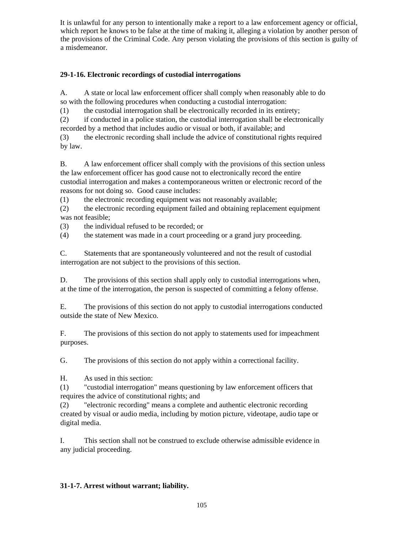It is unlawful for any person to intentionally make a report to a law enforcement agency or official, which report he knows to be false at the time of making it, alleging a violation by another person of the provisions of the Criminal Code. Any person violating the provisions of this section is guilty of a misdemeanor.

## **29-1-16. Electronic recordings of custodial interrogations**

A. A state or local law enforcement officer shall comply when reasonably able to do so with the following procedures when conducting a custodial interrogation:

(1) the custodial interrogation shall be electronically recorded in its entirety;

(2) if conducted in a police station, the custodial interrogation shall be electronically recorded by a method that includes audio or visual or both, if available; and

(3) the electronic recording shall include the advice of constitutional rights required by law.

B. A law enforcement officer shall comply with the provisions of this section unless the law enforcement officer has good cause not to electronically record the entire custodial interrogation and makes a contemporaneous written or electronic record of the reasons for not doing so. Good cause includes:

(1) the electronic recording equipment was not reasonably available;

(2) the electronic recording equipment failed and obtaining replacement equipment was not feasible;

(3) the individual refused to be recorded; or

(4) the statement was made in a court proceeding or a grand jury proceeding.

C. Statements that are spontaneously volunteered and not the result of custodial interrogation are not subject to the provisions of this section.

D. The provisions of this section shall apply only to custodial interrogations when, at the time of the interrogation, the person is suspected of committing a felony offense.

E. The provisions of this section do not apply to custodial interrogations conducted outside the state of New Mexico.

F. The provisions of this section do not apply to statements used for impeachment purposes.

G. The provisions of this section do not apply within a correctional facility.

H. As used in this section:

(1) "custodial interrogation" means questioning by law enforcement officers that requires the advice of constitutional rights; and

(2) "electronic recording" means a complete and authentic electronic recording created by visual or audio media, including by motion picture, videotape, audio tape or digital media.

I. This section shall not be construed to exclude otherwise admissible evidence in any judicial proceeding.

# **31-1-7. Arrest without warrant; liability.**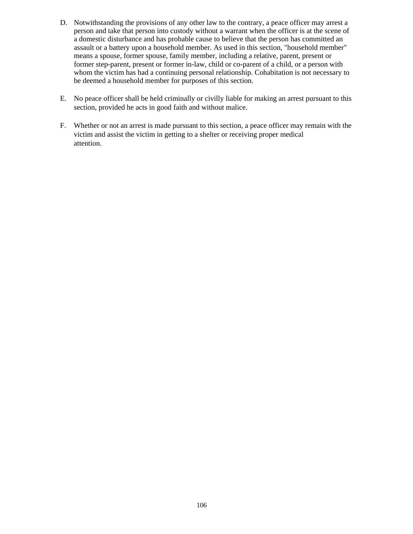- D. Notwithstanding the provisions of any other law to the contrary, a peace officer may arrest a person and take that person into custody without a warrant when the officer is at the scene of a domestic disturbance and has probable cause to believe that the person has committed an assault or a battery upon a household member. As used in this section, "household member" means a spouse, former spouse, family member, including a relative, parent, present or former step-parent, present or former in-law, child or co-parent of a child, or a person with whom the victim has had a continuing personal relationship. Cohabitation is not necessary to be deemed a household member for purposes of this section.
- E. No peace officer shall be held criminally or civilly liable for making an arrest pursuant to this section, provided he acts in good faith and without malice.
- F. Whether or not an arrest is made pursuant to this section, a peace officer may remain with the victim and assist the victim in getting to a shelter or receiving proper medical attention.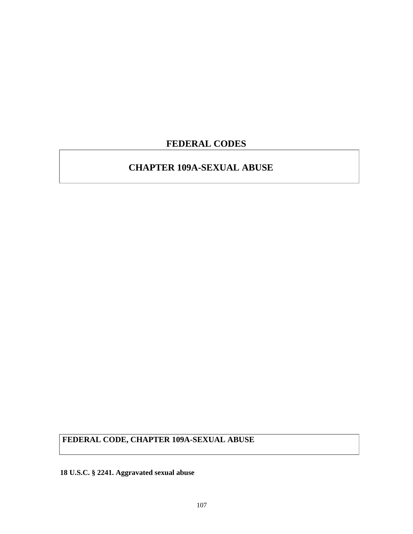# **FEDERAL CODES**

# **CHAPTER 109A-SEXUAL ABUSE**

**FEDERAL CODE, CHAPTER 109A-SEXUAL ABUSE** 

**18 U.S.C. § 2241. Aggravated sexual abuse**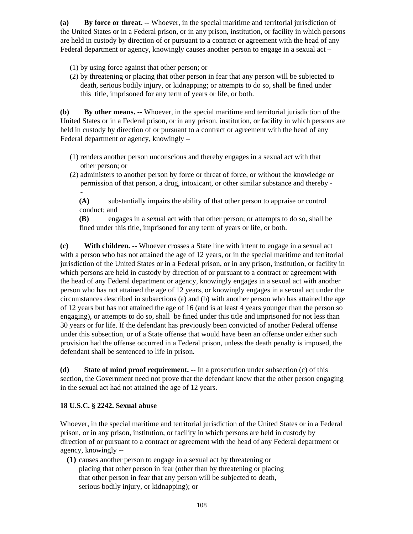**(a) By force or threat.** -- Whoever, in the special maritime and territorial jurisdiction of the United States or in a Federal prison, or in any prison, institution, or facility in which persons are held in custody by direction of or pursuant to a contract or agreement with the head of any Federal department or agency, knowingly causes another person to engage in a sexual act –

- (1) by using force against that other person; or
- (2) by threatening or placing that other person in fear that any person will be subjected to death, serious bodily injury, or kidnapping; or attempts to do so, shall be fined under this title, imprisoned for any term of years or life, or both.

**(b) By other means. --** Whoever, in the special maritime and territorial jurisdiction of the United States or in a Federal prison, or in any prison, institution, or facility in which persons are held in custody by direction of or pursuant to a contract or agreement with the head of any Federal department or agency, knowingly –

- (1) renders another person unconscious and thereby engages in a sexual act with that other person; or
- (2) administers to another person by force or threat of force, or without the knowledge or permission of that person, a drug, intoxicant, or other similar substance and thereby - -

**(A)** substantially impairs the ability of that other person to appraise or control conduct; and

**(B)** engages in a sexual act with that other person; or attempts to do so, shall be fined under this title, imprisoned for any term of years or life, or both.

**(c) With children.** -- Whoever crosses a State line with intent to engage in a sexual act with a person who has not attained the age of 12 years, or in the special maritime and territorial jurisdiction of the United States or in a Federal prison, or in any prison, institution, or facility in which persons are held in custody by direction of or pursuant to a contract or agreement with the head of any Federal department or agency, knowingly engages in a sexual act with another person who has not attained the age of 12 years, or knowingly engages in a sexual act under the circumstances described in subsections (a) and (b) with another person who has attained the age of 12 years but has not attained the age of 16 (and is at least 4 years younger than the person so engaging), or attempts to do so, shall be fined under this title and imprisoned for not less than 30 years or for life. If the defendant has previously been convicted of another Federal offense under this subsection, or of a State offense that would have been an offense under either such provision had the offense occurred in a Federal prison, unless the death penalty is imposed, the defendant shall be sentenced to life in prison.

**(d) State of mind proof requirement.** -- In a prosecution under subsection (c) of this section, the Government need not prove that the defendant knew that the other person engaging in the sexual act had not attained the age of 12 years.

#### **18 U.S.C. § 2242. Sexual abuse**

Whoever, in the special maritime and territorial jurisdiction of the United States or in a Federal prison, or in any prison, institution, or facility in which persons are held in custody by direction of or pursuant to a contract or agreement with the head of any Federal department or agency, knowingly --

**(1)** causes another person to engage in a sexual act by threatening or placing that other person in fear (other than by threatening or placing that other person in fear that any person will be subjected to death, serious bodily injury, or kidnapping); or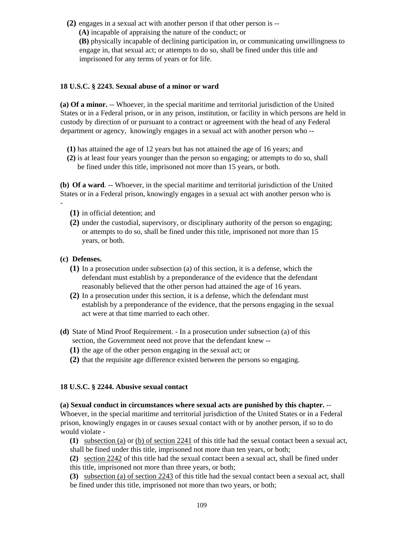**(2)** engages in a sexual act with another person if that other person is --

**(A)** incapable of appraising the nature of the conduct; or

**(B)** physically incapable of declining participation in, or communicating unwillingness to engage in, that sexual act; or attempts to do so, shall be fined under this title and imprisoned for any terms of years or for life.

## **18 U.S.C. § 2243. Sexual abuse of a minor or ward**

**(a) Of a minor.** -- Whoever, in the special maritime and territorial jurisdiction of the United States or in a Federal prison, or in any prison, institution, or facility in which persons are held in custody by direction of or pursuant to a contract or agreement with the head of any Federal department or agency, knowingly engages in a sexual act with another person who --

- **(1)** has attained the age of 12 years but has not attained the age of 16 years; and
- **(2)** is at least four years younger than the person so engaging; or attempts to do so, shall be fined under this title, imprisoned not more than 15 years, or both.

**(b) Of a ward**. -- Whoever, in the special maritime and territorial jurisdiction of the United States or in a Federal prison, knowingly engages in a sexual act with another person who is -

- **(1)** in official detention; and
- **(2)** under the custodial, supervisory, or disciplinary authority of the person so engaging; or attempts to do so, shall be fined under this title, imprisoned not more than 15 years, or both.

### **(c) Defenses.**

- **(1)** In a prosecution under subsection (a) of this section, it is a defense, which the defendant must establish by a preponderance of the evidence that the defendant reasonably believed that the other person had attained the age of 16 years.
- **(2)** In a prosecution under this section, it is a defense, which the defendant must establish by a preponderance of the evidence, that the persons engaging in the sexual act were at that time married to each other.
- **(d)** State of Mind Proof Requirement. In a prosecution under subsection (a) of this section, the Government need not prove that the defendant knew --
	- **(1)** the age of the other person engaging in the sexual act; or
	- **(2)** that the requisite age difference existed between the persons so engaging.

# **18 U.S.C. § 2244. Abusive sexual contact**

### **(a) Sexual conduct in circumstances where sexual acts are punished by this chapter.** --

Whoever, in the special maritime and territorial jurisdiction of the United States or in a Federal prison, knowingly engages in or causes sexual contact with or by another person, if so to do would violate -

**(1)** subsection (a) or (b) of section 2241 of this title had the sexual contact been a sexual act, shall be fined under this title, imprisoned not more than ten years, or both;

**(2)** section 2242 of this title had the sexual contact been a sexual act, shall be fined under this title, imprisoned not more than three years, or both;

**(3)** subsection (a) of section 2243 of this title had the sexual contact been a sexual act, shall be fined under this title, imprisoned not more than two years, or both;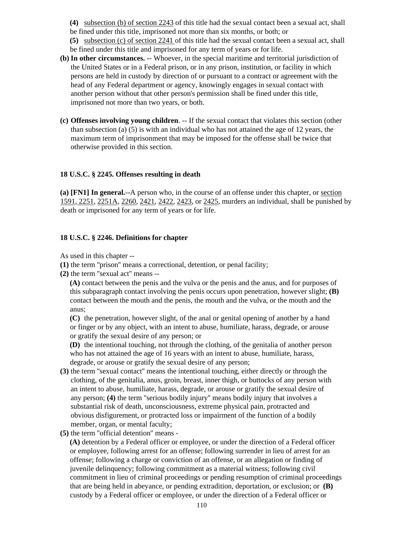**(4)** subsection (b) of section 2243 of this title had the sexual contact been a sexual act, shall be fined under this title, imprisoned not more than six months, or both; or

- **(5)** subsection (c) of section 2241 of this title had the sexual contact been a sexual act, shall be fined under this title and imprisoned for any term of years or for life.
- **(b) In other circumstances.** -- Whoever, in the special maritime and territorial jurisdiction of the United States or in a Federal prison, or in any prison, institution, or facility in which persons are held in custody by direction of or pursuant to a contract or agreement with the head of any Federal department or agency, knowingly engages in sexual contact with another person without that other person's permission shall be fined under this title, imprisoned not more than two years, or both.
- **(c) Offenses involving young children**. -- If the sexual contact that violates this section (other than subsection (a)  $(5)$  is with an individual who has not attained the age of 12 years, the maximum term of imprisonment that may be imposed for the offense shall be twice that otherwise provided in this section.

# **18 U.S.C. § 2245. Offenses resulting in death**

**(a) [FN1] In general.**--A person who, in the course of an offense under this chapter, or section 1591, 2251, 2251A, 2260, 2421, 2422, 2423, or 2425, murders an individual, shall be punished by death or imprisoned for any term of years or for life.

# **18 U.S.C. § 2246. Definitions for chapter**

As used in this chapter --

- **(1)** the term ''prison'' means a correctional, detention, or penal facility;
- **(2)** the term ''sexual act'' means --

**(A)** contact between the penis and the vulva or the penis and the anus, and for purposes of this subparagraph contact involving the penis occurs upon penetration, however slight; **(B)** contact between the mouth and the penis, the mouth and the vulva, or the mouth and the anus;

**(C)** the penetration, however slight, of the anal or genital opening of another by a hand or finger or by any object, with an intent to abuse, humiliate, harass, degrade, or arouse or gratify the sexual desire of any person; or

**(D)** the intentional touching, not through the clothing, of the genitalia of another person who has not attained the age of 16 years with an intent to abuse, humiliate, harass, degrade, or arouse or gratify the sexual desire of any person;

- **(3)** the term ''sexual contact'' means the intentional touching, either directly or through the clothing, of the genitalia, anus, groin, breast, inner thigh, or buttocks of any person with an intent to abuse, humiliate, harass, degrade, or arouse or gratify the sexual desire of any person; **(4)** the term ''serious bodily injury'' means bodily injury that involves a substantial risk of death, unconsciousness, extreme physical pain, protracted and obvious disfigurement, or protracted loss or impairment of the function of a bodily member, organ, or mental faculty;
- **(5)** the term ''official detention'' means -

**(A)** detention by a Federal officer or employee, or under the direction of a Federal officer or employee, following arrest for an offense; following surrender in lieu of arrest for an offense; following a charge or conviction of an offense, or an allegation or finding of juvenile delinquency; following commitment as a material witness; following civil commitment in lieu of criminal proceedings or pending resumption of criminal proceedings that are being held in abeyance, or pending extradition, deportation, or exclusion; or **(B)** custody by a Federal officer or employee, or under the direction of a Federal officer or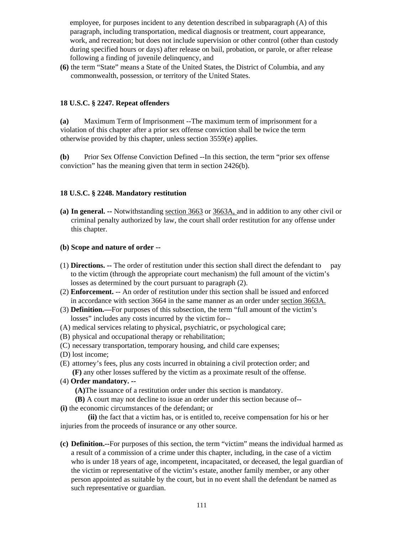employee, for purposes incident to any detention described in subparagraph (A) of this paragraph, including transportation, medical diagnosis or treatment, court appearance, work, and recreation; but does not include supervision or other control (other than custody during specified hours or days) after release on bail, probation, or parole, or after release following a finding of juvenile delinquency, and

**(6)** the term "State" means a State of the United States, the District of Columbia, and any commonwealth, possession, or territory of the United States.

# **18 U.S.C. § 2247. Repeat offenders**

**(a)** Maximum Term of Imprisonment --The maximum term of imprisonment for a violation of this chapter after a prior sex offense conviction shall be twice the term otherwise provided by this chapter, unless section 3559(e) applies.

**(b)** Prior Sex Offense Conviction Defined --In this section, the term "prior sex offense conviction" has the meaning given that term in section 2426(b).

# **18 U.S.C. § 2248. Mandatory restitution**

**(a) In general. --** Notwithstanding section 3663 or 3663A, and in addition to any other civil or criminal penalty authorized by law, the court shall order restitution for any offense under this chapter.

### **(b) Scope and nature of order --**

- (1) **Directions. --** The order of restitution under this section shall direct the defendant to pay to the victim (through the appropriate court mechanism) the full amount of the victim's losses as determined by the court pursuant to paragraph (2).
- (2) **Enforcement.** -- An order of restitution under this section shall be issued and enforced in accordance with section 3664 in the same manner as an order under section 3663A.
- (3) **Definition.—**For purposes of this subsection, the term "full amount of the victim's losses" includes any costs incurred by the victim for--
- (A) medical services relating to physical, psychiatric, or psychological care;
- (B) physical and occupational therapy or rehabilitation;
- (C) necessary transportation, temporary housing, and child care expenses;
- (D) lost income;
- (E) attorney's fees, plus any costs incurred in obtaining a civil protection order; and **(F)** any other losses suffered by the victim as a proximate result of the offense.
- (4) **Order mandatory. --** 
	- **(A)**The issuance of a restitution order under this section is mandatory.
- **(B)** A court may not decline to issue an order under this section because of--
- **(i)** the economic circumstances of the defendant; or

 **(ii)** the fact that a victim has, or is entitled to, receive compensation for his or her injuries from the proceeds of insurance or any other source.

**(c) Definition.--**For purposes of this section, the term "victim" means the individual harmed as a result of a commission of a crime under this chapter, including, in the case of a victim who is under 18 years of age, incompetent, incapacitated, or deceased, the legal guardian of the victim or representative of the victim's estate, another family member, or any other person appointed as suitable by the court, but in no event shall the defendant be named as such representative or guardian.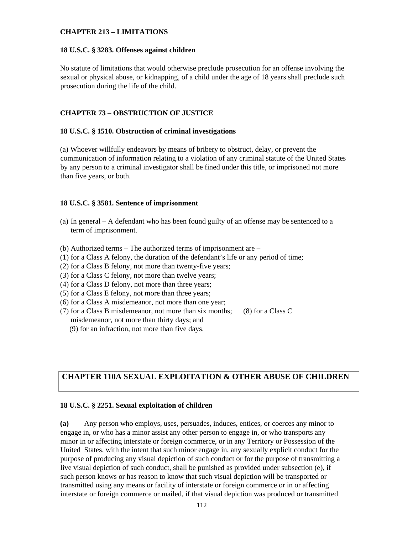# **CHAPTER 213 – LIMITATIONS**

### **18 U.S.C. § 3283. Offenses against children**

No statute of limitations that would otherwise preclude prosecution for an offense involving the sexual or physical abuse, or kidnapping, of a child under the age of 18 years shall preclude such prosecution during the life of the child.

# **CHAPTER 73 – OBSTRUCTION OF JUSTICE**

### **18 U.S.C. § 1510. Obstruction of criminal investigations**

(a) Whoever willfully endeavors by means of bribery to obstruct, delay, or prevent the communication of information relating to a violation of any criminal statute of the United States by any person to a criminal investigator shall be fined under this title, or imprisoned not more than five years, or both.

### **18 U.S.C. § 3581. Sentence of imprisonment**

- (a) In general A defendant who has been found guilty of an offense may be sentenced to a term of imprisonment.
- (b) Authorized terms The authorized terms of imprisonment are –
- (1) for a Class A felony, the duration of the defendant's life or any period of time;
- (2) for a Class B felony, not more than twenty-five years;
- (3) for a Class C felony, not more than twelve years;
- (4) for a Class D felony, not more than three years;
- (5) for a Class E felony, not more than three years;
- (6) for a Class A misdemeanor, not more than one year;
- (7) for a Class B misdemeanor, not more than six months; (8) for a Class C misdemeanor, not more than thirty days; and
	- (9) for an infraction, not more than five days.

# **CHAPTER 110A SEXUAL EXPLOITATION & OTHER ABUSE OF CHILDREN**

#### **18 U.S.C. § 2251. Sexual exploitation of children**

**(a)** Any person who employs, uses, persuades, induces, entices, or coerces any minor to engage in, or who has a minor assist any other person to engage in, or who transports any minor in or affecting interstate or foreign commerce, or in any Territory or Possession of the United States, with the intent that such minor engage in, any sexually explicit conduct for the purpose of producing any visual depiction of such conduct or for the purpose of transmitting a live visual depiction of such conduct, shall be punished as provided under subsection (e), if such person knows or has reason to know that such visual depiction will be transported or transmitted using any means or facility of interstate or foreign commerce or in or affecting interstate or foreign commerce or mailed, if that visual depiction was produced or transmitted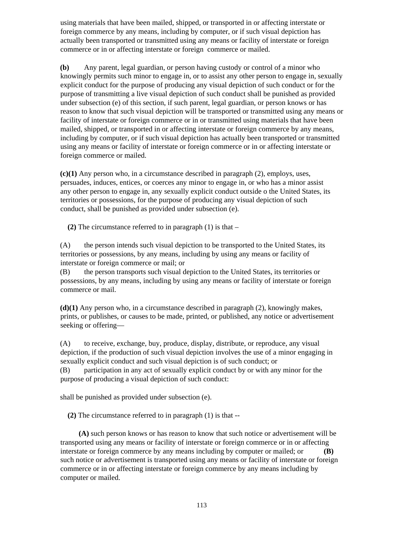using materials that have been mailed, shipped, or transported in or affecting interstate or foreign commerce by any means, including by computer, or if such visual depiction has actually been transported or transmitted using any means or facility of interstate or foreign commerce or in or affecting interstate or foreign commerce or mailed.

**(b)** Any parent, legal guardian, or person having custody or control of a minor who knowingly permits such minor to engage in, or to assist any other person to engage in, sexually explicit conduct for the purpose of producing any visual depiction of such conduct or for the purpose of transmitting a live visual depiction of such conduct shall be punished as provided under subsection (e) of this section, if such parent, legal guardian, or person knows or has reason to know that such visual depiction will be transported or transmitted using any means or facility of interstate or foreign commerce or in or transmitted using materials that have been mailed, shipped, or transported in or affecting interstate or foreign commerce by any means, including by computer, or if such visual depiction has actually been transported or transmitted using any means or facility of interstate or foreign commerce or in or affecting interstate or foreign commerce or mailed.

**(c)(1)** Any person who, in a circumstance described in paragraph (2), employs, uses, persuades, induces, entices, or coerces any minor to engage in, or who has a minor assist any other person to engage in, any sexually explicit conduct outside o the United States, its territories or possessions, for the purpose of producing any visual depiction of such conduct, shall be punished as provided under subsection (e).

 **(2)** The circumstance referred to in paragraph (1) is that –

(A) the person intends such visual depiction to be transported to the United States, its territories or possessions, by any means, including by using any means or facility of interstate or foreign commerce or mail; or

(B) the person transports such visual depiction to the United States, its territories or possessions, by any means, including by using any means or facility of interstate or foreign commerce or mail.

**(d)(1)** Any person who, in a circumstance described in paragraph (2), knowingly makes, prints, or publishes, or causes to be made, printed, or published, any notice or advertisement seeking or offering—

(A) to receive, exchange, buy, produce, display, distribute, or reproduce, any visual depiction, if the production of such visual depiction involves the use of a minor engaging in sexually explicit conduct and such visual depiction is of such conduct; or

(B) participation in any act of sexually explicit conduct by or with any minor for the purpose of producing a visual depiction of such conduct:

shall be punished as provided under subsection (e).

 **(2)** The circumstance referred to in paragraph (1) is that --

 **(A)** such person knows or has reason to know that such notice or advertisement will be transported using any means or facility of interstate or foreign commerce or in or affecting interstate or foreign commerce by any means including by computer or mailed; or **(B)**  such notice or advertisement is transported using any means or facility of interstate or foreign commerce or in or affecting interstate or foreign commerce by any means including by computer or mailed.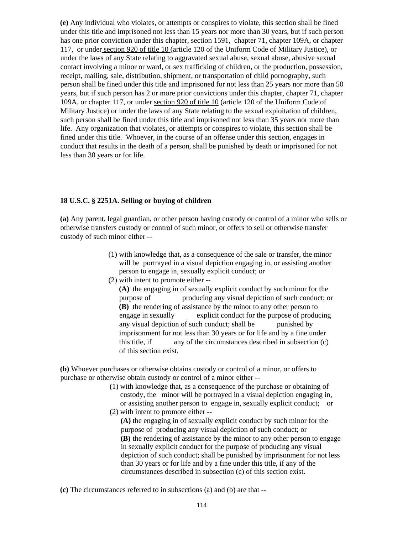**(e)** Any individual who violates, or attempts or conspires to violate, this section shall be fined under this title and imprisoned not less than 15 years nor more than 30 years, but if such person has one prior conviction under this chapter, section 1591, chapter 71, chapter 109A, or chapter 117, or under section 920 of title 10 (article 120 of the Uniform Code of Military Justice), or under the laws of any State relating to aggravated sexual abuse, sexual abuse, abusive sexual contact involving a minor or ward, or sex trafficking of children, or the production, possession, receipt, mailing, sale, distribution, shipment, or transportation of child pornography, such person shall be fined under this title and imprisoned for not less than 25 years nor more than 50 years, but if such person has 2 or more prior convictions under this chapter, chapter 71, chapter 109A, or chapter 117, or under section 920 of title 10 (article 120 of the Uniform Code of Military Justice) or under the laws of any State relating to the sexual exploitation of children, such person shall be fined under this title and imprisoned not less than 35 years nor more than life. Any organization that violates, or attempts or conspires to violate, this section shall be fined under this title. Whoever, in the course of an offense under this section, engages in conduct that results in the death of a person, shall be punished by death or imprisoned for not less than 30 years or for life.

### **18 U.S.C. § 2251A. Selling or buying of children**

**(a)** Any parent, legal guardian, or other person having custody or control of a minor who sells or otherwise transfers custody or control of such minor, or offers to sell or otherwise transfer custody of such minor either --

- (1) with knowledge that, as a consequence of the sale or transfer, the minor will be portrayed in a visual depiction engaging in, or assisting another person to engage in, sexually explicit conduct; or
- (2) with intent to promote either --

**(A)** the engaging in of sexually explicit conduct by such minor for the purpose of producing any visual depiction of such conduct; or **(B)** the rendering of assistance by the minor to any other person to engage in sexually explicit conduct for the purpose of producing any visual depiction of such conduct; shall be punished by imprisonment for not less than 30 years or for life and by a fine under this title, if any of the circumstances described in subsection (c) of this section exist.

**(b)** Whoever purchases or otherwise obtains custody or control of a minor, or offers to purchase or otherwise obtain custody or control of a minor either --

> (1) with knowledge that, as a consequence of the purchase or obtaining of custody, the minor will be portrayed in a visual depiction engaging in, or assisting another person to engage in, sexually explicit conduct; or (2) with intent to promote either --

**(A)** the engaging in of sexually explicit conduct by such minor for the purpose of producing any visual depiction of such conduct; or **(B)** the rendering of assistance by the minor to any other person to engage in sexually explicit conduct for the purpose of producing any visual depiction of such conduct; shall be punished by imprisonment for not less than 30 years or for life and by a fine under this title, if any of the circumstances described in subsection (c) of this section exist.

**(c)** The circumstances referred to in subsections (a) and (b) are that --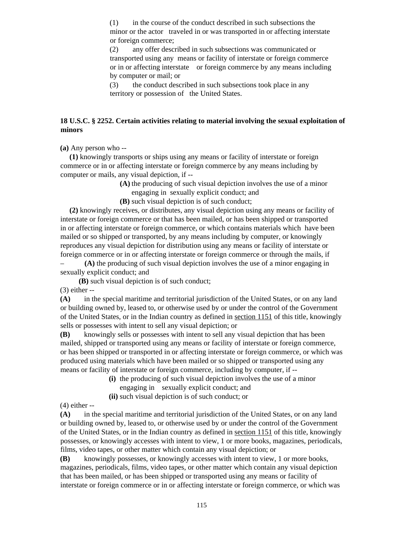(1) in the course of the conduct described in such subsections the minor or the actor traveled in or was transported in or affecting interstate or foreign commerce;

(2) any offer described in such subsections was communicated or transported using any means or facility of interstate or foreign commerce or in or affecting interstate or foreign commerce by any means including by computer or mail; or

(3) the conduct described in such subsections took place in any territory or possession of the United States.

# **18 U.S.C. § 2252. Certain activities relating to material involving the sexual exploitation of minors**

**(a)** Any person who --

 **(1)** knowingly transports or ships using any means or facility of interstate or foreign commerce or in or affecting interstate or foreign commerce by any means including by computer or mails, any visual depiction, if --

> **(A)** the producing of such visual depiction involves the use of a minor engaging in sexually explicit conduct; and

**(B)** such visual depiction is of such conduct;

 **(2)** knowingly receives, or distributes, any visual depiction using any means or facility of interstate or foreign commerce or that has been mailed, or has been shipped or transported in or affecting interstate or foreign commerce, or which contains materials which have been mailed or so shipped or transported, by any means including by computer, or knowingly reproduces any visual depiction for distribution using any means or facility of interstate or foreign commerce or in or affecting interstate or foreign commerce or through the mails, if

– **(A)** the producing of such visual depiction involves the use of a minor engaging in sexually explicit conduct; and

 **(B)** such visual depiction is of such conduct;

(3) either --

**(A)** in the special maritime and territorial jurisdiction of the United States, or on any land or building owned by, leased to, or otherwise used by or under the control of the Government of the United States, or in the Indian country as defined in section 1151 of this title, knowingly sells or possesses with intent to sell any visual depiction; or

**(B)** knowingly sells or possesses with intent to sell any visual depiction that has been mailed, shipped or transported using any means or facility of interstate or foreign commerce, or has been shipped or transported in or affecting interstate or foreign commerce, or which was produced using materials which have been mailed or so shipped or transported using any means or facility of interstate or foreign commerce, including by computer, if --

- **(i)** the producing of such visual depiction involves the use of a minor engaging in sexually explicit conduct; and
- **(ii)** such visual depiction is of such conduct; or

(4) either --

**(A)** in the special maritime and territorial jurisdiction of the United States, or on any land or building owned by, leased to, or otherwise used by or under the control of the Government of the United States, or in the Indian country as defined in section 1151 of this title, knowingly possesses, or knowingly accesses with intent to view, 1 or more books, magazines, periodicals, films, video tapes, or other matter which contain any visual depiction; or

**(B)** knowingly possesses, or knowingly accesses with intent to view, 1 or more books, magazines, periodicals, films, video tapes, or other matter which contain any visual depiction that has been mailed, or has been shipped or transported using any means or facility of interstate or foreign commerce or in or affecting interstate or foreign commerce, or which was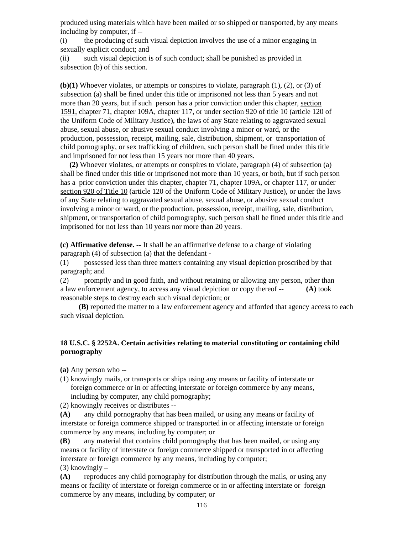produced using materials which have been mailed or so shipped or transported, by any means including by computer, if --

(i) the producing of such visual depiction involves the use of a minor engaging in sexually explicit conduct; and

(ii) such visual depiction is of such conduct; shall be punished as provided in subsection (b) of this section.

**(b)(1)** Whoever violates, or attempts or conspires to violate, paragraph (1), (2), or (3) of subsection (a) shall be fined under this title or imprisoned not less than 5 years and not more than 20 years, but if such person has a prior conviction under this chapter, section 1591, chapter 71, chapter 109A, chapter 117, or under section 920 of title 10 (article 120 of the Uniform Code of Military Justice), the laws of any State relating to aggravated sexual abuse, sexual abuse, or abusive sexual conduct involving a minor or ward, or the production, possession, receipt, mailing, sale, distribution, shipment, or transportation of child pornography, or sex trafficking of children, such person shall be fined under this title and imprisoned for not less than 15 years nor more than 40 years.

 **(2)** Whoever violates, or attempts or conspires to violate, paragraph (4) of subsection (a) shall be fined under this title or imprisoned not more than 10 years, or both, but if such person has a prior conviction under this chapter, chapter 71, chapter 109A, or chapter 117, or under section 920 of Title 10 (article 120 of the Uniform Code of Military Justice), or under the laws of any State relating to aggravated sexual abuse, sexual abuse, or abusive sexual conduct involving a minor or ward, or the production, possession, receipt, mailing, sale, distribution, shipment, or transportation of child pornography, such person shall be fined under this title and imprisoned for not less than 10 years nor more than 20 years.

**(c) Affirmative defense. --** It shall be an affirmative defense to a charge of violating paragraph (4) of subsection (a) that the defendant -

(1) possessed less than three matters containing any visual depiction proscribed by that paragraph; and

(2) promptly and in good faith, and without retaining or allowing any person, other than a law enforcement agency, to access any visual depiction or copy thereof -- **(A)** took reasonable steps to destroy each such visual depiction; or

 **(B)** reported the matter to a law enforcement agency and afforded that agency access to each such visual depiction.

# **18 U.S.C. § 2252A. Certain activities relating to material constituting or containing child pornography**

**(a)** Any person who --

(1) knowingly mails, or transports or ships using any means or facility of interstate or foreign commerce or in or affecting interstate or foreign commerce by any means, including by computer, any child pornography;

(2) knowingly receives or distributes --

**(A)** any child pornography that has been mailed, or using any means or facility of interstate or foreign commerce shipped or transported in or affecting interstate or foreign commerce by any means, including by computer; or

**(B)** any material that contains child pornography that has been mailed, or using any means or facility of interstate or foreign commerce shipped or transported in or affecting interstate or foreign commerce by any means, including by computer;  $(3)$  knowingly –

**(A)** reproduces any child pornography for distribution through the mails, or using any means or facility of interstate or foreign commerce or in or affecting interstate or foreign commerce by any means, including by computer; or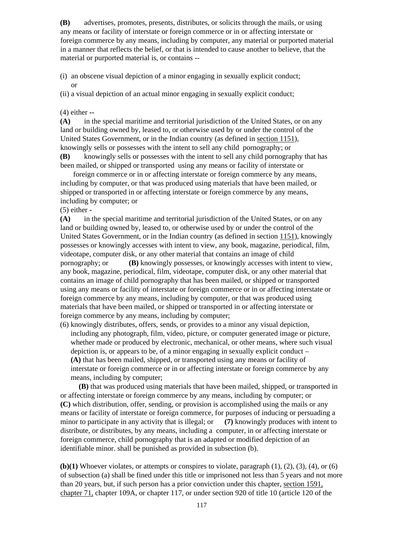**(B)** advertises, promotes, presents, distributes, or solicits through the mails, or using any means or facility of interstate or foreign commerce or in or affecting interstate or foreign commerce by any means, including by computer, any material or purported material in a manner that reflects the belief, or that is intended to cause another to believe, that the material or purported material is, or contains --

(i) an obscene visual depiction of a minor engaging in sexually explicit conduct; or

(ii) a visual depiction of an actual minor engaging in sexually explicit conduct;

### (4) either **--**

**(A)** in the special maritime and territorial jurisdiction of the United States, or on any land or building owned by, leased to, or otherwise used by or under the control of the United States Government, or in the Indian country (as defined in section 1151), knowingly sells or possesses with the intent to sell any child pornography; or

**(B)** knowingly sells or possesses with the intent to sell any child pornography that has been mailed, or shipped or transported using any means or facility of interstate or

 foreign commerce or in or affecting interstate or foreign commerce by any means, including by computer, or that was produced using materials that have been mailed, or shipped or transported in or affecting interstate or foreign commerce by any means, including by computer; or

# (5) either **-**

**(A)** in the special maritime and territorial jurisdiction of the United States, or on any land or building owned by, leased to, or otherwise used by or under the control of the United States Government, or in the Indian country (as defined in section 1151), knowingly possesses or knowingly accesses with intent to view, any book, magazine, periodical, film, videotape, computer disk, or any other material that contains an image of child pornography; or **(B)** knowingly possesses, or knowingly accesses with intent to view, any book, magazine, periodical, film, videotape, computer disk, or any other material that contains an image of child pornography that has been mailed, or shipped or transported using any means or facility of interstate or foreign commerce or in or affecting interstate or foreign commerce by any means, including by computer, or that was produced using materials that have been mailed, or shipped or transported in or affecting interstate or foreign commerce by any means, including by computer;

(6) knowingly distributes, offers, sends, or provides to a minor any visual depiction, including any photograph, film, video, picture, or computer generated image or picture, whether made or produced by electronic, mechanical, or other means, where such visual depiction is, or appears to be, of a minor engaging in sexually explicit conduct – **(A)** that has been mailed, shipped, or transported using any means or facility of interstate or foreign commerce or in or affecting interstate or foreign commerce by any means, including by computer;

 **(B)** that was produced using materials that have been mailed, shipped, or transported in or affecting interstate or foreign commerce by any means, including by computer; or **(C)** which distribution, offer, sending, or provision is accomplished using the mails or any means or facility of interstate or foreign commerce, for purposes of inducing or persuading a minor to participate in any activity that is illegal; or **(7)** knowingly produces with intent to distribute, or distributes, by any means, including a computer, in or affecting interstate or foreign commerce, child pornography that is an adapted or modified depiction of an identifiable minor. shall be punished as provided in subsection (b).

 **Whoever violates, or attempts or conspires to violate, paragraph**  $(1)$ **,**  $(2)$ **,**  $(3)$ **,**  $(4)$ **, or**  $(6)$ of subsection (a) shall be fined under this title or imprisoned not less than 5 years and not more than 20 years, but, if such person has a prior conviction under this chapter, section 1591, chapter 71, chapter 109A, or chapter 117, or under section 920 of title 10 (article 120 of the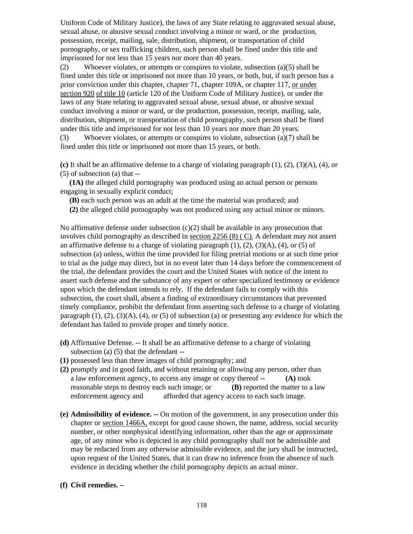Uniform Code of Military Justice), the laws of any State relating to aggravated sexual abuse, sexual abuse, or abusive sexual conduct involving a minor or ward, or the production, possession, receipt, mailing, sale, distribution, shipment, or transportation of child pornography, or sex trafficking children, such person shall be fined under this title and imprisoned for not less than 15 years nor more than 40 years.

(2) Whoever violates, or attempts or conspires to violate, subsection (a)(5) shall be fined under this title or imprisoned not more than 10 years, or both, but, if such person has a prior conviction under this chapter, chapter 71, chapter 109A, or chapter 117, or under section 920 of title 10 (article 120 of the Uniform Code of Military Justice), or under the laws of any State relating to aggravated sexual abuse, sexual abuse, or abusive sexual conduct involving a minor or ward, or the production, possession, receipt, mailing, sale, distribution, shipment, or transportation of child pornography, such person shall be fined under this title and imprisoned for not less than 10 years nor more than 20 years.

(3) Whoever violates, or attempts or conspires to violate, subsection (a)(7) shall be fined under this title or imprisoned not more than 15 years, or both.

**(c)** It shall be an affirmative defense to a charge of violating paragraph (1), (2), (3)(A), (4), or (5) of subsection (a) that --

 **(1A)** the alleged child pornography was produced using an actual person or persons engaging in sexually explicit conduct;

**(B)** each such person was an adult at the time the material was produced; and

**(2)** the alleged child pornography was not produced using any actual minor or minors.

No affirmative defense under subsection (c)(2) shall be available in any prosecution that involves child pornography as described in section 2256 (8) ( C). A defendant may not assert an affirmative defense to a charge of violating paragraph  $(1)$ ,  $(2)$ ,  $(3)(A)$ ,  $(4)$ , or  $(5)$  of subsection (a) unless, within the time provided for filing pretrial motions or at such time prior to trial as the judge may direct, but in no event later than 14 days before the commencement of the trial, the defendant provides the court and the United States with notice of the intent to assert such defense and the substance of any expert or other specialized testimony or evidence upon which the defendant intends to rely. If the defendant fails to comply with this subsection, the court shall, absent a finding of extraordinary circumstances that prevented timely compliance, prohibit the defendant from asserting such defense to a charge of violating paragraph  $(1)$ ,  $(2)$ ,  $(3)(A)$ ,  $(4)$ , or  $(5)$  of subsection (a) or presenting any evidence for which the defendant has failed to provide proper and timely notice.

- **(d)** Affirmative Defense. -- It shall be an affirmative defense to a charge of violating subsection (a)  $(5)$  that the defendant --
- **(1)** possessed less than three images of child pornography; and
- **(2)** promptly and in good faith, and without retaining or allowing any person, other than a law enforcement agency, to access any image or copy thereof -- **(A)** took reasonable steps to destroy each such image; or **(B)** reported the matter to a law enforcement agency and afforded that agency access to each such image.
- **(e) Admissibility of evidence. --** On motion of the government, in any prosecution under this chapter or section 1466A, except for good cause shown, the name, address, social security number, or other nonphysical identifying information, other than the age or approximate age, of any minor who is depicted in any child pornography shall not be admissible and may be redacted from any otherwise admissible evidence, and the jury shall be instructed, upon request of the United States, that it can draw no inference from the absence of such evidence in deciding whether the child pornography depicts an actual minor.

### **(f) Civil remedies. –**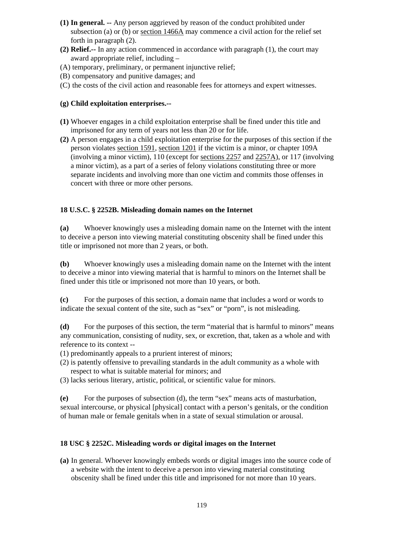- **(1) In general. --** Any person aggrieved by reason of the conduct prohibited under subsection (a) or (b) or <u>section 1466A</u> may commence a civil action for the relief set forth in paragraph (2).
- **(2) Relief.--** In any action commenced in accordance with paragraph (1), the court may award appropriate relief, including –
- (A) temporary, preliminary, or permanent injunctive relief;
- (B) compensatory and punitive damages; and
- (C) the costs of the civil action and reasonable fees for attorneys and expert witnesses.

# **(g) Child exploitation enterprises.--**

- **(1)** Whoever engages in a child exploitation enterprise shall be fined under this title and imprisoned for any term of years not less than 20 or for life.
- **(2)** A person engages in a child exploitation enterprise for the purposes of this section if the person violates section 1591, section 1201 if the victim is a minor, or chapter 109A (involving a minor victim), 110 (except for sections 2257 and 2257A), or 117 (involving a minor victim), as a part of a series of felony violations constituting three or more separate incidents and involving more than one victim and commits those offenses in concert with three or more other persons.

# **18 U.S.C. § 2252B. Misleading domain names on the Internet**

**(a)** Whoever knowingly uses a misleading domain name on the Internet with the intent to deceive a person into viewing material constituting obscenity shall be fined under this title or imprisoned not more than 2 years, or both.

**(b)** Whoever knowingly uses a misleading domain name on the Internet with the intent to deceive a minor into viewing material that is harmful to minors on the Internet shall be fined under this title or imprisoned not more than 10 years, or both.

**(c)** For the purposes of this section, a domain name that includes a word or words to indicate the sexual content of the site, such as "sex" or "porn", is not misleading.

**(d)** For the purposes of this section, the term "material that is harmful to minors" means any communication, consisting of nudity, sex, or excretion, that, taken as a whole and with reference to its context --

(1) predominantly appeals to a prurient interest of minors;

- (2) is patently offensive to prevailing standards in the adult community as a whole with respect to what is suitable material for minors; and
- (3) lacks serious literary, artistic, political, or scientific value for minors.

**(e)** For the purposes of subsection (d), the term "sex" means acts of masturbation, sexual intercourse, or physical [physical] contact with a person's genitals, or the condition of human male or female genitals when in a state of sexual stimulation or arousal.

# **18 USC § 2252C. Misleading words or digital images on the Internet**

**(a)** In general. Whoever knowingly embeds words or digital images into the source code of a website with the intent to deceive a person into viewing material constituting obscenity shall be fined under this title and imprisoned for not more than 10 years.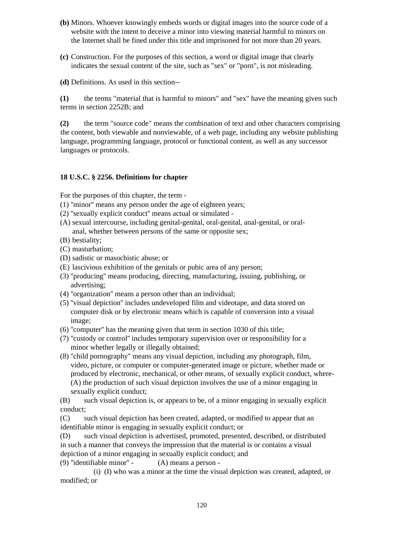- **(b)** Minors. Whoever knowingly embeds words or digital images into the source code of a website with the intent to deceive a minor into viewing material harmful to minors on the Internet shall be fined under this title and imprisoned for not more than 20 years.
- **(c)** Construction. For the purposes of this section, a word or digital image that clearly indicates the sexual content of the site, such as "sex" or "porn", is not misleading.
- **(d)** Definitions. As used in this section--

**(1)** the terms "material that is harmful to minors" and "sex" have the meaning given such terms in section 2252B; and

**(2)** the term "source code" means the combination of text and other characters comprising the content, both viewable and nonviewable, of a web page, including any website publishing language, programming language, protocol or functional content, as well as any successor languages or protocols.

# **18 U.S.C. § 2256. Definitions for chapter**

For the purposes of this chapter, the term -

- (1) ''minor'' means any person under the age of eighteen years;
- (2) ''sexually explicit conduct'' means actual or simulated -
- (A) sexual intercourse, including genital-genital, oral-genital, anal-genital, or oralanal, whether between persons of the same or opposite sex;
- (B) bestiality;
- (C) masturbation;
- (D) sadistic or masochistic abuse; or
- (E) lascivious exhibition of the genitals or pubic area of any person;
- (3) ''producing'' means producing, directing, manufacturing, issuing, publishing, or advertising;
- (4) ''organization'' means a person other than an individual;
- (5) ''visual depiction'' includes undeveloped film and videotape, and data stored on computer disk or by electronic means which is capable of conversion into a visual image;
- (6) ''computer'' has the meaning given that term in section 1030 of this title;
- (7) ''custody or control'' includes temporary supervision over or responsibility for a minor whether legally or illegally obtained;
- (8) ''child pornography'' means any visual depiction, including any photograph, film, video, picture, or computer or computer-generated image or picture, whether made or produced by electronic, mechanical, or other means, of sexually explicit conduct, where- (A) the production of such visual depiction involves the use of a minor engaging in sexually explicit conduct;

(B) such visual depiction is, or appears to be, of a minor engaging in sexually explicit conduct;

(C) such visual depiction has been created, adapted, or modified to appear that an identifiable minor is engaging in sexually explicit conduct; or

(D) such visual depiction is advertised, promoted, presented, described, or distributed in such a manner that conveys the impression that the material is or contains a visual depiction of a minor engaging in sexually explicit conduct; and

(9) ''identifiable minor'' - (A) means a person -

 (i) (I) who was a minor at the time the visual depiction was created, adapted, or modified; or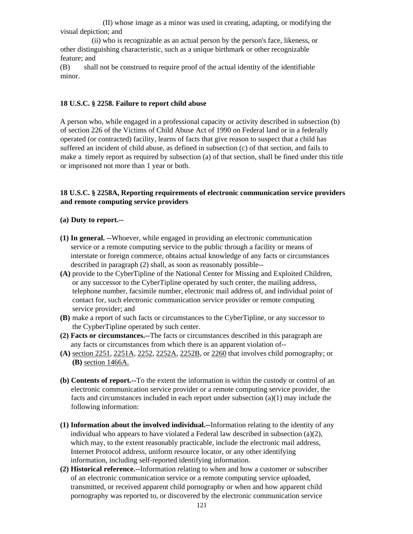(II) whose image as a minor was used in creating, adapting, or modifying the visual depiction; and

 (ii) who is recognizable as an actual person by the person's face, likeness, or other distinguishing characteristic, such as a unique birthmark or other recognizable feature; and

(B) shall not be construed to require proof of the actual identity of the identifiable minor.

### **18 U.S.C. § 2258. Failure to report child abuse**

A person who, while engaged in a professional capacity or activity described in subsection (b) of section 226 of the Victims of Child Abuse Act of 1990 on Federal land or in a federally operated (or contracted) facility, learns of facts that give reason to suspect that a child has suffered an incident of child abuse, as defined in subsection (c) of that section, and fails to make a timely report as required by subsection (a) of that section, shall be fined under this title or imprisoned not more than 1 year or both.

# **18 U.S.C. § 2258A, Reporting requirements of electronic communication service providers and remote computing service providers**

### **(a) Duty to report.--**

- **(1) In general. --**Whoever, while engaged in providing an electronic communication service or a remote computing service to the public through a facility or means of interstate or foreign commerce, obtains actual knowledge of any facts or circumstances described in paragraph (2) shall, as soon as reasonably possible--
- **(A)** provide to the CyberTipline of the National Center for Missing and Exploited Children, or any successor to the CyberTipline operated by such center, the mailing address, telephone number, facsimile number, electronic mail address of, and individual point of contact for, such electronic communication service provider or remote computing service provider; and
- **(B)** make a report of such facts or circumstances to the CyberTipline, or any successor to the CypberTipline operated by such center.
- **(2) Facts or circumstances.--**The facts or circumstances described in this paragraph are any facts or circumstances from which there is an apparent violation of--
- **(A)** section 2251, 2251A, 2252, 2252A, 2252B, or 2260 that involves child pornography; or **(B)** section 1466A.
- **(b) Contents of report.--**To the extent the information is within the custody or control of an electronic communication service provider or a remote computing service provider, the facts and circumstances included in each report under subsection (a)(1) may include the following information:
- **(1) Information about the involved individual.--**Information relating to the identity of any individual who appears to have violated a Federal law described in subsection (a)(2), which may, to the extent reasonably practicable, include the electronic mail address, Internet Protocol address, uniform resource locator, or any other identifying information, including self-reported identifying information.
- **(2) Historical reference.--**Information relating to when and how a customer or subscriber of an electronic communication service or a remote computing service uploaded, transmitted, or received apparent child pornography or when and how apparent child pornography was reported to, or discovered by the electronic communication service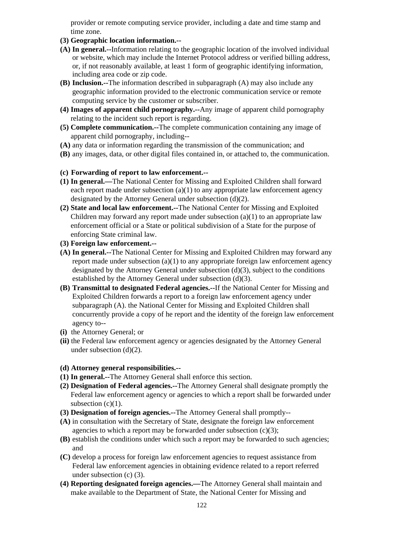provider or remote computing service provider, including a date and time stamp and time zone.

- **(3) Geographic location information.--**
- **(A) In general.--**Information relating to the geographic location of the involved individual or website, which may include the Internet Protocol address or verified billing address, or, if not reasonably available, at least 1 form of geographic identifying information, including area code or zip code.
- **(B) Inclusion.--**The information described in subparagraph (A) may also include any geographic information provided to the electronic communication service or remote computing service by the customer or subscriber.
- **(4) Images of apparent child pornography.--**Any image of apparent child pornography relating to the incident such report is regarding.
- **(5) Complete communication.--**The complete communication containing any image of apparent child pornography, including--
- **(A)** any data or information regarding the transmission of the communication; and
- **(B)** any images, data, or other digital files contained in, or attached to, the communication.

### **(c) Forwarding of report to law enforcement.--**

- **(1) In general.—**The National Center for Missing and Exploited Children shall forward each report made under subsection  $(a)(1)$  to any appropriate law enforcement agency designated by the Attorney General under subsection (d)(2).
- **(2) State and local law enforcement.--**The National Center for Missing and Exploited Children may forward any report made under subsection  $(a)(1)$  to an appropriate law enforcement official or a State or political subdivision of a State for the purpose of enforcing State criminal law.
- **(3) Foreign law enforcement.--**
- **(A) In general.--**The National Center for Missing and Exploited Children may forward any report made under subsection  $(a)(1)$  to any appropriate foreign law enforcement agency designated by the Attorney General under subsection  $(d)(3)$ , subject to the conditions established by the Attorney General under subsection (d)(3).
- **(B) Transmittal to designated Federal agencies.--**If the National Center for Missing and Exploited Children forwards a report to a foreign law enforcement agency under subparagraph (A). the National Center for Missing and Exploited Children shall concurrently provide a copy of he report and the identity of the foreign law enforcement agency to--
- **(i)** the Attorney General; or
- **(ii)** the Federal law enforcement agency or agencies designated by the Attorney General under subsection (d)(2).

#### **(d) Attorney general responsibilities.--**

- **(1) In general.--**The Attorney General shall enforce this section.
- **(2) Designation of Federal agencies.--**The Attorney General shall designate promptly the Federal law enforcement agency or agencies to which a report shall be forwarded under subsection  $(c)(1)$ .
- **(3) Designation of foreign agencies.--**The Attorney General shall promptly--
- **(A)** in consultation with the Secretary of State, designate the foreign law enforcement agencies to which a report may be forwarded under subsection  $(c)(3)$ ;
- **(B)** establish the conditions under which such a report may be forwarded to such agencies; and
- **(C)** develop a process for foreign law enforcement agencies to request assistance from Federal law enforcement agencies in obtaining evidence related to a report referred under subsection (c) (3).
- **(4) Reporting designated foreign agencies.—**The Attorney General shall maintain and make available to the Department of State, the National Center for Missing and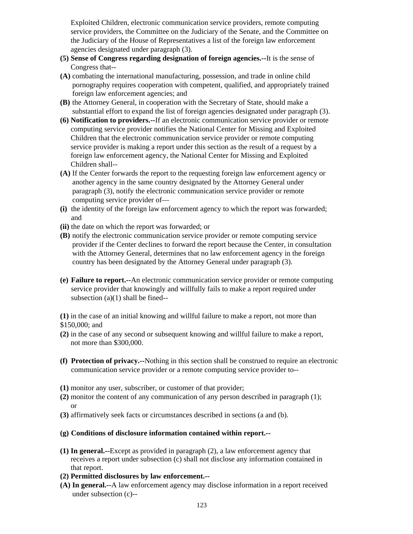Exploited Children, electronic communication service providers, remote computing service providers, the Committee on the Judiciary of the Senate, and the Committee on the Judiciary of the House of Representatives a list of the foreign law enforcement agencies designated under paragraph (3).

- **(5) Sense of Congress regarding designation of foreign agencies.--**It is the sense of Congress that--
- **(A)** combating the international manufacturing, possession, and trade in online child pornography requires cooperation with competent, qualified, and appropriately trained foreign law enforcement agencies; and
- **(B)** the Attorney General, in cooperation with the Secretary of State, should make a substantial effort to expand the list of foreign agencies designated under paragraph (3).
- **(6) Notification to providers.--**If an electronic communication service provider or remote computing service provider notifies the National Center for Missing and Exploited Children that the electronic communication service provider or remote computing service provider is making a report under this section as the result of a request by a foreign law enforcement agency, the National Center for Missing and Exploited Children shall--
- **(A)** If the Center forwards the report to the requesting foreign law enforcement agency or another agency in the same country designated by the Attorney General under paragraph (3), notify the electronic communication service provider or remote computing service provider of—
- **(i)** the identity of the foreign law enforcement agency to which the report was forwarded; and
- **(ii)** the date on which the report was forwarded; or
- **(B)** notify the electronic communication service provider or remote computing service provider if the Center declines to forward the report because the Center, in consultation with the Attorney General, determines that no law enforcement agency in the foreign country has been designated by the Attorney General under paragraph (3).
- **(e) Failure to report.--**An electronic communication service provider or remote computing service provider that knowingly and willfully fails to make a report required under subsection (a)(1) shall be fined--

**(1)** in the case of an initial knowing and willful failure to make a report, not more than \$150,000; and

- **(2)** in the case of any second or subsequent knowing and willful failure to make a report, not more than \$300,000.
- **(f) Protection of privacy.--**Nothing in this section shall be construed to require an electronic communication service provider or a remote computing service provider to--
- **(1)** monitor any user, subscriber, or customer of that provider;
- **(2)** monitor the content of any communication of any person described in paragraph (1); or
- **(3)** affirmatively seek facts or circumstances described in sections (a and (b).
- **(g) Conditions of disclosure information contained within report.--**
- **(1) In general.--**Except as provided in paragraph (2), a law enforcement agency that receives a report under subsection (c) shall not disclose any information contained in that report.
- **(2) Permitted disclosures by law enforcement.--**
- **(A) In general.--**A law enforcement agency may disclose information in a report received under subsection (c)--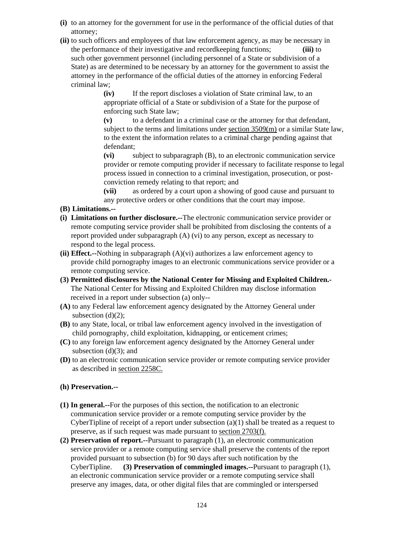- **(i)** to an attorney for the government for use in the performance of the official duties of that attorney;
- **(ii)** to such officers and employees of that law enforcement agency, as may be necessary in the performance of their investigative and recordkeeping functions; **(iii)** to such other government personnel (including personnel of a State or subdivision of a State) as are determined to be necessary by an attorney for the government to assist the attorney in the performance of the official duties of the attorney in enforcing Federal criminal law;

**(iv)** If the report discloses a violation of State criminal law, to an appropriate official of a State or subdivision of a State for the purpose of enforcing such State law;

**(v)** to a defendant in a criminal case or the attorney for that defendant, subject to the terms and limitations under section 3509(m) or a similar State law, to the extent the information relates to a criminal charge pending against that defendant;

**(vi)** subject to subparagraph (B), to an electronic communication service provider or remote computing provider if necessary to facilitate response to legal process issued in connection to a criminal investigation, prosecution, or postconviction remedy relating to that report; and

**(vii)** as ordered by a court upon a showing of good cause and pursuant to any protective orders or other conditions that the court may impose.

- **(B) Limitations.--**
- **(i) Limitations on further disclosure.--**The electronic communication service provider or remote computing service provider shall be prohibited from disclosing the contents of a report provided under subparagraph (A) (vi) to any person, except as necessary to respond to the legal process.
- **(ii) Effect.--**Nothing in subparagraph (A)(vi) authorizes a law enforcement agency to provide child pornography images to an electronic communications service provider or a remote computing service.
- **(3) Permitted disclosures by the National Center for Missing and Exploited Children.-** The National Center for Missing and Exploited Children may disclose information received in a report under subsection (a) only--
- **(A)** to any Federal law enforcement agency designated by the Attorney General under subsection  $(d)(2)$ ;
- **(B)** to any State, local, or tribal law enforcement agency involved in the investigation of child pornography, child exploitation, kidnapping, or enticement crimes;
- **(C)** to any foreign law enforcement agency designated by the Attorney General under subsection  $(d)(3)$ ; and
- **(D)** to an electronic communication service provider or remote computing service provider as described in section 2258C.

# **(h) Preservation.--**

- **(1) In general.--**For the purposes of this section, the notification to an electronic communication service provider or a remote computing service provider by the CyberTipline of receipt of a report under subsection  $(a)(1)$  shall be treated as a request to preserve, as if such request was made pursuant to section 2703(f).
- **(2) Preservation of report.--**Pursuant to paragraph (1), an electronic communication service provider or a remote computing service shall preserve the contents of the report provided pursuant to subsection (b) for 90 days after such notification by the CyberTipline. **(3) Preservation of commingled images.--**Pursuant to paragraph (1), an electronic communication service provider or a remote computing service shall preserve any images, data, or other digital files that are commingled or interspersed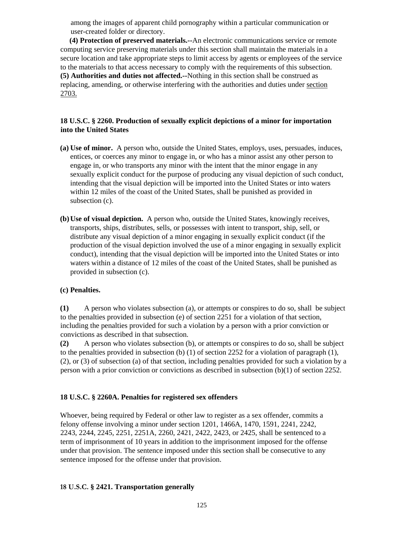among the images of apparent child pornography within a particular communication or user-created folder or directory.

 **(4) Protection of preserved materials.--**An electronic communications service or remote computing service preserving materials under this section shall maintain the materials in a secure location and take appropriate steps to limit access by agents or employees of the service to the materials to that access necessary to comply with the requirements of this subsection. **(5) Authorities and duties not affected.--**Nothing in this section shall be construed as replacing, amending, or otherwise interfering with the authorities and duties under section 2703.

# **18 U.S.C. § 2260. Production of sexually explicit depictions of a minor for importation into the United States**

- **(a) Use of minor.** A person who, outside the United States, employs, uses, persuades, induces, entices, or coerces any minor to engage in, or who has a minor assist any other person to engage in, or who transports any minor with the intent that the minor engage in any sexually explicit conduct for the purpose of producing any visual depiction of such conduct, intending that the visual depiction will be imported into the United States or into waters within 12 miles of the coast of the United States, shall be punished as provided in subsection (c).
- **(b)Use of visual depiction.** A person who, outside the United States, knowingly receives, transports, ships, distributes, sells, or possesses with intent to transport, ship, sell, or distribute any visual depiction of a minor engaging in sexually explicit conduct (if the production of the visual depiction involved the use of a minor engaging in sexually explicit conduct), intending that the visual depiction will be imported into the United States or into waters within a distance of 12 miles of the coast of the United States, shall be punished as provided in subsection (c).

### **(c) Penalties.**

**(1)** A person who violates subsection (a), or attempts or conspires to do so, shall be subject to the penalties provided in subsection (e) of section 2251 for a violation of that section, including the penalties provided for such a violation by a person with a prior conviction or convictions as described in that subsection.

**(2)** A person who violates subsection (b), or attempts or conspires to do so, shall be subject to the penalties provided in subsection (b) (1) of section 2252 for a violation of paragraph (1), (2), or (3) of subsection (a) of that section, including penalties provided for such a violation by a person with a prior conviction or convictions as described in subsection (b)(1) of section 2252.

### **18 U.S.C. § 2260A. Penalties for registered sex offenders**

Whoever, being required by Federal or other law to register as a sex offender, commits a felony offense involving a minor under section 1201, 1466A, 1470, 1591, 2241, 2242, 2243, 2244, 2245, 2251, 2251A, 2260, 2421, 2422, 2423, or 2425, shall be sentenced to a term of imprisonment of 10 years in addition to the imprisonment imposed for the offense under that provision. The sentence imposed under this section shall be consecutive to any sentence imposed for the offense under that provision.

### **18 U.S.C. § 2421. Transportation generally**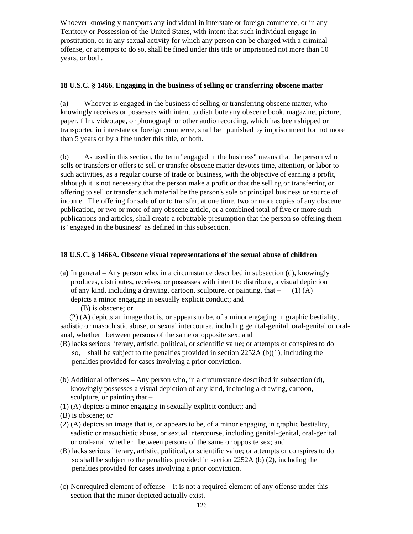Whoever knowingly transports any individual in interstate or foreign commerce, or in any Territory or Possession of the United States, with intent that such individual engage in prostitution, or in any sexual activity for which any person can be charged with a criminal offense, or attempts to do so, shall be fined under this title or imprisoned not more than 10 years, or both.

## **18 U.S.C. § 1466. Engaging in the business of selling or transferring obscene matter**

(a) Whoever is engaged in the business of selling or transferring obscene matter, who knowingly receives or possesses with intent to distribute any obscene book, magazine, picture, paper, film, videotape, or phonograph or other audio recording, which has been shipped or transported in interstate or foreign commerce, shall be punished by imprisonment for not more than 5 years or by a fine under this title, or both.

(b) As used in this section, the term ''engaged in the business'' means that the person who sells or transfers or offers to sell or transfer obscene matter devotes time, attention, or labor to such activities, as a regular course of trade or business, with the objective of earning a profit, although it is not necessary that the person make a profit or that the selling or transferring or offering to sell or transfer such material be the person's sole or principal business or source of income. The offering for sale of or to transfer, at one time, two or more copies of any obscene publication, or two or more of any obscene article, or a combined total of five or more such publications and articles, shall create a rebuttable presumption that the person so offering them is ''engaged in the business'' as defined in this subsection.

# **18 U.S.C. § 1466A. Obscene visual representations of the sexual abuse of children**

(a) In general – Any person who, in a circumstance described in subsection (d), knowingly produces, distributes, receives, or possesses with intent to distribute, a visual depiction of any kind, including a drawing, cartoon, sculpture, or painting, that  $-$  (1) (A) depicts a minor engaging in sexually explicit conduct; and

(B) is obscene; or

 (2) (A) depicts an image that is, or appears to be, of a minor engaging in graphic bestiality, sadistic or masochistic abuse, or sexual intercourse, including genital-genital, oral-genital or oralanal, whether between persons of the same or opposite sex; and

- (B) lacks serious literary, artistic, political, or scientific value; or attempts or conspires to do so, shall be subject to the penalties provided in section 2252A (b)(1), including the penalties provided for cases involving a prior conviction.
- (b) Additional offenses Any person who, in a circumstance described in subsection (d), knowingly possesses a visual depiction of any kind, including a drawing, cartoon, sculpture, or painting that –
- (1) (A) depicts a minor engaging in sexually explicit conduct; and
- (B) is obscene; or
- (2) (A) depicts an image that is, or appears to be, of a minor engaging in graphic bestiality, sadistic or masochistic abuse, or sexual intercourse, including genital-genital, oral-genital or oral-anal, whether between persons of the same or opposite sex; and
- (B) lacks serious literary, artistic, political, or scientific value; or attempts or conspires to do so shall be subject to the penalties provided in section 2252A (b) (2), including the penalties provided for cases involving a prior conviction.
- (c) Nonrequired element of offense It is not a required element of any offense under this section that the minor depicted actually exist.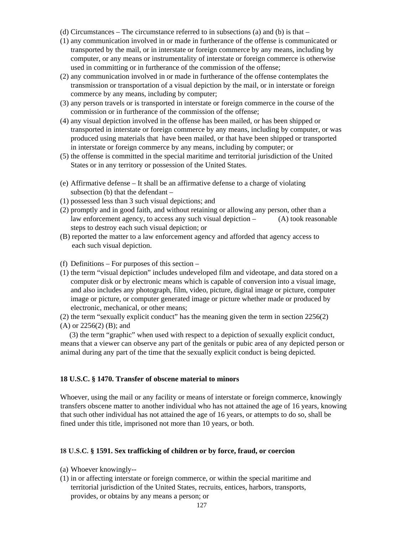- (d) Circumstances The circumstance referred to in subsections (a) and (b) is that –
- (1) any communication involved in or made in furtherance of the offense is communicated or transported by the mail, or in interstate or foreign commerce by any means, including by computer, or any means or instrumentality of interstate or foreign commerce is otherwise used in committing or in furtherance of the commission of the offense;
- (2) any communication involved in or made in furtherance of the offense contemplates the transmission or transportation of a visual depiction by the mail, or in interstate or foreign commerce by any means, including by computer;
- (3) any person travels or is transported in interstate or foreign commerce in the course of the commission or in furtherance of the commission of the offense;
- (4) any visual depiction involved in the offense has been mailed, or has been shipped or transported in interstate or foreign commerce by any means, including by computer, or was produced using materials that have been mailed, or that have been shipped or transported in interstate or foreign commerce by any means, including by computer; or
- (5) the offense is committed in the special maritime and territorial jurisdiction of the United States or in any territory or possession of the United States.
- (e) Affirmative defense It shall be an affirmative defense to a charge of violating subsection (b) that the defendant –
- (1) possessed less than 3 such visual depictions; and
- (2) promptly and in good faith, and without retaining or allowing any person, other than a law enforcement agency, to access any such visual depiction – (A) took reasonable steps to destroy each such visual depiction; or
- (B) reported the matter to a law enforcement agency and afforded that agency access to each such visual depiction.
- (f) Definitions For purposes of this section –
- (1) the term "visual depiction" includes undeveloped film and videotape, and data stored on a computer disk or by electronic means which is capable of conversion into a visual image, and also includes any photograph, film, video, picture, digital image or picture, computer image or picture, or computer generated image or picture whether made or produced by electronic, mechanical, or other means;

(2) the term "sexually explicit conduct" has the meaning given the term in section 2256(2) (A) or 2256(2) (B); and

 (3) the term "graphic" when used with respect to a depiction of sexually explicit conduct, means that a viewer can observe any part of the genitals or pubic area of any depicted person or animal during any part of the time that the sexually explicit conduct is being depicted.

#### **18 U.S.C. § 1470. Transfer of obscene material to minors**

Whoever, using the mail or any facility or means of interstate or foreign commerce, knowingly transfers obscene matter to another individual who has not attained the age of 16 years, knowing that such other individual has not attained the age of 16 years, or attempts to do so, shall be fined under this title, imprisoned not more than 10 years, or both.

#### **18 U.S.C. § 1591. Sex trafficking of children or by force, fraud, or coercion**

- (a) Whoever knowingly--
- (1) in or affecting interstate or foreign commerce, or within the special maritime and territorial jurisdiction of the United States, recruits, entices, harbors, transports, provides, or obtains by any means a person; or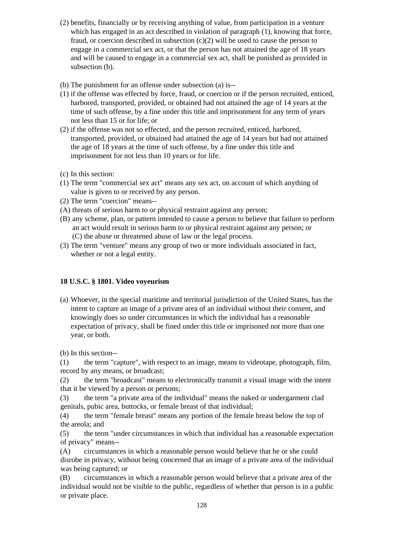- (2) benefits, financially or by receiving anything of value, from participation in a venture which has engaged in an act described in violation of paragraph  $(1)$ , knowing that force, fraud, or coercion described in subsection  $(c)(2)$  will be used to cause the person to engage in a commercial sex act, or that the person has not attained the age of 18 years and will be caused to engage in a commercial sex act, shall be punished as provided in subsection (b).
- (b) The punishment for an offense under subsection (a) is--
- (1) if the offense was effected by force, fraud, or coercion or if the person recruited, enticed, harbored, transported, provided, or obtained had not attained the age of 14 years at the time of such offense, by a fine under this title and imprisonment for any term of years not less than 15 or for life; or
- (2) if the offense was not so effected, and the person recruited, enticed, harbored, transported, provided, or obtained had attained the age of 14 years but had not attained the age of 18 years at the time of such offense, by a fine under this title and imprisonment for not less than 10 years or for life.
- (c) In this section:
- (1) The term "commercial sex act" means any sex act, on account of which anything of value is given to or received by any person.
- (2) The term "coercion" means--
- (A) threats of serious harm to or physical restraint against any person;
- (B) any scheme, plan, or pattern intended to cause a person to believe that failure to perform an act would result in serious harm to or physical restraint against any person; or (C) the abuse or threatened abuse of law or the legal process.
- (3) The term "venture" means any group of two or more individuals associated in fact, whether or not a legal entity.

# **18 U.S.C. § 1801. Video voyeurism**

(a) Whoever, in the special maritime and territorial jurisdiction of the United States, has the intent to capture an image of a private area of an individual without their consent, and knowingly does so under circumstances in which the individual has a reasonable expectation of privacy, shall be fined under this title or imprisoned not more than one year, or both.

(b) In this section--

(1) the term "capture", with respect to an image, means to videotape, photograph, film, record by any means, or broadcast;

(2) the term "broadcast" means to electronically transmit a visual image with the intent that it be viewed by a person or persons;

(3) the term "a private area of the individual" means the naked or undergarment clad genitals, pubic area, buttocks, or female breast of that individual;

(4) the term "female breast" means any portion of the female breast below the top of the areola; and

(5) the term "under circumstances in which that individual has a reasonable expectation of privacy" means--

(A) circumstances in which a reasonable person would believe that he or she could disrobe in privacy, without being concerned that an image of a private area of the individual was being captured; or

(B) circumstances in which a reasonable person would believe that a private area of the individual would not be visible to the public, regardless of whether that person is in a public or private place.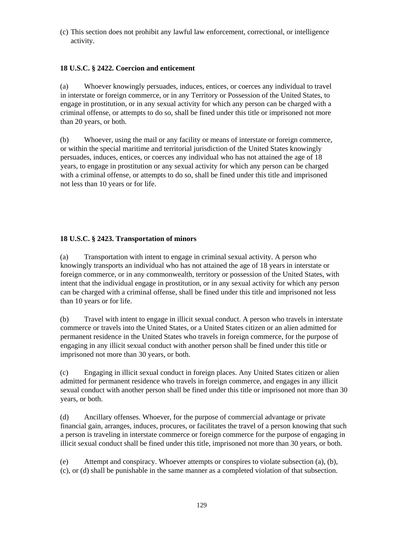(c) This section does not prohibit any lawful law enforcement, correctional, or intelligence activity.

# **18 U.S.C. § 2422. Coercion and enticement**

(a) Whoever knowingly persuades, induces, entices, or coerces any individual to travel in interstate or foreign commerce, or in any Territory or Possession of the United States, to engage in prostitution, or in any sexual activity for which any person can be charged with a criminal offense, or attempts to do so, shall be fined under this title or imprisoned not more than 20 years, or both.

(b) Whoever, using the mail or any facility or means of interstate or foreign commerce, or within the special maritime and territorial jurisdiction of the United States knowingly persuades, induces, entices, or coerces any individual who has not attained the age of 18 years, to engage in prostitution or any sexual activity for which any person can be charged with a criminal offense, or attempts to do so, shall be fined under this title and imprisoned not less than 10 years or for life.

# **18 U.S.C. § 2423. Transportation of minors**

(a) Transportation with intent to engage in criminal sexual activity. A person who knowingly transports an individual who has not attained the age of 18 years in interstate or foreign commerce, or in any commonwealth, territory or possession of the United States, with intent that the individual engage in prostitution, or in any sexual activity for which any person can be charged with a criminal offense, shall be fined under this title and imprisoned not less than 10 years or for life.

(b) Travel with intent to engage in illicit sexual conduct. A person who travels in interstate commerce or travels into the United States, or a United States citizen or an alien admitted for permanent residence in the United States who travels in foreign commerce, for the purpose of engaging in any illicit sexual conduct with another person shall be fined under this title or imprisoned not more than 30 years, or both.

(c) Engaging in illicit sexual conduct in foreign places. Any United States citizen or alien admitted for permanent residence who travels in foreign commerce, and engages in any illicit sexual conduct with another person shall be fined under this title or imprisoned not more than 30 years, or both.

(d) Ancillary offenses. Whoever, for the purpose of commercial advantage or private financial gain, arranges, induces, procures, or facilitates the travel of a person knowing that such a person is traveling in interstate commerce or foreign commerce for the purpose of engaging in illicit sexual conduct shall be fined under this title, imprisoned not more than 30 years, or both.

(e) Attempt and conspiracy. Whoever attempts or conspires to violate subsection (a), (b), (c), or (d) shall be punishable in the same manner as a completed violation of that subsection.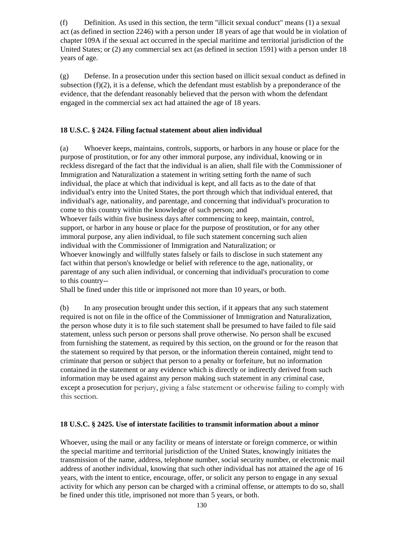(f) Definition. As used in this section, the term "illicit sexual conduct" means (1) a sexual act (as defined in section 2246) with a person under 18 years of age that would be in violation of chapter 109A if the sexual act occurred in the special maritime and territorial jurisdiction of the United States; or (2) any commercial sex act (as defined in section 1591) with a person under 18 years of age.

(g) Defense. In a prosecution under this section based on illicit sexual conduct as defined in subsection  $(f)(2)$ , it is a defense, which the defendant must establish by a preponderance of the evidence, that the defendant reasonably believed that the person with whom the defendant engaged in the commercial sex act had attained the age of 18 years.

# **18 U.S.C. § 2424. Filing factual statement about alien individual**

(a) Whoever keeps, maintains, controls, supports, or harbors in any house or place for the purpose of prostitution, or for any other immoral purpose, any individual, knowing or in reckless disregard of the fact that the individual is an alien, shall file with the Commissioner of Immigration and Naturalization a statement in writing setting forth the name of such individual, the place at which that individual is kept, and all facts as to the date of that individual's entry into the United States, the port through which that individual entered, that individual's age, nationality, and parentage, and concerning that individual's procuration to come to this country within the knowledge of such person; and Whoever fails within five business days after commencing to keep, maintain, control, support, or harbor in any house or place for the purpose of prostitution, or for any other immoral purpose, any alien individual, to file such statement concerning such alien individual with the Commissioner of Immigration and Naturalization; or Whoever knowingly and willfully states falsely or fails to disclose in such statement any fact within that person's knowledge or belief with reference to the age, nationality, or parentage of any such alien individual, or concerning that individual's procuration to come to this country--

Shall be fined under this title or imprisoned not more than 10 years, or both.

(b) In any prosecution brought under this section, if it appears that any such statement required is not on file in the office of the Commissioner of Immigration and Naturalization, the person whose duty it is to file such statement shall be presumed to have failed to file said statement, unless such person or persons shall prove otherwise. No person shall be excused from furnishing the statement, as required by this section, on the ground or for the reason that the statement so required by that person, or the information therein contained, might tend to criminate that person or subject that person to a penalty or forfeiture, but no information contained in the statement or any evidence which is directly or indirectly derived from such information may be used against any person making such statement in any criminal case, except a prosecution for perjury, giving a false statement or otherwise failing to comply with this section.

## **18 U.S.C. § 2425. Use of interstate facilities to transmit information about a minor**

Whoever, using the mail or any facility or means of interstate or foreign commerce, or within the special maritime and territorial jurisdiction of the United States, knowingly initiates the transmission of the name, address, telephone number, social security number, or electronic mail address of another individual, knowing that such other individual has not attained the age of 16 years, with the intent to entice, encourage, offer, or solicit any person to engage in any sexual activity for which any person can be charged with a criminal offense, or attempts to do so, shall be fined under this title, imprisoned not more than 5 years, or both.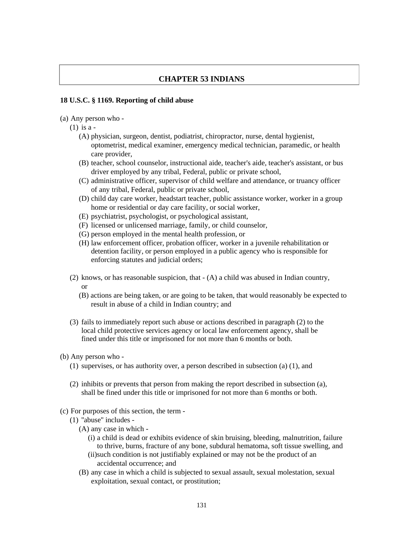# **CHAPTER 53 INDIANS**

# **18 U.S.C. § 1169. Reporting of child abuse**

(a) Any person who -

(1) is a -

- (A) physician, surgeon, dentist, podiatrist, chiropractor, nurse, dental hygienist, optometrist, medical examiner, emergency medical technician, paramedic, or health care provider,
- (B) teacher, school counselor, instructional aide, teacher's aide, teacher's assistant, or bus driver employed by any tribal, Federal, public or private school,
- (C) administrative officer, supervisor of child welfare and attendance, or truancy officer of any tribal, Federal, public or private school,
- (D) child day care worker, headstart teacher, public assistance worker, worker in a group home or residential or day care facility, or social worker,
- (E) psychiatrist, psychologist, or psychological assistant,
- (F) licensed or unlicensed marriage, family, or child counselor,
- (G) person employed in the mental health profession, or
- (H) law enforcement officer, probation officer, worker in a juvenile rehabilitation or detention facility, or person employed in a public agency who is responsible for enforcing statutes and judicial orders;
- (2) knows, or has reasonable suspicion, that (A) a child was abused in Indian country, or
	- (B) actions are being taken, or are going to be taken, that would reasonably be expected to result in abuse of a child in Indian country; and
- (3) fails to immediately report such abuse or actions described in paragraph (2) to the local child protective services agency or local law enforcement agency, shall be fined under this title or imprisoned for not more than 6 months or both.
- (b) Any person who
	- (1) supervises, or has authority over, a person described in subsection (a) (1), and
	- (2) inhibits or prevents that person from making the report described in subsection (a), shall be fined under this title or imprisoned for not more than 6 months or both.
- (c) For purposes of this section, the term
	- (1) ''abuse'' includes
		- (A) any case in which
			- (i) a child is dead or exhibits evidence of skin bruising, bleeding, malnutrition, failure to thrive, burns, fracture of any bone, subdural hematoma, soft tissue swelling, and
			- (ii)such condition is not justifiably explained or may not be the product of an accidental occurrence; and
		- (B) any case in which a child is subjected to sexual assault, sexual molestation, sexual exploitation, sexual contact, or prostitution;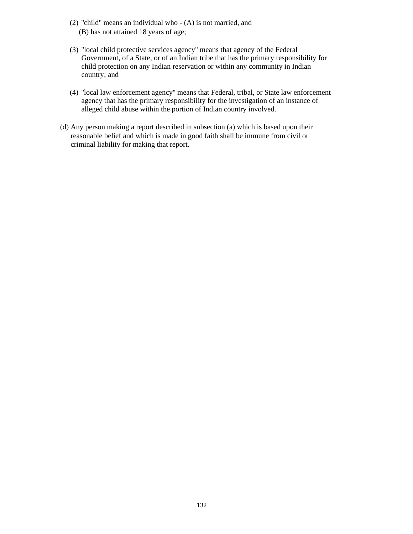- (2) ''child'' means an individual who (A) is not married, and (B) has not attained 18 years of age;
- (3) ''local child protective services agency'' means that agency of the Federal Government, of a State, or of an Indian tribe that has the primary responsibility for child protection on any Indian reservation or within any community in Indian country; and
- (4) ''local law enforcement agency'' means that Federal, tribal, or State law enforcement agency that has the primary responsibility for the investigation of an instance of alleged child abuse within the portion of Indian country involved.
- (d) Any person making a report described in subsection (a) which is based upon their reasonable belief and which is made in good faith shall be immune from civil or criminal liability for making that report.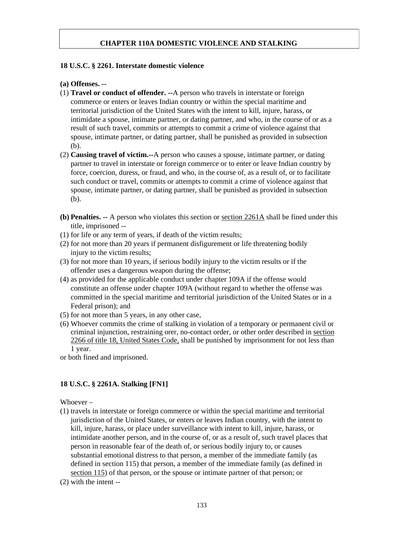## **CHAPTER 110A DOMESTIC VIOLENCE AND STALKING**

#### **18 U.S.C. § 2261. Interstate domestic violence**

#### **(a) Offenses. --**

- (1) **Travel or conduct of offender. --**A person who travels in interstate or foreign commerce or enters or leaves Indian country or within the special maritime and territorial jurisdiction of the United States with the intent to kill, injure, harass, or intimidate a spouse, intimate partner, or dating partner, and who, in the course of or as a result of such travel, commits or attempts to commit a crime of violence against that spouse, intimate partner, or dating partner, shall be punished as provided in subsection (b).
- (2) **Causing travel of victim.--**A person who causes a spouse, intimate partner, or dating partner to travel in interstate or foreign commerce or to enter or leave Indian country by force, coercion, duress, or fraud, and who, in the course of, as a result of, or to facilitate such conduct or travel, commits or attempts to commit a crime of violence against that spouse, intimate partner, or dating partner, shall be punished as provided in subsection (b).
- **(b) Penalties. --** A person who violates this section or section 2261A shall be fined under this title, imprisoned --
- (1) for life or any term of years, if death of the victim results;
- (2) for not more than 20 years if permanent disfigurement or life threatening bodily injury to the victim results;
- (3) for not more than 10 years, if serious bodily injury to the victim results or if the offender uses a dangerous weapon during the offense;
- (4) as provided for the applicable conduct under chapter 109A if the offense would constitute an offense under chapter 109A (without regard to whether the offense was committed in the special maritime and territorial jurisdiction of the United States or in a Federal prison); and
- (5) for not more than 5 years, in any other case,
- (6) Whoever commits the crime of stalking in violation of a temporary or permanent civil or criminal injunction, restraining orer, no-contact order, or other order described in section 2266 of title 18, United States Code, shall be punished by imprisonment for not less than 1 year.

or both fined and imprisoned.

### **18 U.S.C. § 2261A. Stalking [FN1]**

Whoever –

- (1) travels in interstate or foreign commerce or within the special maritime and territorial jurisdiction of the United States, or enters or leaves Indian country, with the intent to kill, injure, harass, or place under surveillance with intent to kill, injure, harass, or intimidate another person, and in the course of, or as a result of, such travel places that person in reasonable fear of the death of, or serious bodily injury to, or causes substantial emotional distress to that person, a member of the immediate family (as defined in section 115) that person, a member of the immediate family (as defined in section 115) of that person, or the spouse or intimate partner of that person; or
- (2) with the intent --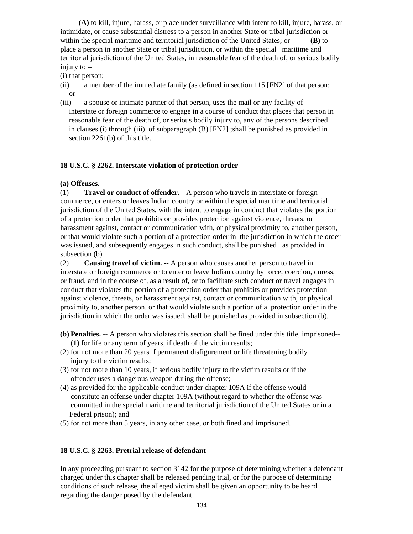**(A)** to kill, injure, harass, or place under surveillance with intent to kill, injure, harass, or intimidate, or cause substantial distress to a person in another State or tribal jurisdiction or within the special maritime and territorial jurisdiction of the United States; or **(B)** to place a person in another State or tribal jurisdiction, or within the special maritime and territorial jurisdiction of the United States, in reasonable fear of the death of, or serious bodily injury to --

- (i) that person;
- (ii) a member of the immediate family (as defined in section 115 [FN2] of that person; or
- (iii) a spouse or intimate partner of that person, uses the mail or any facility of interstate or foreign commerce to engage in a course of conduct that places that person in reasonable fear of the death of, or serious bodily injury to, any of the persons described in clauses (i) through (iii), of subparagraph  $(B)$  [FN2] ;shall be punished as provided in section 2261(b) of this title.

### **18 U.S.C. § 2262. Interstate violation of protection order**

### **(a) Offenses. --**

(1) **Travel or conduct of offender. --**A person who travels in interstate or foreign commerce, or enters or leaves Indian country or within the special maritime and territorial jurisdiction of the United States, with the intent to engage in conduct that violates the portion of a protection order that prohibits or provides protection against violence, threats, or harassment against, contact or communication with, or physical proximity to, another person, or that would violate such a portion of a protection order in the jurisdiction in which the order was issued, and subsequently engages in such conduct, shall be punished as provided in subsection (b).

(2) **Causing travel of victim. --** A person who causes another person to travel in interstate or foreign commerce or to enter or leave Indian country by force, coercion, duress, or fraud, and in the course of, as a result of, or to facilitate such conduct or travel engages in conduct that violates the portion of a protection order that prohibits or provides protection against violence, threats, or harassment against, contact or communication with, or physical proximity to, another person, or that would violate such a portion of a protection order in the jurisdiction in which the order was issued, shall be punished as provided in subsection (b).

- **(b) Penalties. --** A person who violates this section shall be fined under this title, imprisoned-- **(1)** for life or any term of years, if death of the victim results;
- (2) for not more than 20 years if permanent disfigurement or life threatening bodily injury to the victim results;
- (3) for not more than 10 years, if serious bodily injury to the victim results or if the offender uses a dangerous weapon during the offense;
- (4) as provided for the applicable conduct under chapter 109A if the offense would constitute an offense under chapter 109A (without regard to whether the offense was committed in the special maritime and territorial jurisdiction of the United States or in a Federal prison); and
- (5) for not more than 5 years, in any other case, or both fined and imprisoned.

### **18 U.S.C. § 2263. Pretrial release of defendant**

In any proceeding pursuant to section 3142 for the purpose of determining whether a defendant charged under this chapter shall be released pending trial, or for the purpose of determining conditions of such release, the alleged victim shall be given an opportunity to be heard regarding the danger posed by the defendant.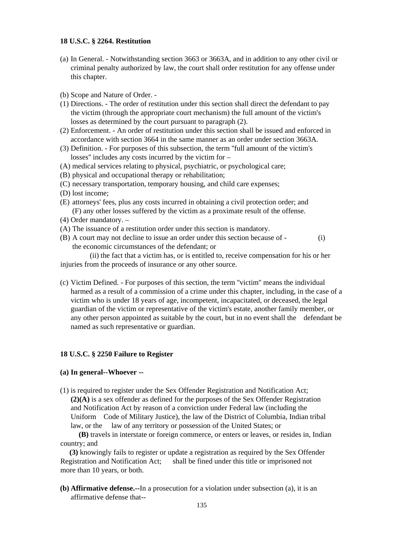# **18 U.S.C. § 2264. Restitution**

- (a) In General. Notwithstanding section 3663 or 3663A, and in addition to any other civil or criminal penalty authorized by law, the court shall order restitution for any offense under this chapter.
- (b) Scope and Nature of Order. -
- (1) Directions. The order of restitution under this section shall direct the defendant to pay the victim (through the appropriate court mechanism) the full amount of the victim's losses as determined by the court pursuant to paragraph (2).
- (2) Enforcement. An order of restitution under this section shall be issued and enforced in accordance with section 3664 in the same manner as an order under section 3663A.
- (3) Definition. For purposes of this subsection, the term ''full amount of the victim's losses'' includes any costs incurred by the victim for –
- (A) medical services relating to physical, psychiatric, or psychological care;
- (B) physical and occupational therapy or rehabilitation;
- (C) necessary transportation, temporary housing, and child care expenses;
- (D) lost income;
- (E) attorneys' fees, plus any costs incurred in obtaining a civil protection order; and (F) any other losses suffered by the victim as a proximate result of the offense.
- (4) Order mandatory. –
- (A) The issuance of a restitution order under this section is mandatory.
- (B) A court may not decline to issue an order under this section because of (i) the economic circumstances of the defendant; or

 (ii) the fact that a victim has, or is entitled to, receive compensation for his or her injuries from the proceeds of insurance or any other source.

(c) Victim Defined. - For purposes of this section, the term ''victim'' means the individual harmed as a result of a commission of a crime under this chapter, including, in the case of a victim who is under 18 years of age, incompetent, incapacitated, or deceased, the legal guardian of the victim or representative of the victim's estate, another family member, or any other person appointed as suitable by the court, but in no event shall the defendant be named as such representative or guardian.

### **18 U.S.C. § 2250 Failure to Register**

#### **(a) In general--Whoever --**

(1) is required to register under the Sex Offender Registration and Notification Act; **(2)(A)** is a sex offender as defined for the purposes of the Sex Offender Registration and Notification Act by reason of a conviction under Federal law (including the Uniform Code of Military Justice), the law of the District of Columbia, Indian tribal law, or the law of any territory or possession of the United States; or

 **(B)** travels in interstate or foreign commerce, or enters or leaves, or resides in, Indian country; and

 **(3)** knowingly fails to register or update a registration as required by the Sex Offender Registration and Notification Act; shall be fined under this title or imprisoned not more than 10 years, or both.

**(b) Affirmative defense.--**In a prosecution for a violation under subsection (a), it is an affirmative defense that--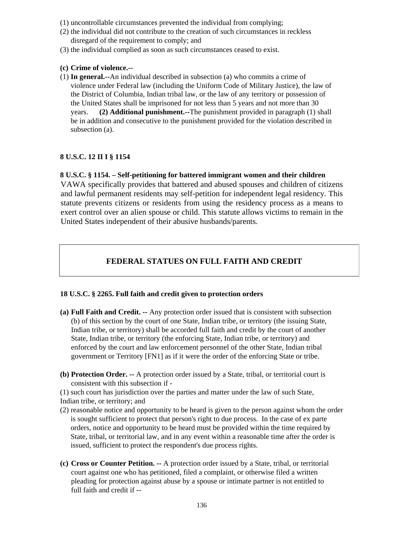- (1) uncontrollable circumstances prevented the individual from complying;
- (2) the individual did not contribute to the creation of such circumstances in reckless disregard of the requirement to comply; and
- (3) the individual complied as soon as such circumstances ceased to exist.

### **(c) Crime of violence.--**

(1) **In general.--**An individual described in subsection (a) who commits a crime of violence under Federal law (including the Uniform Code of Military Justice), the law of the District of Columbia, Indian tribal law, or the law of any territory or possession of the United States shall be imprisoned for not less than 5 years and not more than 30 years. **(2) Additional punishment.--**The punishment provided in paragraph (1) shall be in addition and consecutive to the punishment provided for the violation described in subsection (a).

# **8 U.S.C. 12 II I § 1154**

# **8 U.S.C. § 1154. – Self-petitioning for battered immigrant women and their children**

VAWA specifically provides that battered and abused spouses and children of citizens and lawful permanent residents may self-petition for independent legal residency. This statute prevents citizens or residents from using the residency process as a means to exert control over an alien spouse or child. This statute allows victims to remain in the United States independent of their abusive husbands/parents.

# **FEDERAL STATUES ON FULL FAITH AND CREDIT**

### **18 U.S.C. § 2265. Full faith and credit given to protection orders**

- **(a) Full Faith and Credit. --** Any protection order issued that is consistent with subsection (b) of this section by the court of one State, Indian tribe, or territory (the issuing State, Indian tribe, or territory) shall be accorded full faith and credit by the court of another State, Indian tribe, or territory (the enforcing State, Indian tribe, or territory) and enforced by the court and law enforcement personnel of the other State, Indian tribal government or Territory [FN1] as if it were the order of the enforcing State or tribe.
- **(b) Protection Order. --** A protection order issued by a State, tribal, or territorial court is consistent with this subsection if -

(1) such court has jurisdiction over the parties and matter under the law of such State, Indian tribe, or territory; and

- (2) reasonable notice and opportunity to be heard is given to the person against whom the order is sought sufficient to protect that person's right to due process. In the case of ex parte orders, notice and opportunity to be heard must be provided within the time required by State, tribal, or territorial law, and in any event within a reasonable time after the order is issued, sufficient to protect the respondent's due process rights.
- **(c) Cross or Counter Petition. --** A protection order issued by a State, tribal, or territorial court against one who has petitioned, filed a complaint, or otherwise filed a written pleading for protection against abuse by a spouse or intimate partner is not entitled to full faith and credit if --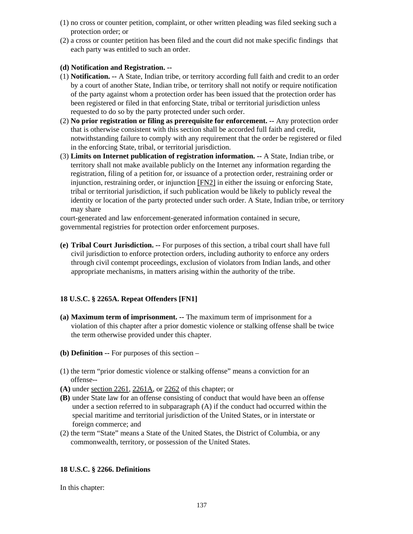- (1) no cross or counter petition, complaint, or other written pleading was filed seeking such a protection order; or
- (2) a cross or counter petition has been filed and the court did not make specific findings that each party was entitled to such an order.

### **(d) Notification and Registration. --**

- (1) **Notification. --** A State, Indian tribe, or territory according full faith and credit to an order by a court of another State, Indian tribe, or territory shall not notify or require notification of the party against whom a protection order has been issued that the protection order has been registered or filed in that enforcing State, tribal or territorial jurisdiction unless requested to do so by the party protected under such order.
- (2) **No prior registration or filing as prerequisite for enforcement. --** Any protection order that is otherwise consistent with this section shall be accorded full faith and credit, notwithstanding failure to comply with any requirement that the order be registered or filed in the enforcing State, tribal, or territorial jurisdiction.
- (3) **Limits on Internet publication of registration information. --** A State, Indian tribe, or territory shall not make available publicly on the Internet any information regarding the registration, filing of a petition for, or issuance of a protection order, restraining order or injunction, restraining order, or injunction [FN2] in either the issuing or enforcing State, tribal or territorial jurisdiction, if such publication would be likely to publicly reveal the identity or location of the party protected under such order. A State, Indian tribe, or territory may share

court-generated and law enforcement-generated information contained in secure, governmental registries for protection order enforcement purposes.

**(e) Tribal Court Jurisdiction. --** For purposes of this section, a tribal court shall have full civil jurisdiction to enforce protection orders, including authority to enforce any orders through civil contempt proceedings, exclusion of violators from Indian lands, and other appropriate mechanisms, in matters arising within the authority of the tribe.

# **18 U.S.C. § 2265A. Repeat Offenders [FN1]**

- **(a) Maximum term of imprisonment. --** The maximum term of imprisonment for a violation of this chapter after a prior domestic violence or stalking offense shall be twice the term otherwise provided under this chapter.
- **(b) Definition --** For purposes of this section –
- (1) the term "prior domestic violence or stalking offense" means a conviction for an offense--
- **(A)** under section 2261, 2261A, or 2262 of this chapter; or
- **(B)** under State law for an offense consisting of conduct that would have been an offense under a section referred to in subparagraph (A) if the conduct had occurred within the special maritime and territorial jurisdiction of the United States, or in interstate or foreign commerce; and
- (2) the term "State" means a State of the United States, the District of Columbia, or any commonwealth, territory, or possession of the United States.

# **18 U.S.C. § 2266. Definitions**

In this chapter: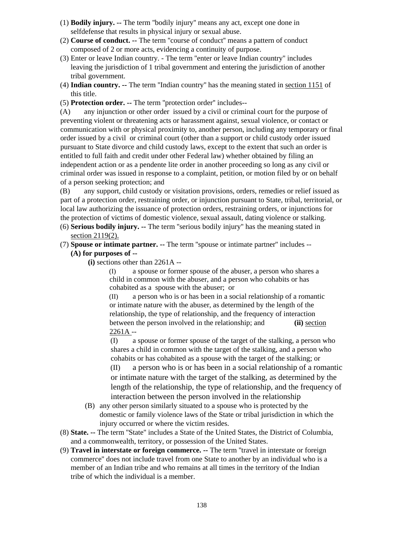- (1) **Bodily injury. --** The term ''bodily injury'' means any act, except one done in selfdefense that results in physical injury or sexual abuse.
- (2) **Course of conduct. --** The term ''course of conduct'' means a pattern of conduct composed of 2 or more acts, evidencing a continuity of purpose.
- (3) Enter or leave Indian country. The term ''enter or leave Indian country'' includes leaving the jurisdiction of 1 tribal government and entering the jurisdiction of another tribal government.
- (4) **Indian country. --** The term ''Indian country'' has the meaning stated in section 1151 of this title.

(5) **Protection order. --** The term ''protection order'' includes--

(A) any injunction or other order issued by a civil or criminal court for the purpose of preventing violent or threatening acts or harassment against, sexual violence, or contact or communication with or physical proximity to, another person, including any temporary or final order issued by a civil or criminal court (other than a support or child custody order issued pursuant to State divorce and child custody laws, except to the extent that such an order is entitled to full faith and credit under other Federal law) whether obtained by filing an independent action or as a pendente lite order in another proceeding so long as any civil or criminal order was issued in response to a complaint, petition, or motion filed by or on behalf of a person seeking protection; and

(B) any support, child custody or visitation provisions, orders, remedies or relief issued as part of a protection order, restraining order, or injunction pursuant to State, tribal, territorial, or local law authorizing the issuance of protection orders, restraining orders, or injunctions for the protection of victims of domestic violence, sexual assault, dating violence or stalking.

- (6) **Serious bodily injury. --** The term ''serious bodily injury'' has the meaning stated in section 2119(2).
- (7) **Spouse or intimate partner. --** The term ''spouse or intimate partner'' includes -- **(A) for purposes of --** 
	- **(i)** sections other than 2261A --

(I) a spouse or former spouse of the abuser, a person who shares a child in common with the abuser, and a person who cohabits or has cohabited as a spouse with the abuser; or

(II) a person who is or has been in a social relationship of a romantic or intimate nature with the abuser, as determined by the length of the relationship, the type of relationship, and the frequency of interaction between the person involved in the relationship; and **(ii)** section 2261A --

(I) a spouse or former spouse of the target of the stalking, a person who shares a child in common with the target of the stalking, and a person who cohabits or has cohabited as a spouse with the target of the stalking; or

(II) a person who is or has been in a social relationship of a romantic or intimate nature with the target of the stalking, as determined by the length of the relationship, the type of relationship, and the frequency of interaction between the person involved in the relationship

- (B) any other person similarly situated to a spouse who is protected by the domestic or family violence laws of the State or tribal jurisdiction in which the injury occurred or where the victim resides.
- (8) **State. --** The term ''State'' includes a State of the United States, the District of Columbia, and a commonwealth, territory, or possession of the United States.
- (9) **Travel in interstate or foreign commerce. --** The term ''travel in interstate or foreign commerce'' does not include travel from one State to another by an individual who is a member of an Indian tribe and who remains at all times in the territory of the Indian tribe of which the individual is a member.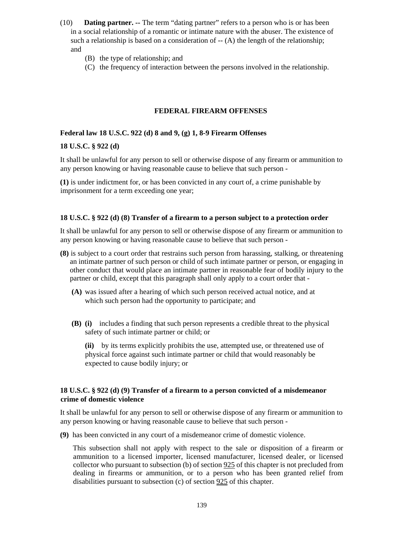- (10) **Dating partner. --** The term "dating partner" refers to a person who is or has been in a social relationship of a romantic or intimate nature with the abuser. The existence of such a relationship is based on a consideration of  $-(A)$  the length of the relationship; and
	- (B) the type of relationship; and
	- (C) the frequency of interaction between the persons involved in the relationship.

# **FEDERAL FIREARM OFFENSES**

### **Federal law 18 U.S.C. 922 (d) 8 and 9, (g) 1, 8-9 Firearm Offenses**

### **18 U.S.C. § 922 (d)**

It shall be unlawful for any person to sell or otherwise dispose of any firearm or ammunition to any person knowing or having reasonable cause to believe that such person -

**(1)** is under indictment for, or has been convicted in any court of, a crime punishable by imprisonment for a term exceeding one year;

#### **18 U.S.C. § 922 (d) (8) Transfer of a firearm to a person subject to a protection order**

It shall be unlawful for any person to sell or otherwise dispose of any firearm or ammunition to any person knowing or having reasonable cause to believe that such person -

- **(8)** is subject to a court order that restrains such person from harassing, stalking, or threatening an intimate partner of such person or child of such intimate partner or person, or engaging in other conduct that would place an intimate partner in reasonable fear of bodily injury to the partner or child, except that this paragraph shall only apply to a court order that -
	- **(A)** was issued after a hearing of which such person received actual notice, and at which such person had the opportunity to participate; and
	- **(B) (i)** includes a finding that such person represents a credible threat to the physical safety of such intimate partner or child; or

**(ii)** by its terms explicitly prohibits the use, attempted use, or threatened use of physical force against such intimate partner or child that would reasonably be expected to cause bodily injury; or

### **18 U.S.C. § 922 (d) (9) Transfer of a firearm to a person convicted of a misdemeanor crime of domestic violence**

It shall be unlawful for any person to sell or otherwise dispose of any firearm or ammunition to any person knowing or having reasonable cause to believe that such person -

**(9)** has been convicted in any court of a misdemeanor crime of domestic violence.

This subsection shall not apply with respect to the sale or disposition of a firearm or ammunition to a licensed importer, licensed manufacturer, licensed dealer, or licensed collector who pursuant to subsection (b) of section 925 of this chapter is not precluded from dealing in firearms or ammunition, or to a person who has been granted relief from disabilities pursuant to subsection (c) of section 925 of this chapter.